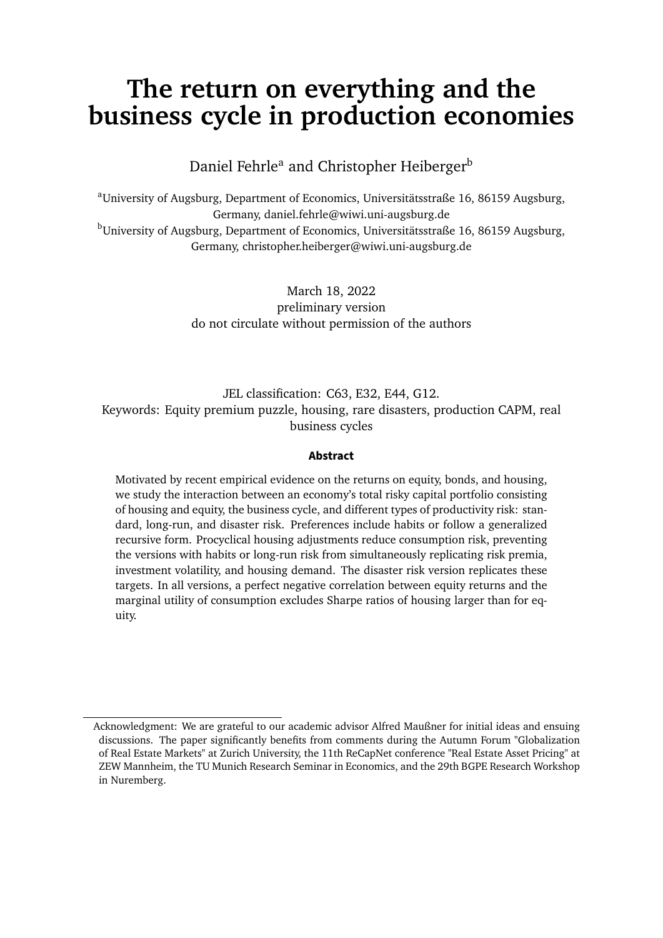# **The return on everything and the business cycle in production economies**

Daniel Fehrle<sup>a</sup> and Christopher Heiberger<sup>b</sup>

<sup>a</sup>University of Augsburg, Department of Economics, Universitätsstraße 16, 86159 Augsburg, Germany, daniel.fehrle@wiwi.uni-augsburg.de <sup>b</sup>University of Augsburg, Department of Economics, Universitätsstraße 16, 86159 Augsburg, Germany, christopher.heiberger@wiwi.uni-augsburg.de

> March 18, 2022 preliminary version do not circulate without permission of the authors

JEL classification: C63, E32, E44, G12. Keywords: Equity premium puzzle, housing, rare disasters, production CAPM, real business cycles

#### **Abstract**

Motivated by recent empirical evidence on the returns on equity, bonds, and housing, we study the interaction between an economy's total risky capital portfolio consisting of housing and equity, the business cycle, and different types of productivity risk: standard, long-run, and disaster risk. Preferences include habits or follow a generalized recursive form. Procyclical housing adjustments reduce consumption risk, preventing the versions with habits or long-run risk from simultaneously replicating risk premia, investment volatility, and housing demand. The disaster risk version replicates these targets. In all versions, a perfect negative correlation between equity returns and the marginal utility of consumption excludes Sharpe ratios of housing larger than for equity.

Acknowledgment: We are grateful to our academic advisor Alfred Maußner for initial ideas and ensuing discussions. The paper significantly benefits from comments during the Autumn Forum "Globalization of Real Estate Markets" at Zurich University, the 11th ReCapNet conference "Real Estate Asset Pricing" at ZEW Mannheim, the TU Munich Research Seminar in Economics, and the 29th BGPE Research Workshop in Nuremberg.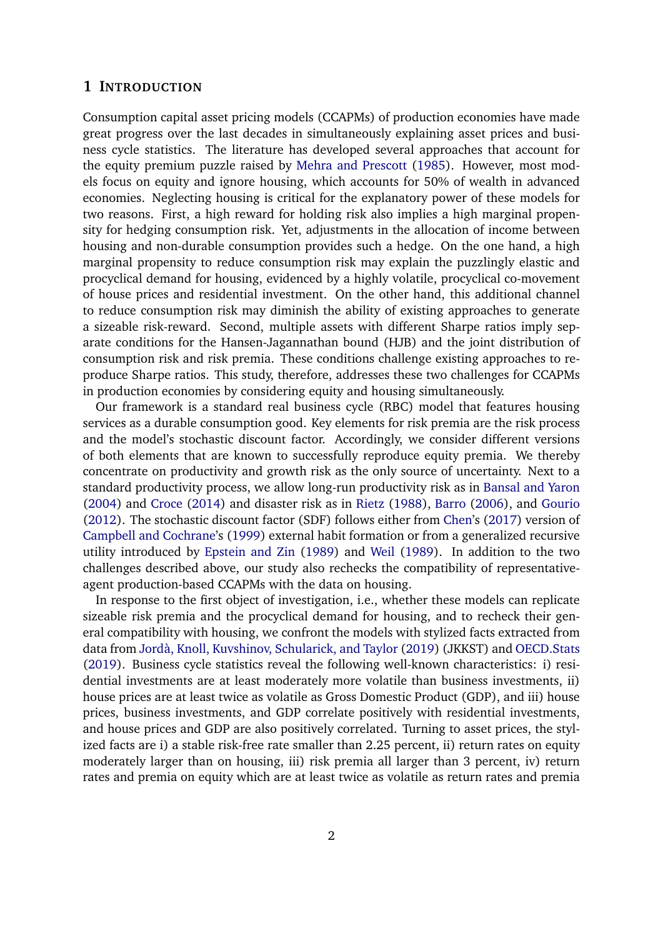### **1 INTRODUCTION**

Consumption capital asset pricing models (CCAPMs) of production economies have made great progress over the last decades in simultaneously explaining asset prices and business cycle statistics. The literature has developed several approaches that account for the equity premium puzzle raised by [Mehra and Prescott](#page-39-0) [\(1985\)](#page-39-0). However, most models focus on equity and ignore housing, which accounts for 50% of wealth in advanced economies. Neglecting housing is critical for the explanatory power of these models for two reasons. First, a high reward for holding risk also implies a high marginal propensity for hedging consumption risk. Yet, adjustments in the allocation of income between housing and non-durable consumption provides such a hedge. On the one hand, a high marginal propensity to reduce consumption risk may explain the puzzlingly elastic and procyclical demand for housing, evidenced by a highly volatile, procyclical co-movement of house prices and residential investment. On the other hand, this additional channel to reduce consumption risk may diminish the ability of existing approaches to generate a sizeable risk-reward. Second, multiple assets with different Sharpe ratios imply separate conditions for the Hansen-Jagannathan bound (HJB) and the joint distribution of consumption risk and risk premia. These conditions challenge existing approaches to reproduce Sharpe ratios. This study, therefore, addresses these two challenges for CCAPMs in production economies by considering equity and housing simultaneously.

Our framework is a standard real business cycle (RBC) model that features housing services as a durable consumption good. Key elements for risk premia are the risk process and the model's stochastic discount factor. Accordingly, we consider different versions of both elements that are known to successfully reproduce equity premia. We thereby concentrate on productivity and growth risk as the only source of uncertainty. Next to a standard productivity process, we allow long-run productivity risk as in [Bansal and Yaron](#page-36-0) [\(2004\)](#page-36-0) and [Croce](#page-36-1) [\(2014\)](#page-36-1) and disaster risk as in [Rietz](#page-39-1) [\(1988\)](#page-39-1), [Barro](#page-36-2) [\(2006\)](#page-36-2), and [Gourio](#page-37-0) [\(2012\)](#page-37-0). The stochastic discount factor (SDF) follows either from [Chen'](#page-36-3)s [\(2017\)](#page-36-3) version of [Campbell and Cochrane'](#page-36-4)s [\(1999\)](#page-36-4) external habit formation or from a generalized recursive utility introduced by [Epstein and Zin](#page-37-1) [\(1989\)](#page-37-1) and [Weil](#page-40-0) [\(1989\)](#page-40-0). In addition to the two challenges described above, our study also rechecks the compatibility of representativeagent production-based CCAPMs with the data on housing.

In response to the first object of investigation, i.e., whether these models can replicate sizeable risk premia and the procyclical demand for housing, and to recheck their general compatibility with housing, we confront the models with stylized facts extracted from data from [Jordà, Knoll, Kuvshinov, Schularick, and Taylor](#page-38-0) [\(2019\)](#page-38-0) (JKKST) and [OECD.Stats](#page-39-2) [\(2019\)](#page-39-2). Business cycle statistics reveal the following well-known characteristics: i) residential investments are at least moderately more volatile than business investments, ii) house prices are at least twice as volatile as Gross Domestic Product (GDP), and iii) house prices, business investments, and GDP correlate positively with residential investments, and house prices and GDP are also positively correlated. Turning to asset prices, the stylized facts are i) a stable risk-free rate smaller than 2.25 percent, ii) return rates on equity moderately larger than on housing, iii) risk premia all larger than 3 percent, iv) return rates and premia on equity which are at least twice as volatile as return rates and premia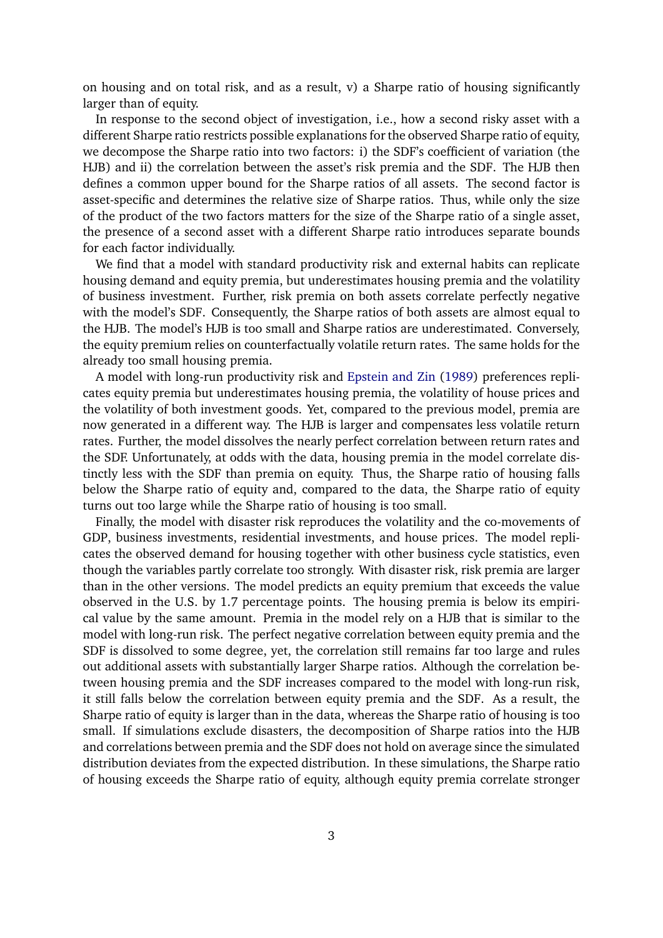on housing and on total risk, and as a result, v) a Sharpe ratio of housing significantly larger than of equity.

In response to the second object of investigation, i.e., how a second risky asset with a different Sharpe ratio restricts possible explanations for the observed Sharpe ratio of equity, we decompose the Sharpe ratio into two factors: i) the SDF's coefficient of variation (the HJB) and ii) the correlation between the asset's risk premia and the SDF. The HJB then defines a common upper bound for the Sharpe ratios of all assets. The second factor is asset-specific and determines the relative size of Sharpe ratios. Thus, while only the size of the product of the two factors matters for the size of the Sharpe ratio of a single asset, the presence of a second asset with a different Sharpe ratio introduces separate bounds for each factor individually.

We find that a model with standard productivity risk and external habits can replicate housing demand and equity premia, but underestimates housing premia and the volatility of business investment. Further, risk premia on both assets correlate perfectly negative with the model's SDF. Consequently, the Sharpe ratios of both assets are almost equal to the HJB. The model's HJB is too small and Sharpe ratios are underestimated. Conversely, the equity premium relies on counterfactually volatile return rates. The same holds for the already too small housing premia.

A model with long-run productivity risk and [Epstein and Zin](#page-37-1) [\(1989\)](#page-37-1) preferences replicates equity premia but underestimates housing premia, the volatility of house prices and the volatility of both investment goods. Yet, compared to the previous model, premia are now generated in a different way. The HJB is larger and compensates less volatile return rates. Further, the model dissolves the nearly perfect correlation between return rates and the SDF. Unfortunately, at odds with the data, housing premia in the model correlate distinctly less with the SDF than premia on equity. Thus, the Sharpe ratio of housing falls below the Sharpe ratio of equity and, compared to the data, the Sharpe ratio of equity turns out too large while the Sharpe ratio of housing is too small.

Finally, the model with disaster risk reproduces the volatility and the co-movements of GDP, business investments, residential investments, and house prices. The model replicates the observed demand for housing together with other business cycle statistics, even though the variables partly correlate too strongly. With disaster risk, risk premia are larger than in the other versions. The model predicts an equity premium that exceeds the value observed in the U.S. by 1.7 percentage points. The housing premia is below its empirical value by the same amount. Premia in the model rely on a HJB that is similar to the model with long-run risk. The perfect negative correlation between equity premia and the SDF is dissolved to some degree, yet, the correlation still remains far too large and rules out additional assets with substantially larger Sharpe ratios. Although the correlation between housing premia and the SDF increases compared to the model with long-run risk, it still falls below the correlation between equity premia and the SDF. As a result, the Sharpe ratio of equity is larger than in the data, whereas the Sharpe ratio of housing is too small. If simulations exclude disasters, the decomposition of Sharpe ratios into the HJB and correlations between premia and the SDF does not hold on average since the simulated distribution deviates from the expected distribution. In these simulations, the Sharpe ratio of housing exceeds the Sharpe ratio of equity, although equity premia correlate stronger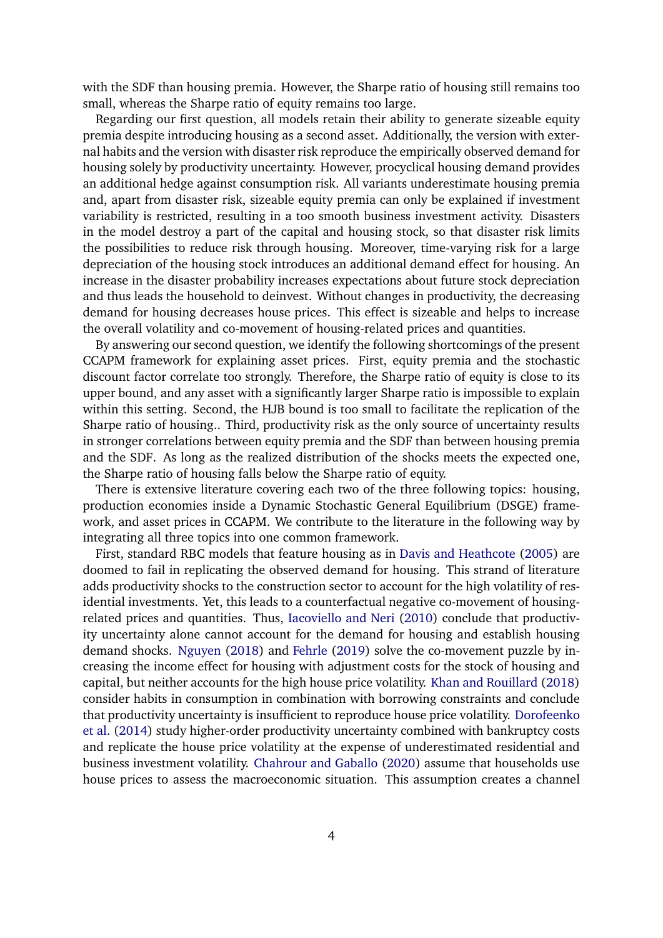with the SDF than housing premia. However, the Sharpe ratio of housing still remains too small, whereas the Sharpe ratio of equity remains too large.

Regarding our first question, all models retain their ability to generate sizeable equity premia despite introducing housing as a second asset. Additionally, the version with external habits and the version with disaster risk reproduce the empirically observed demand for housing solely by productivity uncertainty. However, procyclical housing demand provides an additional hedge against consumption risk. All variants underestimate housing premia and, apart from disaster risk, sizeable equity premia can only be explained if investment variability is restricted, resulting in a too smooth business investment activity. Disasters in the model destroy a part of the capital and housing stock, so that disaster risk limits the possibilities to reduce risk through housing. Moreover, time-varying risk for a large depreciation of the housing stock introduces an additional demand effect for housing. An increase in the disaster probability increases expectations about future stock depreciation and thus leads the household to deinvest. Without changes in productivity, the decreasing demand for housing decreases house prices. This effect is sizeable and helps to increase the overall volatility and co-movement of housing-related prices and quantities.

By answering our second question, we identify the following shortcomings of the present CCAPM framework for explaining asset prices. First, equity premia and the stochastic discount factor correlate too strongly. Therefore, the Sharpe ratio of equity is close to its upper bound, and any asset with a significantly larger Sharpe ratio is impossible to explain within this setting. Second, the HJB bound is too small to facilitate the replication of the Sharpe ratio of housing.. Third, productivity risk as the only source of uncertainty results in stronger correlations between equity premia and the SDF than between housing premia and the SDF. As long as the realized distribution of the shocks meets the expected one, the Sharpe ratio of housing falls below the Sharpe ratio of equity.

There is extensive literature covering each two of the three following topics: housing, production economies inside a Dynamic Stochastic General Equilibrium (DSGE) framework, and asset prices in CCAPM. We contribute to the literature in the following way by integrating all three topics into one common framework.

First, standard RBC models that feature housing as in [Davis and Heathcote](#page-36-5) [\(2005\)](#page-36-5) are doomed to fail in replicating the observed demand for housing. This strand of literature adds productivity shocks to the construction sector to account for the high volatility of residential investments. Yet, this leads to a counterfactual negative co-movement of housingrelated prices and quantities. Thus, [Iacoviello and Neri](#page-38-1) [\(2010\)](#page-38-1) conclude that productivity uncertainty alone cannot account for the demand for housing and establish housing demand shocks. [Nguyen](#page-39-3) [\(2018\)](#page-39-3) and [Fehrle](#page-37-2) [\(2019\)](#page-37-2) solve the co-movement puzzle by increasing the income effect for housing with adjustment costs for the stock of housing and capital, but neither accounts for the high house price volatility. [Khan and Rouillard](#page-38-2) [\(2018\)](#page-38-2) consider habits in consumption in combination with borrowing constraints and conclude that productivity uncertainty is insufficient to reproduce house price volatility. [Dorofeenko](#page-37-3) [et al.](#page-37-3) [\(2014\)](#page-37-3) study higher-order productivity uncertainty combined with bankruptcy costs and replicate the house price volatility at the expense of underestimated residential and business investment volatility. [Chahrour and Gaballo](#page-36-6) [\(2020\)](#page-36-6) assume that households use house prices to assess the macroeconomic situation. This assumption creates a channel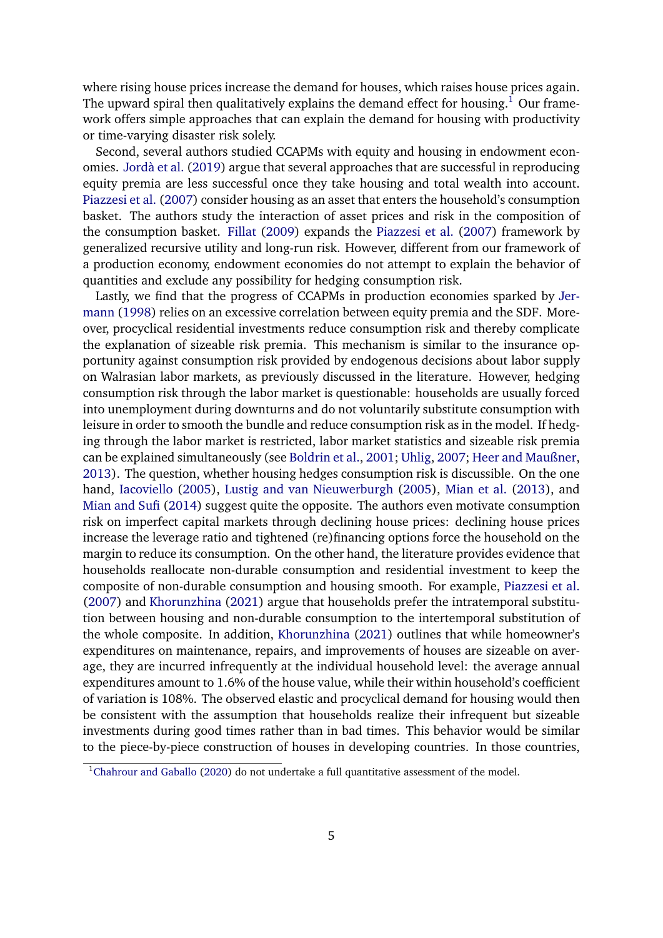where rising house prices increase the demand for houses, which raises house prices again. The upward spiral then qualitatively explains the demand effect for housing.<sup>[1](#page-4-0)</sup> Our framework offers simple approaches that can explain the demand for housing with productivity or time-varying disaster risk solely.

Second, several authors studied CCAPMs with equity and housing in endowment economies. [Jordà et al.](#page-38-3) [\(2019\)](#page-38-3) argue that several approaches that are successful in reproducing equity premia are less successful once they take housing and total wealth into account. [Piazzesi et al.](#page-39-4) [\(2007\)](#page-39-4) consider housing as an asset that enters the household's consumption basket. The authors study the interaction of asset prices and risk in the composition of the consumption basket. [Fillat](#page-37-4) [\(2009\)](#page-37-4) expands the [Piazzesi et al.](#page-39-4) [\(2007\)](#page-39-4) framework by generalized recursive utility and long-run risk. However, different from our framework of a production economy, endowment economies do not attempt to explain the behavior of quantities and exclude any possibility for hedging consumption risk.

Lastly, we find that the progress of CCAPMs in production economies sparked by [Jer](#page-38-4)[mann](#page-38-4) [\(1998\)](#page-38-4) relies on an excessive correlation between equity premia and the SDF. Moreover, procyclical residential investments reduce consumption risk and thereby complicate the explanation of sizeable risk premia. This mechanism is similar to the insurance opportunity against consumption risk provided by endogenous decisions about labor supply on Walrasian labor markets, as previously discussed in the literature. However, hedging consumption risk through the labor market is questionable: households are usually forced into unemployment during downturns and do not voluntarily substitute consumption with leisure in order to smooth the bundle and reduce consumption risk as in the model. If hedging through the labor market is restricted, labor market statistics and sizeable risk premia can be explained simultaneously (see [Boldrin et al.,](#page-36-7) [2001;](#page-36-7) [Uhlig,](#page-40-1) [2007;](#page-40-1) [Heer and Maußner,](#page-38-5) [2013\)](#page-38-5). The question, whether housing hedges consumption risk is discussible. On the one hand, [Iacoviello](#page-38-6) [\(2005\)](#page-38-6), [Lustig and van Nieuwerburgh](#page-39-5) [\(2005\)](#page-39-5), [Mian et al.](#page-39-6) [\(2013\)](#page-39-6), and [Mian and Sufi](#page-39-7) [\(2014\)](#page-39-7) suggest quite the opposite. The authors even motivate consumption risk on imperfect capital markets through declining house prices: declining house prices increase the leverage ratio and tightened (re)financing options force the household on the margin to reduce its consumption. On the other hand, the literature provides evidence that households reallocate non-durable consumption and residential investment to keep the composite of non-durable consumption and housing smooth. For example, [Piazzesi et al.](#page-39-4) [\(2007\)](#page-39-4) and [Khorunzhina](#page-39-8) [\(2021\)](#page-39-8) argue that households prefer the intratemporal substitution between housing and non-durable consumption to the intertemporal substitution of the whole composite. In addition, [Khorunzhina](#page-39-8) [\(2021\)](#page-39-8) outlines that while homeowner's expenditures on maintenance, repairs, and improvements of houses are sizeable on average, they are incurred infrequently at the individual household level: the average annual expenditures amount to 1.6% of the house value, while their within household's coefficient of variation is 108%. The observed elastic and procyclical demand for housing would then be consistent with the assumption that households realize their infrequent but sizeable investments during good times rather than in bad times. This behavior would be similar to the piece-by-piece construction of houses in developing countries. In those countries,

<span id="page-4-0"></span><sup>&</sup>lt;sup>1</sup>[Chahrour and Gaballo](#page-36-6) [\(2020\)](#page-36-6) do not undertake a full quantitative assessment of the model.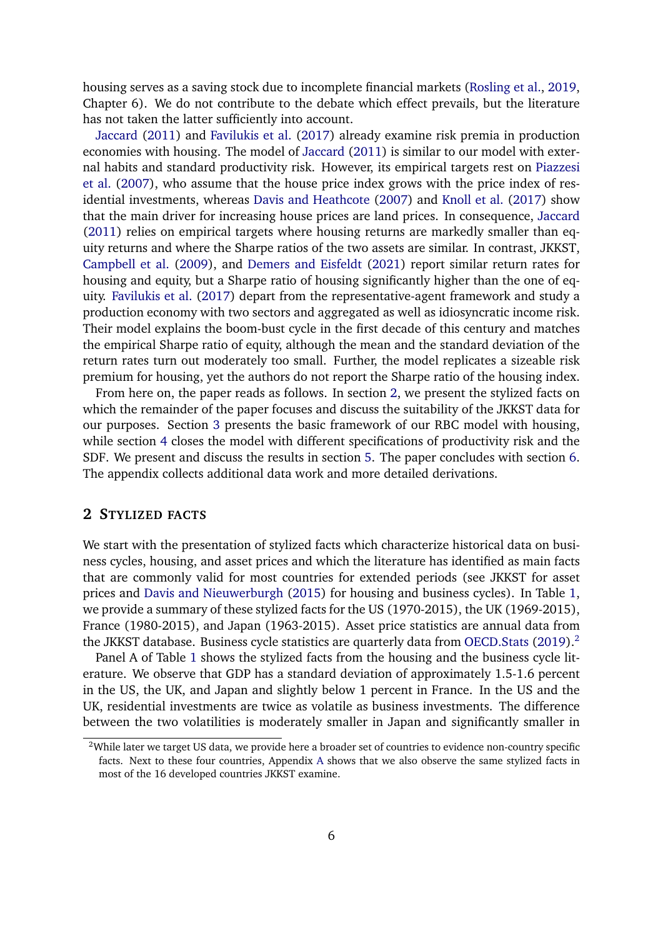housing serves as a saving stock due to incomplete financial markets [\(Rosling et al.,](#page-39-9) [2019,](#page-39-9) Chapter 6). We do not contribute to the debate which effect prevails, but the literature has not taken the latter sufficiently into account.

[Jaccard](#page-38-7) [\(2011\)](#page-38-7) and [Favilukis et al.](#page-37-5) [\(2017\)](#page-37-5) already examine risk premia in production economies with housing. The model of [Jaccard](#page-38-7) [\(2011\)](#page-38-7) is similar to our model with external habits and standard productivity risk. However, its empirical targets rest on [Piazzesi](#page-39-4) [et al.](#page-39-4) [\(2007\)](#page-39-4), who assume that the house price index grows with the price index of residential investments, whereas [Davis and Heathcote](#page-37-6) [\(2007\)](#page-37-6) and [Knoll et al.](#page-39-10) [\(2017\)](#page-39-10) show that the main driver for increasing house prices are land prices. In consequence, [Jaccard](#page-38-7) [\(2011\)](#page-38-7) relies on empirical targets where housing returns are markedly smaller than equity returns and where the Sharpe ratios of the two assets are similar. In contrast, JKKST, [Campbell et al.](#page-36-8) [\(2009\)](#page-36-8), and [Demers and Eisfeldt](#page-37-7) [\(2021\)](#page-37-7) report similar return rates for housing and equity, but a Sharpe ratio of housing significantly higher than the one of equity. [Favilukis et al.](#page-37-5) [\(2017\)](#page-37-5) depart from the representative-agent framework and study a production economy with two sectors and aggregated as well as idiosyncratic income risk. Their model explains the boom-bust cycle in the first decade of this century and matches the empirical Sharpe ratio of equity, although the mean and the standard deviation of the return rates turn out moderately too small. Further, the model replicates a sizeable risk premium for housing, yet the authors do not report the Sharpe ratio of the housing index.

From here on, the paper reads as follows. In section [2,](#page-5-0) we present the stylized facts on which the remainder of the paper focuses and discuss the suitability of the JKKST data for our purposes. Section [3](#page-9-0) presents the basic framework of our RBC model with housing, while section [4](#page-14-0) closes the model with different specifications of productivity risk and the SDF. We present and discuss the results in section [5.](#page-18-0) The paper concludes with section [6.](#page-34-0) The appendix collects additional data work and more detailed derivations.

### <span id="page-5-0"></span>**2 STYLIZED FACTS**

We start with the presentation of stylized facts which characterize historical data on business cycles, housing, and asset prices and which the literature has identified as main facts that are commonly valid for most countries for extended periods (see JKKST for asset prices and [Davis and Nieuwerburgh](#page-37-8) [\(2015\)](#page-37-8) for housing and business cycles). In Table [1,](#page-7-0) we provide a summary of these stylized facts for the US (1970-2015), the UK (1969-2015), France (1980-2015), and Japan (1963-2015). Asset price statistics are annual data from the JKKST database. Business cycle statistics are quarterly data from [OECD.Stats](#page-39-2) [\(2019\)](#page-39-2).<sup>[2](#page-5-1)</sup>

Panel A of Table [1](#page-7-0) shows the stylized facts from the housing and the business cycle literature. We observe that GDP has a standard deviation of approximately 1.5-1.6 percent in the US, the UK, and Japan and slightly below 1 percent in France. In the US and the UK, residential investments are twice as volatile as business investments. The difference between the two volatilities is moderately smaller in Japan and significantly smaller in

<span id="page-5-1"></span><sup>&</sup>lt;sup>2</sup>While later we target US data, we provide here a broader set of countries to evidence non-country specific facts. Next to these four countries, Appendix [A](#page-42-0) shows that we also observe the same stylized facts in most of the 16 developed countries JKKST examine.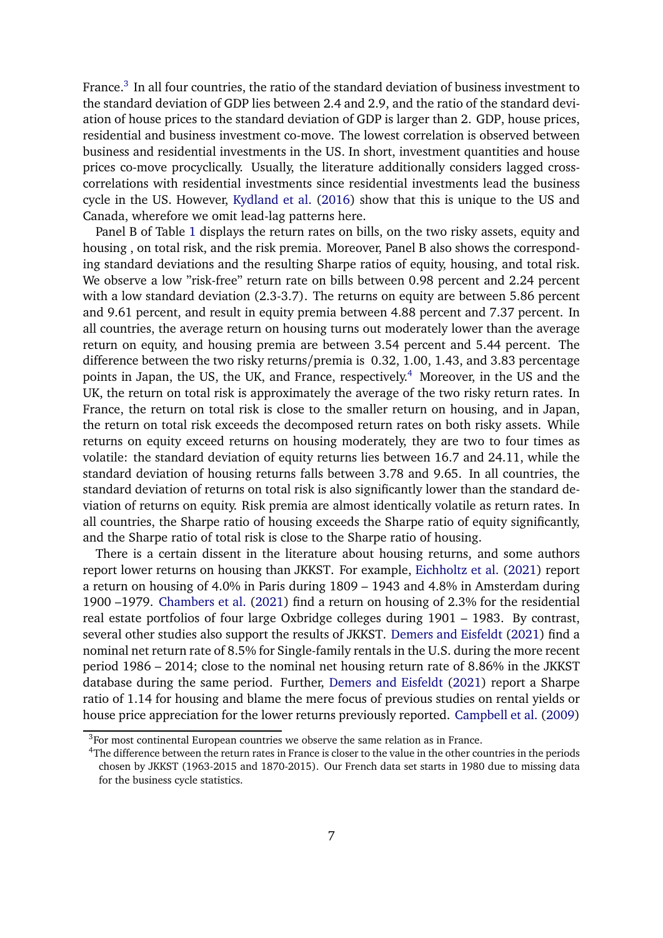France.<sup>[3](#page-6-0)</sup> In all four countries, the ratio of the standard deviation of business investment to the standard deviation of GDP lies between 2.4 and 2.9, and the ratio of the standard deviation of house prices to the standard deviation of GDP is larger than 2. GDP, house prices, residential and business investment co-move. The lowest correlation is observed between business and residential investments in the US. In short, investment quantities and house prices co-move procyclically. Usually, the literature additionally considers lagged crosscorrelations with residential investments since residential investments lead the business cycle in the US. However, [Kydland et al.](#page-39-11) [\(2016\)](#page-39-11) show that this is unique to the US and Canada, wherefore we omit lead-lag patterns here.

Panel B of Table [1](#page-7-0) displays the return rates on bills, on the two risky assets, equity and housing , on total risk, and the risk premia. Moreover, Panel B also shows the corresponding standard deviations and the resulting Sharpe ratios of equity, housing, and total risk. We observe a low "risk-free" return rate on bills between 0.98 percent and 2.24 percent with a low standard deviation (2.3-3.7). The returns on equity are between 5.86 percent and 9.61 percent, and result in equity premia between 4.88 percent and 7.37 percent. In all countries, the average return on housing turns out moderately lower than the average return on equity, and housing premia are between 3.54 percent and 5.44 percent. The difference between the two risky returns/premia is 0.32, 1.00, 1.43, and 3.83 percentage points in Japan, the US, the UK, and France, respectively.<sup>[4](#page-6-1)</sup> Moreover, in the US and the UK, the return on total risk is approximately the average of the two risky return rates. In France, the return on total risk is close to the smaller return on housing, and in Japan, the return on total risk exceeds the decomposed return rates on both risky assets. While returns on equity exceed returns on housing moderately, they are two to four times as volatile: the standard deviation of equity returns lies between 16.7 and 24.11, while the standard deviation of housing returns falls between 3.78 and 9.65. In all countries, the standard deviation of returns on total risk is also significantly lower than the standard deviation of returns on equity. Risk premia are almost identically volatile as return rates. In all countries, the Sharpe ratio of housing exceeds the Sharpe ratio of equity significantly, and the Sharpe ratio of total risk is close to the Sharpe ratio of housing.

There is a certain dissent in the literature about housing returns, and some authors report lower returns on housing than JKKST. For example, [Eichholtz et al.](#page-37-9) [\(2021\)](#page-37-9) report a return on housing of 4.0% in Paris during 1809 – 1943 and 4.8% in Amsterdam during 1900 –1979. [Chambers et al.](#page-36-9) [\(2021\)](#page-36-9) find a return on housing of 2.3% for the residential real estate portfolios of four large Oxbridge colleges during 1901 – 1983. By contrast, several other studies also support the results of JKKST. [Demers and Eisfeldt](#page-37-7) [\(2021\)](#page-37-7) find a nominal net return rate of 8.5% for Single-family rentals in the U.S. during the more recent period 1986 – 2014; close to the nominal net housing return rate of 8.86% in the JKKST database during the same period. Further, [Demers and Eisfeldt](#page-37-7) [\(2021\)](#page-37-7) report a Sharpe ratio of 1.14 for housing and blame the mere focus of previous studies on rental yields or house price appreciation for the lower returns previously reported. [Campbell et al.](#page-36-8) [\(2009\)](#page-36-8)

<span id="page-6-0"></span> $3$ For most continental European countries we observe the same relation as in France.

<span id="page-6-1"></span><sup>4</sup>The difference between the return rates in France is closer to the value in the other countries in the periods chosen by JKKST (1963-2015 and 1870-2015). Our French data set starts in 1980 due to missing data for the business cycle statistics.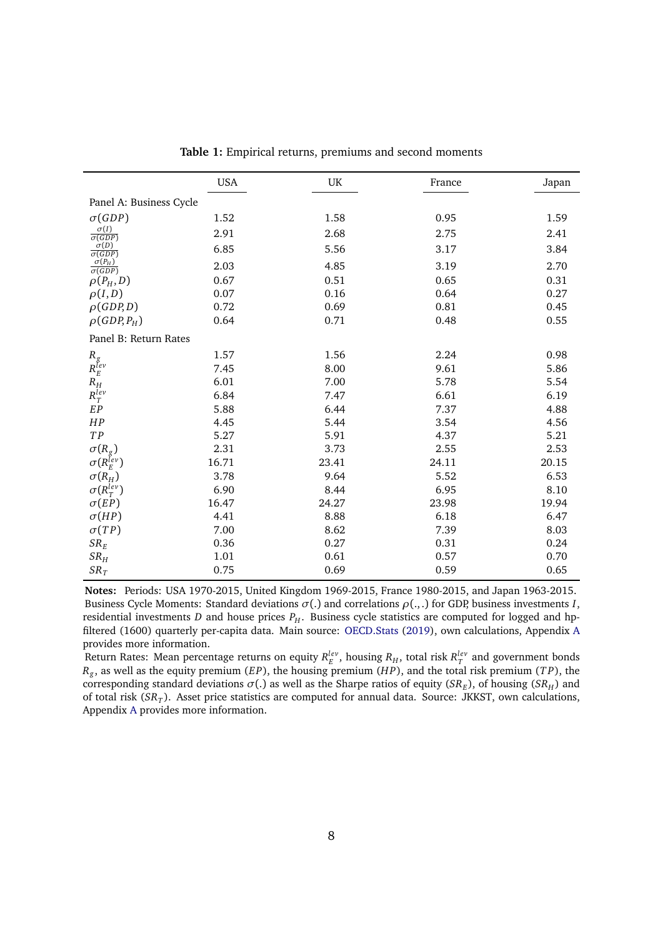<span id="page-7-0"></span>

|                                                          | <b>USA</b> | UK    | France | Japan |  |
|----------------------------------------------------------|------------|-------|--------|-------|--|
| Panel A: Business Cycle                                  |            |       |        |       |  |
| $\sigma(GDP)$                                            | 1.52       | 1.58  | 0.95   | 1.59  |  |
| $\frac{\sigma(I)}{\sigma(GDP)}$                          | 2.91       | 2.68  | 2.75   | 2.41  |  |
| $\sigma(D)$                                              | 6.85       | 5.56  | 3.17   | 3.84  |  |
| $\frac{\overbrace{\sigma(GDP)}\sigma(P_H)}{\sigma(GDP)}$ | 2.03       | 4.85  | 3.19   | 2.70  |  |
| $\rho(P_H,D)$                                            | 0.67       | 0.51  | 0.65   | 0.31  |  |
| $\rho(I,D)$                                              | 0.07       | 0.16  | 0.64   | 0.27  |  |
| $\rho(GDP,D)$                                            | 0.72       | 0.69  | 0.81   | 0.45  |  |
| $\rho(GDP, P_H)$                                         | 0.64       | 0.71  | 0.48   | 0.55  |  |
| Panel B: Return Rates                                    |            |       |        |       |  |
|                                                          | 1.57       | 1.56  | 2.24   | 0.98  |  |
| $\begin{array}{c} R_g\\ R_E^{lev}\\ R_H \end{array}$     | 7.45       | 8.00  | 9.61   | 5.86  |  |
|                                                          | 6.01       | 7.00  | 5.78   | 5.54  |  |
| $R_T^{lev}$                                              | 6.84       | 7.47  | 6.61   | 6.19  |  |
| EP                                                       | 5.88       | 6.44  | 7.37   | 4.88  |  |
| HP                                                       | 4.45       | 5.44  | 3.54   | 4.56  |  |
| TP                                                       | 5.27       | 5.91  | 4.37   | 5.21  |  |
| $\sigma(R_g)$                                            | 2.31       | 3.73  | 2.55   | 2.53  |  |
| $\sigma(R_E^{Iev})$                                      | 16.71      | 23.41 | 24.11  | 20.15 |  |
| $\sigma(R_H)$                                            | 3.78       | 9.64  | 5.52   | 6.53  |  |
| $\sigma(R_T^{lev})$                                      | 6.90       | 8.44  | 6.95   | 8.10  |  |
| $\sigma(EP)$                                             | 16.47      | 24.27 | 23.98  | 19.94 |  |
| $\sigma(HP)$                                             | 4.41       | 8.88  | 6.18   | 6.47  |  |
| $\sigma(TP)$                                             | 7.00       | 8.62  | 7.39   | 8.03  |  |
| $SR_E$                                                   | 0.36       | 0.27  | 0.31   | 0.24  |  |
| $SR_H$                                                   | 1.01       | 0.61  | 0.57   | 0.70  |  |
| $SR_T$                                                   | 0.75       | 0.69  | 0.59   | 0.65  |  |

**Table 1:** Empirical returns, premiums and second moments

**Notes:** Periods: USA 1970-2015, United Kingdom 1969-2015, France 1980-2015, and Japan 1963-2015. Business Cycle Moments: Standard deviations  $\sigma(.)$  and correlations  $\rho(.,.)$  for GDP, business investments *I*, residential investments *D* and house prices  $P_H$ . Business cycle statistics are computed for logged and hpfiltered (1600) quarterly per-capita data. Main source: [OECD.Stats](#page-39-2) [\(2019\)](#page-39-2), own calculations, Appendix [A](#page-42-0) provides more information.

Return Rates: Mean percentage returns on equity  $R_E^{lev}$ , housing  $R_H$ , total risk  $R_T^{lev}$  and government bonds *Rg* , as well as the equity premium (*EP*), the housing premium (*H P*), and the total risk premium (*T P*), the corresponding standard deviations  $\sigma(.)$  as well as the Sharpe ratios of equity (*SR<sub>E</sub>*), of housing (*SR<sub>H</sub>*) and of total risk (*SR<sup>T</sup>* ). Asset price statistics are computed for annual data. Source: JKKST, own calculations, Appendix [A](#page-42-0) provides more information.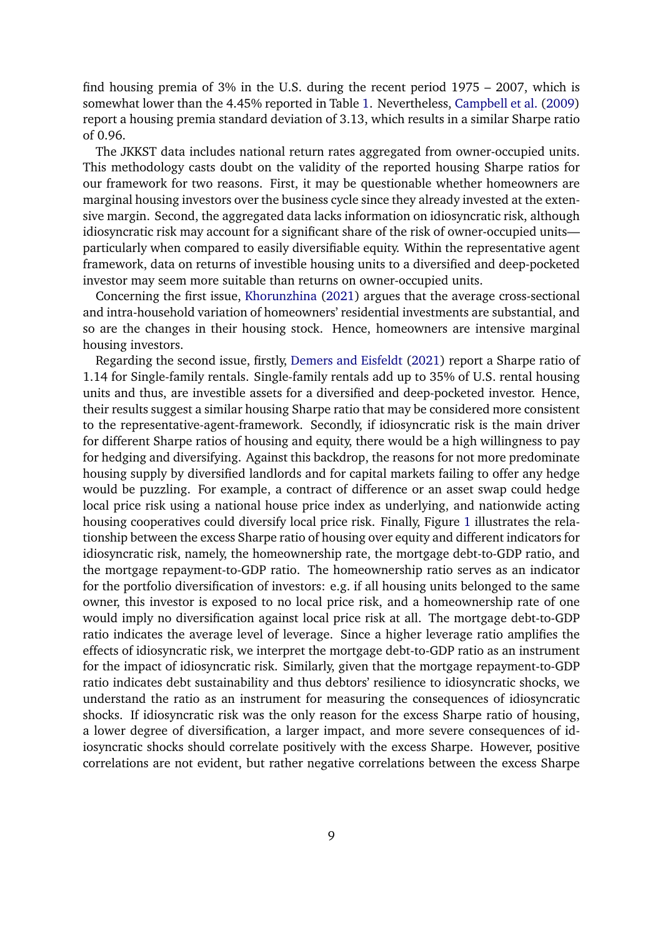find housing premia of 3% in the U.S. during the recent period 1975 – 2007, which is somewhat lower than the 4.45% reported in Table [1.](#page-7-0) Nevertheless, [Campbell et al.](#page-36-8) [\(2009\)](#page-36-8) report a housing premia standard deviation of 3.13, which results in a similar Sharpe ratio of 0.96.

The JKKST data includes national return rates aggregated from owner-occupied units. This methodology casts doubt on the validity of the reported housing Sharpe ratios for our framework for two reasons. First, it may be questionable whether homeowners are marginal housing investors over the business cycle since they already invested at the extensive margin. Second, the aggregated data lacks information on idiosyncratic risk, although idiosyncratic risk may account for a significant share of the risk of owner-occupied units particularly when compared to easily diversifiable equity. Within the representative agent framework, data on returns of investible housing units to a diversified and deep-pocketed investor may seem more suitable than returns on owner-occupied units.

Concerning the first issue, [Khorunzhina](#page-39-8) [\(2021\)](#page-39-8) argues that the average cross-sectional and intra-household variation of homeowners' residential investments are substantial, and so are the changes in their housing stock. Hence, homeowners are intensive marginal housing investors.

Regarding the second issue, firstly, [Demers and Eisfeldt](#page-37-7) [\(2021\)](#page-37-7) report a Sharpe ratio of 1.14 for Single-family rentals. Single-family rentals add up to 35% of U.S. rental housing units and thus, are investible assets for a diversified and deep-pocketed investor. Hence, their results suggest a similar housing Sharpe ratio that may be considered more consistent to the representative-agent-framework. Secondly, if idiosyncratic risk is the main driver for different Sharpe ratios of housing and equity, there would be a high willingness to pay for hedging and diversifying. Against this backdrop, the reasons for not more predominate housing supply by diversified landlords and for capital markets failing to offer any hedge would be puzzling. For example, a contract of difference or an asset swap could hedge local price risk using a national house price index as underlying, and nationwide acting housing cooperatives could diversify local price risk. Finally, Figure [1](#page-9-1) illustrates the relationship between the excess Sharpe ratio of housing over equity and different indicators for idiosyncratic risk, namely, the homeownership rate, the mortgage debt-to-GDP ratio, and the mortgage repayment-to-GDP ratio. The homeownership ratio serves as an indicator for the portfolio diversification of investors: e.g. if all housing units belonged to the same owner, this investor is exposed to no local price risk, and a homeownership rate of one would imply no diversification against local price risk at all. The mortgage debt-to-GDP ratio indicates the average level of leverage. Since a higher leverage ratio amplifies the effects of idiosyncratic risk, we interpret the mortgage debt-to-GDP ratio as an instrument for the impact of idiosyncratic risk. Similarly, given that the mortgage repayment-to-GDP ratio indicates debt sustainability and thus debtors' resilience to idiosyncratic shocks, we understand the ratio as an instrument for measuring the consequences of idiosyncratic shocks. If idiosyncratic risk was the only reason for the excess Sharpe ratio of housing, a lower degree of diversification, a larger impact, and more severe consequences of idiosyncratic shocks should correlate positively with the excess Sharpe. However, positive correlations are not evident, but rather negative correlations between the excess Sharpe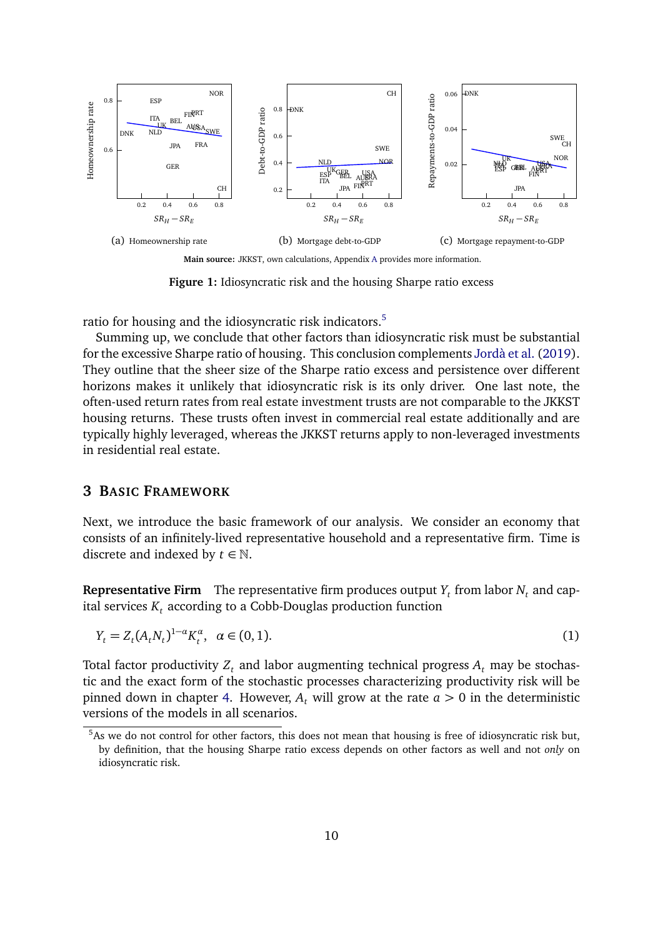<span id="page-9-1"></span>

**Figure 1:** Idiosyncratic risk and the housing Sharpe ratio excess

ratio for housing and the idiosyncratic risk indicators.<sup>[5](#page-9-2)</sup>

Summing up, we conclude that other factors than idiosyncratic risk must be substantial for the excessive Sharpe ratio of housing. This conclusion complements [Jordà et al.](#page-38-3) [\(2019\)](#page-38-3). They outline that the sheer size of the Sharpe ratio excess and persistence over different horizons makes it unlikely that idiosyncratic risk is its only driver. One last note, the often-used return rates from real estate investment trusts are not comparable to the JKKST housing returns. These trusts often invest in commercial real estate additionally and are typically highly leveraged, whereas the JKKST returns apply to non-leveraged investments in residential real estate.

#### <span id="page-9-0"></span>**3 BASIC FRAMEWORK**

Next, we introduce the basic framework of our analysis. We consider an economy that consists of an infinitely-lived representative household and a representative firm. Time is discrete and indexed by  $t \in \mathbb{N}$ .

**Representative Firm** The representative firm produces output  $Y_t$  from labor  $N_t$  and capital services  $K_t$  according to a Cobb-Douglas production function

<span id="page-9-3"></span>
$$
Y_t = Z_t (A_t N_t)^{1-\alpha} K_t^{\alpha}, \ \ \alpha \in (0,1).
$$
 (1)

Total factor productivity  $Z_t$  and labor augmenting technical progress  $A_t$  may be stochastic and the exact form of the stochastic processes characterizing productivity risk will be pinned down in chapter [4.](#page-14-0) However,  $A_t$  will grow at the rate  $a > 0$  in the deterministic versions of the models in all scenarios.

<span id="page-9-2"></span><sup>&</sup>lt;sup>5</sup>As we do not control for other factors, this does not mean that housing is free of idiosyncratic risk but, by definition, that the housing Sharpe ratio excess depends on other factors as well and not *only* on idiosyncratic risk.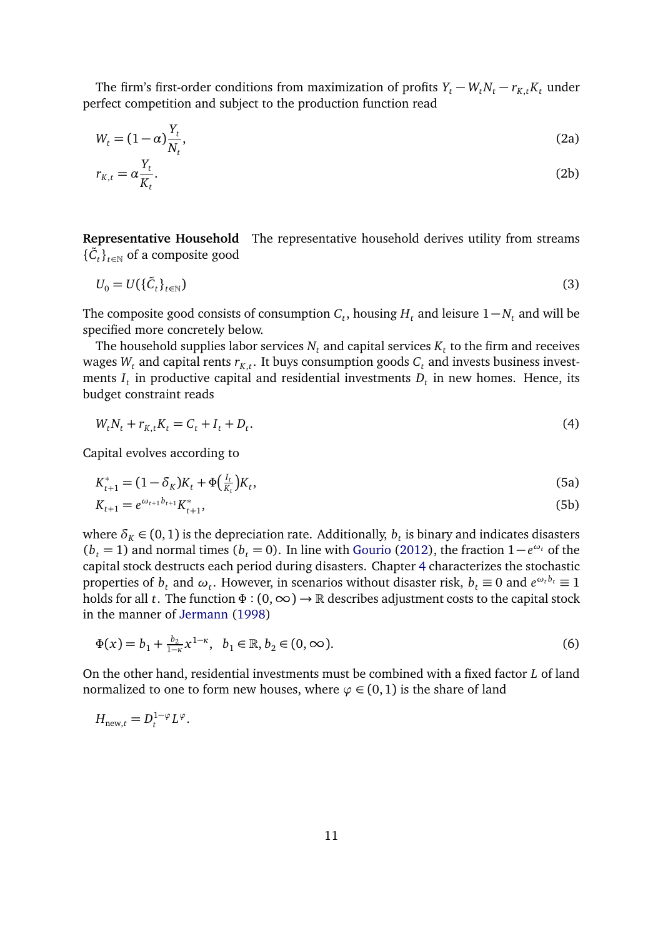The firm's first-order conditions from maximization of profits  $Y_t - W_t N_t - r_{K,t} K_t$  under perfect competition and subject to the production function read

<span id="page-10-2"></span>
$$
W_t = (1 - \alpha) \frac{Y_t}{N_t},\tag{2a}
$$

<span id="page-10-3"></span>
$$
r_{K,t} = \alpha \frac{Y_t}{K_t}.\tag{2b}
$$

**Representative Household** The representative household derives utility from streams  ${\{\tilde{C}_t\}}_{t \in \mathbb{N}}$  of a composite good

<span id="page-10-4"></span>
$$
U_0 = U(\{\tilde{C}_t\}_{t \in \mathbb{N}}) \tag{3}
$$

The composite good consists of consumption  $C_t$ , housing  $H_t$  and leisure  $1 - N_t$  and will be specified more concretely below.

The household supplies labor services  $N_t$  and capital services  $K_t$  to the firm and receives wages  $W_t$  and capital rents  $r_{K,t}.$  It buys consumption goods  $C_t$  and invests business investments  $I_t$  in productive capital and residential investments  $D_t$  in new homes. Hence, its budget constraint reads

<span id="page-10-1"></span><span id="page-10-0"></span>
$$
W_t N_t + r_{K,t} K_t = C_t + I_t + D_t.
$$
\n(4)

Capital evolves according to

$$
K_{t+1}^* = (1 - \delta_K)K_t + \Phi\left(\frac{I_t}{K_t}\right)K_t,\tag{5a}
$$

<span id="page-10-5"></span>
$$
K_{t+1} = e^{\omega_{t+1} b_{t+1}} K_{t+1}^*,\tag{5b}
$$

where  $\delta_K \in (0,1)$  is the depreciation rate. Additionally,  $b_t$  is binary and indicates disasters ( $b_t$  = 1) and normal times ( $b_t$  = 0). In line with [Gourio](#page-37-0) [\(2012\)](#page-37-0), the fraction 1−*e*<sup>ω*t*</sup> of the capital stock destructs each period during disasters. Chapter [4](#page-14-0) characterizes the stochastic properties of  $b_t$  and  $\omega_t$ . However, in scenarios without disaster risk,  $b_t \equiv 0$  and  $e^{\omega_t b_t} \equiv 1$ holds for all *t*. The function *Φ* : (0,∞) → R describes adjustment costs to the capital stock in the manner of [Jermann](#page-38-4) [\(1998\)](#page-38-4)

$$
\Phi(x) = b_1 + \frac{b_2}{1-\kappa} x^{1-\kappa}, \quad b_1 \in \mathbb{R}, b_2 \in (0, \infty).
$$
 (6)

On the other hand, residential investments must be combined with a fixed factor *L* of land normalized to one to form new houses, where  $\varphi \in (0,1)$  is the share of land

$$
H_{\text{new},t} = D_t^{1-\varphi} L^{\varphi}.
$$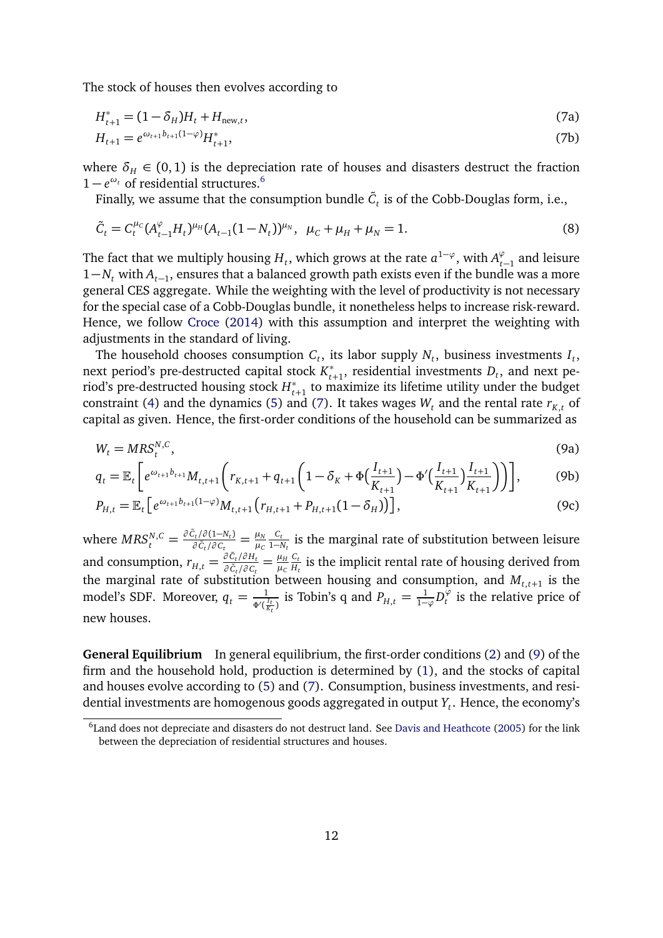The stock of houses then evolves according to

<span id="page-11-1"></span>
$$
H_{t+1}^* = (1 - \delta_H)H_t + H_{\text{new},t},\tag{7a}
$$

<span id="page-11-5"></span>
$$
H_{t+1} = e^{\omega_{t+1}b_{t+1}(1-\varphi)}H_{t+1}^*,\tag{7b}
$$

where  $\delta_H \in (0,1)$  is the depreciation rate of houses and disasters destruct the fraction 1 −  $e^{\omega_t}$  of residential structures.<sup>[6](#page-11-0)</sup>

<span id="page-11-3"></span>Finally, we assume that the consumption bundle  $\tilde{C}_t$  is of the Cobb-Douglas form, i.e.,

$$
\tilde{C}_t = C_t^{\mu_c} (A_{t-1}^{\varphi} H_t)^{\mu_H} (A_{t-1} (1 - N_t))^{\mu_N}, \ \mu_c + \mu_H + \mu_N = 1.
$$
\n(8)

The fact that we multiply housing  $H_t$ , which grows at the rate  $a^{1-\varphi}$ , with  $A_{t-1}^{\varphi}$  and leisure 1−*N<sup>t</sup>* with *At*−<sup>1</sup> , ensures that a balanced growth path exists even if the bundle was a more general CES aggregate. While the weighting with the level of productivity is not necessary for the special case of a Cobb-Douglas bundle, it nonetheless helps to increase risk-reward. Hence, we follow [Croce](#page-36-1) [\(2014\)](#page-36-1) with this assumption and interpret the weighting with adjustments in the standard of living.

The household chooses consumption  $C_t$ , its labor supply  $N_t$ , business investments  $I_t$ , next period's pre-destructed capital stock  $K_{t+1}^*$ , residential investments  $D_t$ , and next period's pre-destructed housing stock  $H_{t+1}^*$  to ma *t*+1 to maximize its lifetime utility under the budget constraint [\(4\)](#page-10-0) and the dynamics [\(5\)](#page-10-1) and [\(7\)](#page-11-1). It takes wages  $W_t$  and the rental rate  $r_{K,t}$  of capital as given. Hence, the first-order conditions of the household can be summarized as

<span id="page-11-4"></span><span id="page-11-2"></span>
$$
W_t = MRS_t^{N,C},\tag{9a}
$$

$$
q_{t} = \mathbb{E}_{t} \left[ e^{\omega_{t+1} b_{t+1}} M_{t,t+1} \left( r_{K,t+1} + q_{t+1} \left( 1 - \delta_{K} + \Phi \left( \frac{I_{t+1}}{K_{t+1}} \right) - \Phi' \left( \frac{I_{t+1}}{K_{t+1}} \right) \frac{I_{t+1}}{K_{t+1}} \right) \right) \right],
$$
 (9b)

$$
P_{H,t} = \mathbb{E}_t \left[ e^{\omega_{t+1} b_{t+1} (1-\varphi)} M_{t,t+1} \left( r_{H,t+1} + P_{H,t+1} (1-\delta_H) \right) \right],\tag{9c}
$$

 $\text{where } \textit{MRS}_{t}^{N,C} = \frac{\partial \tilde{c}_{t}}{\partial \tilde{c}_{t}} / \partial \textit{(1-N}_{t})}{\partial \tilde{c}_{t}} = \frac{\mu_{N}}{\mu_{C}}$ *µC Ct*  $\frac{C_t}{1-N_t}$  is the marginal rate of substitution between leisure and consumption,  $r_{H,t} = \frac{\partial \tilde{c}_t / \partial H_t}{\partial \tilde{c}_t / \partial c_t}$  $\frac{\partial C_t}{\partial \tilde{C}_t}/\partial T_t} = \frac{\mu_H}{\mu_C}$ *µC Ct*  $\frac{U_t}{H_t}$  is the implicit rental rate of housing derived from the marginal rate of substitution between housing and consumption, and  $M_{t,t+1}$  is the model's SDF. Moreover,  $q_t = \frac{1}{\Phi^{(t)}}$  $\frac{1}{\Phi'(\frac{I_t}{K_t})}$  is Tobin's q and  $P_{H,t} = \frac{1}{1-\varphi}D_t^{\varphi}$  $t<sub>t</sub><sup>\varphi</sup>$  is the relative price of new houses.

**General Equilibrium** In general equilibrium, the first-order conditions [\(2\)](#page-10-2) and [\(9\)](#page-11-2) of the firm and the household hold, production is determined by [\(1\)](#page-9-3), and the stocks of capital and houses evolve according to [\(5\)](#page-10-1) and [\(7\)](#page-11-1). Consumption, business investments, and residential investments are homogenous goods aggregated in output *Y<sup>t</sup>* . Hence, the economy's

<span id="page-11-0"></span> ${}^{6}$ Land does not depreciate and disasters do not destruct land. See [Davis and Heathcote](#page-36-5) [\(2005\)](#page-36-5) for the link between the depreciation of residential structures and houses.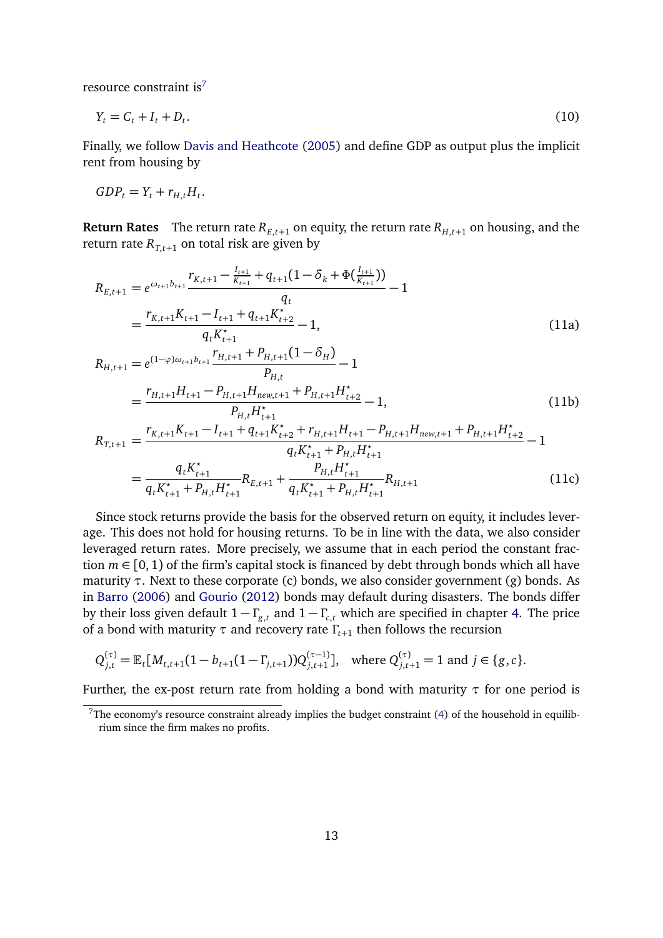resource constraint is<sup>[7](#page-12-0)</sup>

$$
Y_t = C_t + I_t + D_t. \tag{10}
$$

Finally, we follow [Davis and Heathcote](#page-36-5) [\(2005\)](#page-36-5) and define GDP as output plus the implicit rent from housing by

$$
GDP_t = Y_t + r_{H,t}H_t.
$$

**Return Rates** The return rate  $R_{E,t+1}$  on equity, the return rate  $R_{H,t+1}$  on housing, and the return rate  $R_{T,t+1}$  on total risk are given by

$$
R_{E,t+1} = e^{\omega_{t+1}b_{t+1}} \frac{r_{K,t+1} - \frac{I_{t+1}}{K_{t+1}} + q_{t+1}(1 - \delta_k + \Phi(\frac{I_{t+1}}{K_{t+1}}))}{q_t} - 1
$$
\n
$$
= \frac{r_{K,t+1}K_{t+1} - I_{t+1} + q_{t+1}K_{t+2}^*}{q_tK_{t+1}^*} - 1,
$$
\n
$$
R_{H,t+1} = e^{(1-\varphi)\omega_{t+1}b_{t+1}} \frac{r_{H,t+1} + P_{H,t+1}(1 - \delta_H)}{P_{H,t}} - 1
$$
\n
$$
= \frac{r_{H,t+1}H_{t+1} - P_{H,t+1}H_{new,t+1} + P_{H,t+1}H_{t+2}^*}{P_{H,t}H_{t+1}^*} - 1,
$$
\n
$$
R_{T,t+1} = \frac{r_{K,t+1}K_{t+1} - I_{t+1} + q_{t+1}K_{t+2}^* + r_{H,t+1}H_{t+1} - P_{H,t+1}H_{new,t+1} + P_{H,t+1}H_{t+2}^*}{q_tK_{t+1}^* - 1} - 1
$$
\n(11b)

$$
q_{t}K_{t+1}^{\star} + P_{H,t}H_{t+1}^{\star}
$$
\n
$$
= \frac{q_{t}K_{t+1}^{\star}}{q_{t}K_{t+1}^{\star} + P_{H,t}H_{t+1}^{\star}}R_{E,t+1} + \frac{P_{H,t}H_{t+1}^{\star}}{q_{t}K_{t+1}^{\star} + P_{H,t}H_{t+1}^{\star}}R_{H,t+1}
$$
\n(11c)

Since stock returns provide the basis for the observed return on equity, it includes leverage. This does not hold for housing returns. To be in line with the data, we also consider leveraged return rates. More precisely, we assume that in each period the constant fraction  $m \in [0, 1)$  of the firm's capital stock is financed by debt through bonds which all have maturity *τ*. Next to these corporate (c) bonds, we also consider government (g) bonds. As in [Barro](#page-36-2) [\(2006\)](#page-36-2) and [Gourio](#page-37-0) [\(2012\)](#page-37-0) bonds may default during disasters. The bonds differ by their loss given default  $1 - \Gamma_{g,t}$  and  $1 - \Gamma_{g,t}$  which are specified in chapter [4.](#page-14-0) The price of a bond with maturity *τ* and recovery rate *Γ<sup>t</sup>*+<sup>1</sup> then follows the recursion

$$
Q_{j,t}^{(\tau)} = \mathbb{E}_t[M_{t,t+1}(1 - b_{t+1}(1 - \Gamma_{j,t+1}))Q_{j,t+1}^{(\tau-1)}], \text{ where } Q_{j,t+1}^{(\tau)} = 1 \text{ and } j \in \{g, c\}.
$$

Further, the ex-post return rate from holding a bond with maturity *τ* for one period is

<span id="page-12-0"></span><sup>&</sup>lt;sup>7</sup>The economy's resource constraint already implies the budget constraint [\(4\)](#page-10-0) of the household in equilibrium since the firm makes no profits.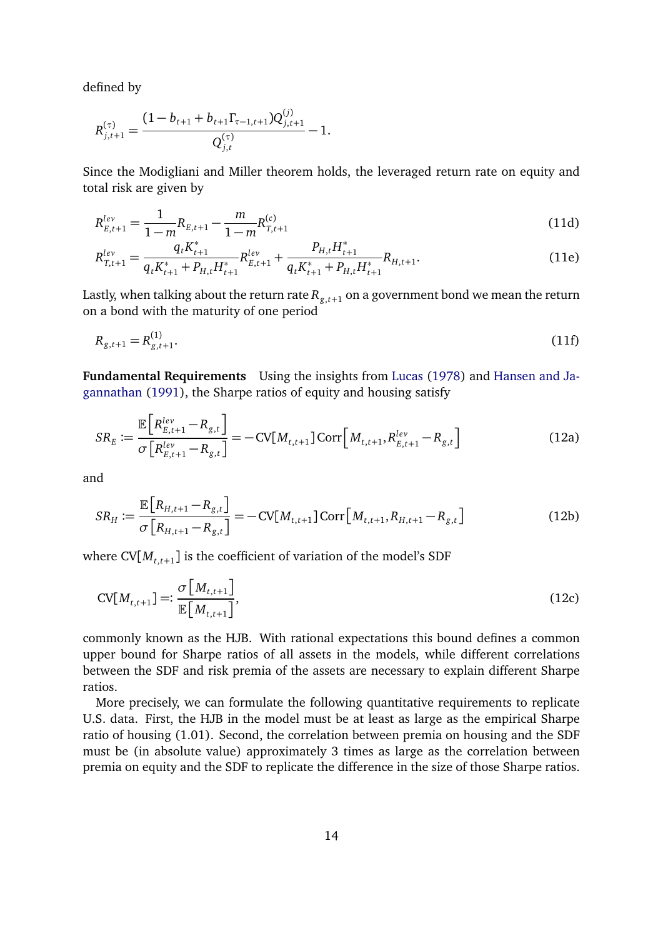defined by

$$
R_{j,t+1}^{(\tau)} = \frac{(1 - b_{t+1} + b_{t+1} \Gamma_{\tau-1,t+1}) Q_{j,t+1}^{(j)}}{Q_{j,t}^{(\tau)}} - 1.
$$

Since the Modigliani and Miller theorem holds, the leveraged return rate on equity and total risk are given by

$$
R_{E,t+1}^{lev} = \frac{1}{1-m} R_{E,t+1} - \frac{m}{1-m} R_{T,t+1}^{(c)}
$$
(11d)

$$
R_{T,t+1}^{lev} = \frac{q_t K_{t+1}^*}{q_t K_{t+1}^* + P_{H,t} H_{t+1}^*} R_{E,t+1}^{lev} + \frac{P_{H,t} H_{t+1}^*}{q_t K_{t+1}^* + P_{H,t} H_{t+1}^*} R_{H,t+1}.
$$
(11e)

Lastly, when talking about the return rate  $R_{g,t+1}$  on a government bond we mean the return on a bond with the maturity of one period

$$
R_{g,t+1} = R_{g,t+1}^{(1)}.\tag{11f}
$$

**Fundamental Requirements** Using the insights from [Lucas](#page-39-12) [\(1978\)](#page-39-12) and [Hansen and Ja](#page-38-8)[gannathan](#page-38-8) [\(1991\)](#page-38-8), the Sharpe ratios of equity and housing satisfy

<span id="page-13-0"></span>
$$
SR_E := \frac{\mathbb{E}\left[R_{E,t+1}^{lev} - R_{g,t}\right]}{\sigma\left[R_{E,t+1}^{lev} - R_{g,t}\right]} = -CV[M_{t,t+1}]Corr\left[M_{t,t+1}, R_{E,t+1}^{lev} - R_{g,t}\right]
$$
(12a)

and

$$
SR_H := \frac{\mathbb{E}\left[R_{H,t+1} - R_{g,t}\right]}{\sigma\left[R_{H,t+1} - R_{g,t}\right]} = -CV[M_{t,t+1}]Corr\left[M_{t,t+1}, R_{H,t+1} - R_{g,t}\right]
$$
(12b)

where  $\text{CV}[M_{t,t+1}]$  is the coefficient of variation of the model's SDF

$$
CV[M_{t,t+1}] =: \frac{\sigma \left[M_{t,t+1}\right]}{\mathbb{E}\left[M_{t,t+1}\right]},
$$
\n(12c)

commonly known as the HJB. With rational expectations this bound defines a common upper bound for Sharpe ratios of all assets in the models, while different correlations between the SDF and risk premia of the assets are necessary to explain different Sharpe ratios.

More precisely, we can formulate the following quantitative requirements to replicate U.S. data. First, the HJB in the model must be at least as large as the empirical Sharpe ratio of housing (1.01). Second, the correlation between premia on housing and the SDF must be (in absolute value) approximately 3 times as large as the correlation between premia on equity and the SDF to replicate the difference in the size of those Sharpe ratios.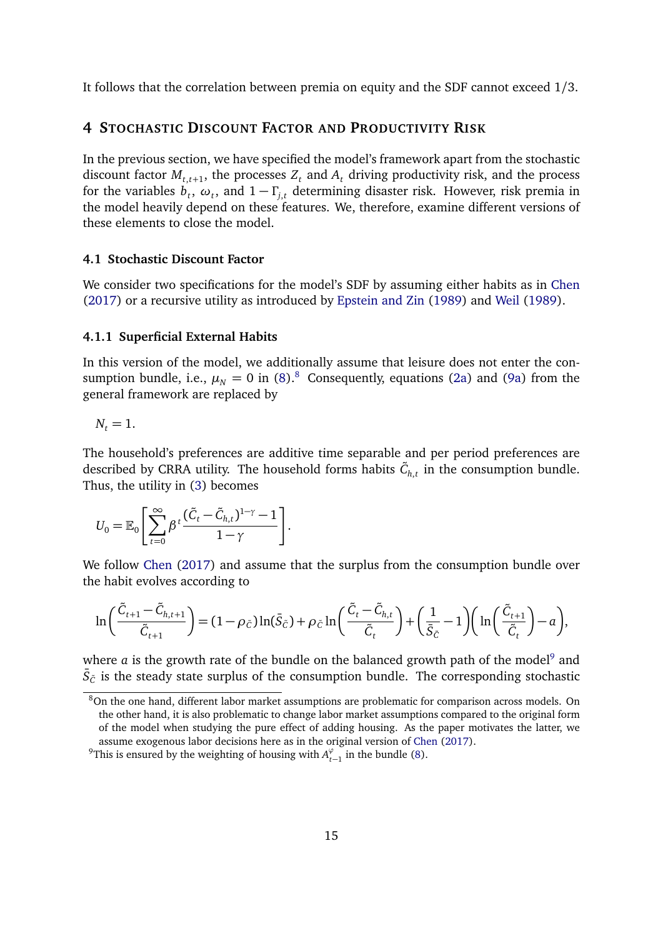It follows that the correlation between premia on equity and the SDF cannot exceed 1/3.

# <span id="page-14-0"></span>**4 STOCHASTIC DISCOUNT FACTOR AND PRODUCTIVITY RISK**

In the previous section, we have specified the model's framework apart from the stochastic discount factor  $M_{t,t+1}$ , the processes  $Z_t$  and  $A_t$  driving productivity risk, and the process for the variables  $\dot{b_t}$ ,  $\omega_t$ , and  $1 - \Gamma_{j,t}$  determining disaster risk. However, risk premia in the model heavily depend on these features. We, therefore, examine different versions of these elements to close the model.

#### **4.1 Stochastic Discount Factor**

We consider two specifications for the model's SDF by assuming either habits as in [Chen](#page-36-3) [\(2017\)](#page-36-3) or a recursive utility as introduced by [Epstein and Zin](#page-37-1) [\(1989\)](#page-37-1) and [Weil](#page-40-0) [\(1989\)](#page-40-0).

#### **4.1.1 Superficial External Habits**

In this version of the model, we additionally assume that leisure does not enter the consumption bundle, i.e.,  $\mu_N = 0$  in [\(8\)](#page-11-3).<sup>[8](#page-14-1)</sup> Consequently, equations [\(2a\)](#page-10-3) and [\(9a\)](#page-11-4) from the general framework are replaced by

$$
N_t=1.
$$

The household's preferences are additive time separable and per period preferences are described by CRRA utility. The household forms habits  $\tilde{C}_{h,t}$  in the consumption bundle. Thus, the utility in [\(3\)](#page-10-4) becomes

$$
U_0 = \mathbb{E}_0 \left[ \sum_{t=0}^{\infty} \beta^t \frac{(\tilde{C}_t - \tilde{C}_{h,t})^{1-\gamma} - 1}{1-\gamma} \right].
$$

We follow [Chen](#page-36-3) [\(2017\)](#page-36-3) and assume that the surplus from the consumption bundle over the habit evolves according to

$$
\ln\left(\frac{\tilde{C}_{t+1}-\tilde{C}_{h,t+1}}{\tilde{C}_{t+1}}\right)=(1-\rho_{\tilde{C}})\ln(\bar{S}_{\tilde{C}})+\rho_{\tilde{C}}\ln\left(\frac{\tilde{C}_t-\tilde{C}_{h,t}}{\tilde{C}_t}\right)+\left(\frac{1}{\bar{S}_{\tilde{C}}}-1\right)\left(\ln\left(\frac{\tilde{C}_{t+1}}{\tilde{C}_t}\right)-a\right),
$$

where  $a$  is the growth rate of the bundle on the balanced growth path of the model<sup>[9](#page-14-2)</sup> and  $\bar{S}_{\tilde{C}}$  is the steady state surplus of the consumption bundle. The corresponding stochastic

<span id="page-14-1"></span><sup>8</sup>On the one hand, different labor market assumptions are problematic for comparison across models. On the other hand, it is also problematic to change labor market assumptions compared to the original form of the model when studying the pure effect of adding housing. As the paper motivates the latter, we assume exogenous labor decisions here as in the original version of [Chen](#page-36-3) [\(2017\)](#page-36-3).

<span id="page-14-2"></span><sup>&</sup>lt;sup>9</sup>This is ensured by the weighting of housing with  $A_{t-1}^{\varphi}$  in the bundle [\(8\)](#page-11-3).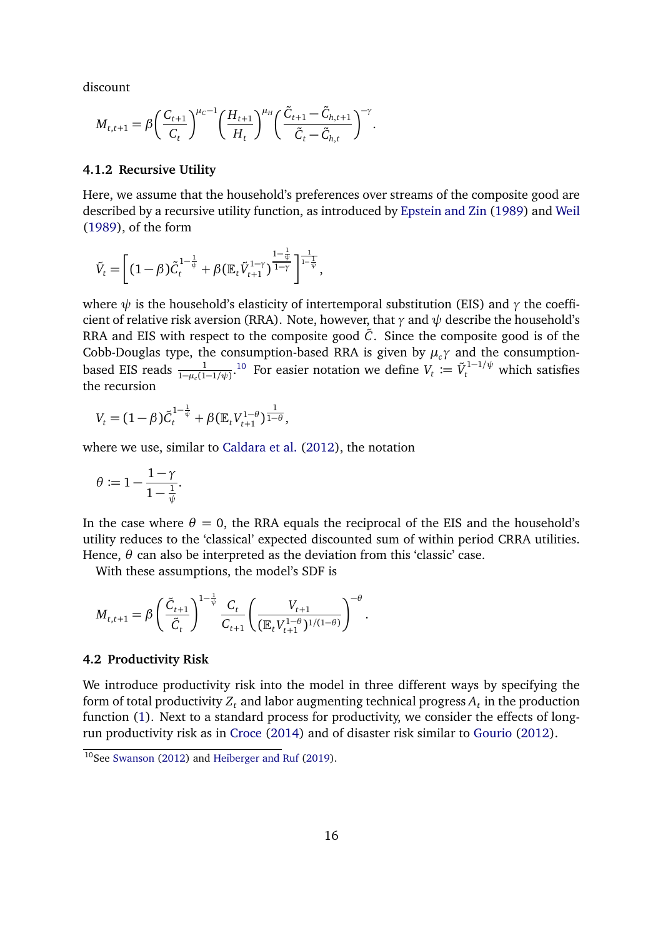discount

$$
M_{t,t+1} = \beta \bigg(\frac{C_{t+1}}{C_t}\bigg)^{\mu_c - 1} \bigg(\frac{H_{t+1}}{H_t}\bigg)^{\mu_H} \bigg(\frac{\tilde{C}_{t+1} - \tilde{C}_{h,t+1}}{\tilde{C}_t - \tilde{C}_{h,t}}\bigg)^{-\gamma}.
$$

#### **4.1.2 Recursive Utility**

Here, we assume that the household's preferences over streams of the composite good are described by a recursive utility function, as introduced by [Epstein and Zin](#page-37-1) [\(1989\)](#page-37-1) and [Weil](#page-40-0) [\(1989\)](#page-40-0), of the form

$$
\tilde{V}_t = \left[ (1-\beta) \tilde{C}_t^{1-\frac{1}{\psi}} + \beta (\mathbb{E}_t \tilde{V}_{t+1}^{1-\gamma})^{\frac{1-\frac{1}{\psi}}{1-\gamma}} \right]^{\frac{1}{1-\frac{1}{\psi}}},
$$

where  $\psi$  is the household's elasticity of intertemporal substitution (EIS) and  $\gamma$  the coefficient of relative risk aversion (RRA). Note, however, that *γ* and *ψ* describe the household's RRA and EIS with respect to the composite good  $\tilde{C}$ . Since the composite good is of the Cobb-Douglas type, the consumption-based RRA is given by  $\mu_c \gamma$  and the consumptionbased EIS reads  $\frac{1}{1-\mu_c(1-1/\psi)}$ .<sup>[10](#page-15-0)</sup> For easier notation we define  $V_t := \tilde{V}_t^{1-1/\psi}$  which satisfies the recursion

$$
V_t = (1 - \beta)\tilde{C}_t^{1 - \frac{1}{\psi}} + \beta (\mathbb{E}_t V_{t+1}^{1 - \theta})^{\frac{1}{1 - \theta}},
$$

where we use, similar to [Caldara et al.](#page-36-10) [\(2012\)](#page-36-10), the notation

$$
\theta \coloneqq 1 - \frac{1 - \gamma}{1 - \frac{1}{\psi}}.
$$

In the case where  $\theta = 0$ , the RRA equals the reciprocal of the EIS and the household's utility reduces to the 'classical' expected discounted sum of within period CRRA utilities. Hence,  $\theta$  can also be interpreted as the deviation from this 'classic' case.

With these assumptions, the model's SDF is

$$
M_{t,t+1} = \beta \left(\frac{\tilde{C}_{t+1}}{\tilde{C}_t}\right)^{1-\frac{1}{\psi}} \frac{C_t}{C_{t+1}} \left(\frac{V_{t+1}}{(\mathbb{E}_t V_{t+1}^{1-\theta})^{1/(1-\theta)}}\right)^{-\theta}.
$$

#### **4.2 Productivity Risk**

We introduce productivity risk into the model in three different ways by specifying the form of total productivity  $Z_t$  and labor augmenting technical progress  $A_t$  in the production function [\(1\)](#page-9-3). Next to a standard process for productivity, we consider the effects of longrun productivity risk as in [Croce](#page-36-1) [\(2014\)](#page-36-1) and of disaster risk similar to [Gourio](#page-37-0) [\(2012\)](#page-37-0).

<span id="page-15-0"></span> $10$ See [Swanson](#page-40-2) [\(2012\)](#page-40-2) and [Heiberger and Ruf](#page-38-9) [\(2019\)](#page-38-9).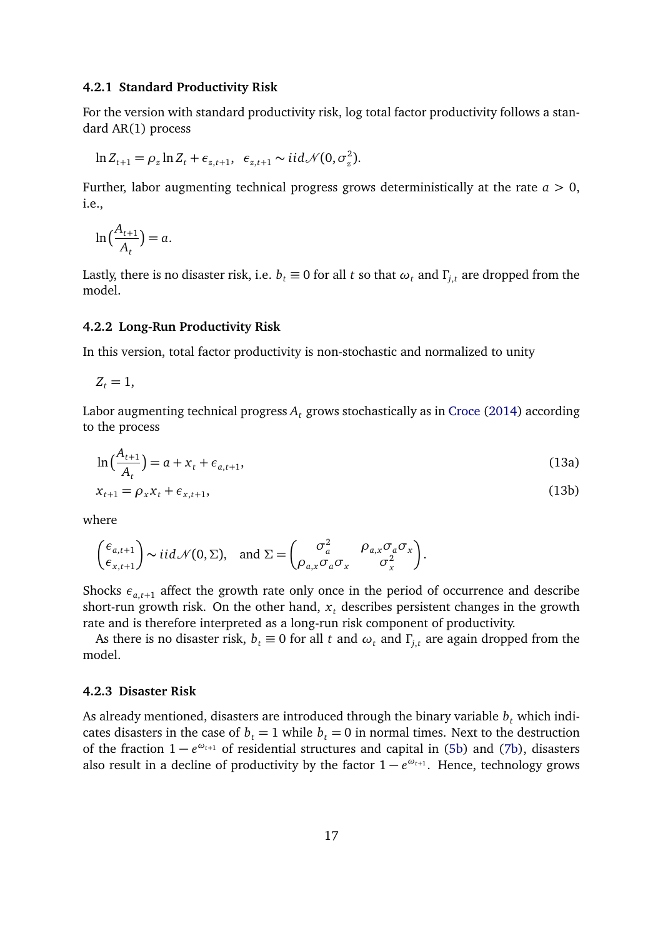#### **4.2.1 Standard Productivity Risk**

For the version with standard productivity risk, log total factor productivity follows a standard AR(1) process

$$
\ln Z_{t+1} = \rho_z \ln Z_t + \epsilon_{z,t+1}, \ \epsilon_{z,t+1} \sim \mathcal{i} \mathcal{i} d \mathcal{N}(0, \sigma_z^2).
$$

Further, labor augmenting technical progress grows deterministically at the rate  $a > 0$ , i.e.,

$$
\ln\left(\frac{A_{t+1}}{A_t}\right) = a.
$$

Lastly, there is no disaster risk, i.e.  $b_t \equiv 0$  for all *t* so that  $\omega_t$  and  $\Gamma_{i,t}$  are dropped from the model.

#### **4.2.2 Long-Run Productivity Risk**

In this version, total factor productivity is non-stochastic and normalized to unity

$$
Z_t=1,
$$

Labor augmenting technical progress *A<sup>t</sup>* grows stochastically as in [Croce](#page-36-1) [\(2014\)](#page-36-1) according to the process

<span id="page-16-0"></span>
$$
\ln\left(\frac{A_{t+1}}{A_t}\right) = a + x_t + \epsilon_{a,t+1},\tag{13a}
$$

$$
x_{t+1} = \rho_x x_t + \epsilon_{x,t+1},\tag{13b}
$$

where

$$
\begin{pmatrix} \epsilon_{a,t+1} \\ \epsilon_{x,t+1} \end{pmatrix} \sim i i d \mathcal{N}(0,\Sigma), \text{ and } \Sigma = \begin{pmatrix} \sigma_a^2 & \rho_{a,x} \sigma_a \sigma_x \\ \rho_{a,x} \sigma_a \sigma_x & \sigma_x^2 \end{pmatrix}.
$$

Shocks  $\epsilon_{a,t+1}$  affect the growth rate only once in the period of occurrence and describe short-run growth risk. On the other hand,  $x_t$  describes persistent changes in the growth rate and is therefore interpreted as a long-run risk component of productivity.

As there is no disaster risk,  $b_t \equiv 0$  for all *t* and  $\omega_t$  and  $\Gamma$ <sub>*t*</sub> are again dropped from the model.

#### **4.2.3 Disaster Risk**

As already mentioned, disasters are introduced through the binary variable  $b_t$  which indicates disasters in the case of  $b_t = 1$  while  $b_t = 0$  in normal times. Next to the destruction of the fraction 1 − *e <sup>ω</sup>t*+<sup>1</sup> of residential structures and capital in [\(5b\)](#page-10-5) and [\(7b\)](#page-11-5), disasters also result in a decline of productivity by the factor  $1 - e^{\omega_{t+1}}$ . Hence, technology grows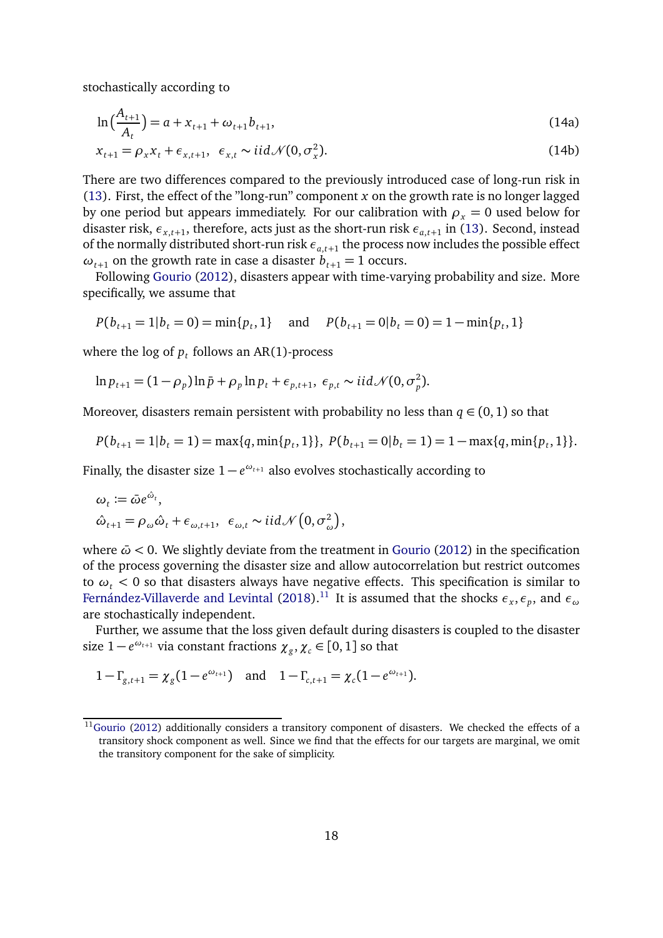stochastically according to

$$
\ln\left(\frac{A_{t+1}}{A_t}\right) = a + x_{t+1} + \omega_{t+1}b_{t+1},\tag{14a}
$$

$$
x_{t+1} = \rho_x x_t + \epsilon_{x,t+1}, \ \epsilon_{x,t} \sim \text{iid} \mathcal{N}(0, \sigma_x^2). \tag{14b}
$$

There are two differences compared to the previously introduced case of long-run risk in [\(13\)](#page-16-0). First, the effect of the "long-run" component *x* on the growth rate is no longer lagged by one period but appears immediately. For our calibration with  $\rho_x = 0$  used below for disaster risk,  $\epsilon_{x,t+1}$ , therefore, acts just as the short-run risk  $\epsilon_{a,t+1}$  in [\(13\)](#page-16-0). Second, instead of the normally distributed short-run risk  $\epsilon_{a,t+1}$  the process now includes the possible effect  $\omega$ <sub>*t*+1</sub> on the growth rate in case a disaster  $b$ <sub>*t*+1</sub> = 1 occurs.

Following [Gourio](#page-37-0) [\(2012\)](#page-37-0), disasters appear with time-varying probability and size. More specifically, we assume that

$$
P(b_{t+1} = 1 | b_t = 0) = min\{p_t, 1\}
$$
 and  $P(b_{t+1} = 0 | b_t = 0) = 1 - min\{p_t, 1\}$ 

where the log of  $p_t$  follows an AR(1)-process

$$
\ln p_{t+1} = (1 - \rho_p) \ln \bar{p} + \rho_p \ln p_t + \epsilon_{p,t+1}, \ \epsilon_{p,t} \sim \mathcal{U} \mathcal{N}(0, \sigma_p^2).
$$

Moreover, disasters remain persistent with probability no less than  $q \in (0,1)$  so that

$$
P(b_{t+1} = 1 | b_t = 1) = \max\{q, \min\{p_t, 1\}\}, P(b_{t+1} = 0 | b_t = 1) = 1 - \max\{q, \min\{p_t, 1\}\}.
$$

Finally, the disaster size  $1 - e^{\omega_{t+1}}$  also evolves stochastically according to

$$
\omega_t := \bar{\omega} e^{\hat{\omega}_t},
$$
  

$$
\hat{\omega}_{t+1} = \rho_\omega \hat{\omega}_t + \epsilon_{\omega, t+1}, \ \epsilon_{\omega, t} \sim \text{iid } \mathcal{N}\left(0, \sigma_\omega^2\right),
$$

where  $\bar{\omega}$  < 0. We slightly deviate from the treatment in [Gourio](#page-37-0) [\(2012\)](#page-37-0) in the specification of the process governing the disaster size and allow autocorrelation but restrict outcomes to  $\omega_t$  < 0 so that disasters always have negative effects. This specification is similar to [Fernández-Villaverde and Levintal](#page-37-10) [\(2018\)](#page-37-10). $^{11}$  $^{11}$  $^{11}$  It is assumed that the shocks  $\epsilon_x,\epsilon_p,$  and  $\epsilon_\omega$ are stochastically independent.

Further, we assume that the loss given default during disasters is coupled to the disaster size  $1-e^{\omega_{t+1}}$  via constant fractions  $\chi_{g}, \chi_{c} \in [0,1]$  so that

$$
1 - \Gamma_{g,t+1} = \chi_g(1 - e^{\omega_{t+1}})
$$
 and  $1 - \Gamma_{c,t+1} = \chi_c(1 - e^{\omega_{t+1}})$ .

<span id="page-17-0"></span> $11$ [Gourio](#page-37-0) [\(2012\)](#page-37-0) additionally considers a transitory component of disasters. We checked the effects of a transitory shock component as well. Since we find that the effects for our targets are marginal, we omit the transitory component for the sake of simplicity.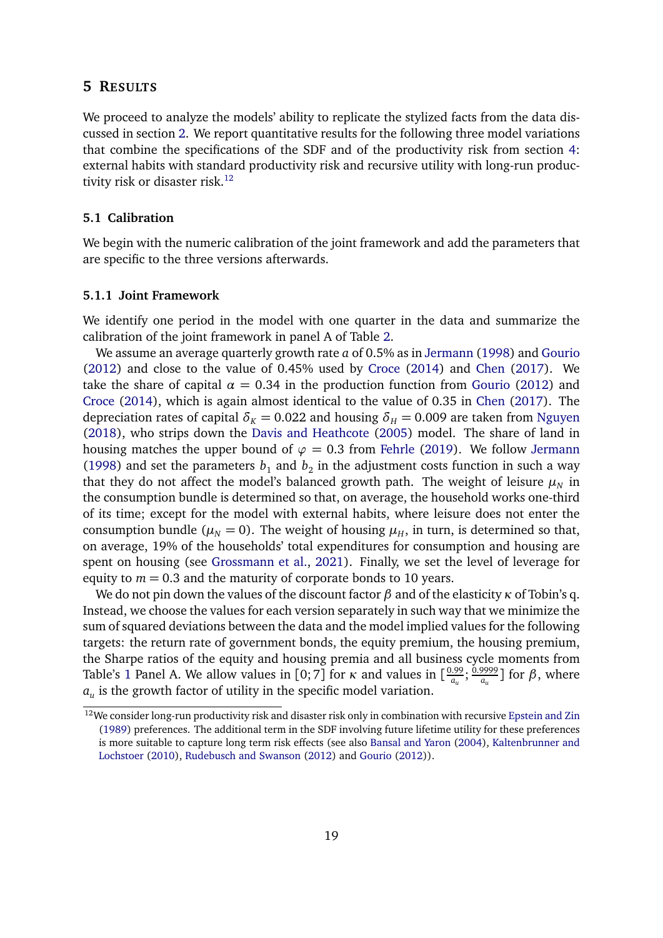#### <span id="page-18-0"></span>**5 RESULTS**

We proceed to analyze the models' ability to replicate the stylized facts from the data discussed in section [2.](#page-5-0) We report quantitative results for the following three model variations that combine the specifications of the SDF and of the productivity risk from section [4:](#page-14-0) external habits with standard productivity risk and recursive utility with long-run productivity risk or disaster risk. $^{12}$  $^{12}$  $^{12}$ 

### **5.1 Calibration**

We begin with the numeric calibration of the joint framework and add the parameters that are specific to the three versions afterwards.

#### **5.1.1 Joint Framework**

We identify one period in the model with one quarter in the data and summarize the calibration of the joint framework in panel A of Table [2.](#page-19-0)

We assume an average quarterly growth rate *a* of 0.5% as in [Jermann](#page-38-4) [\(1998\)](#page-38-4) and [Gourio](#page-37-0) [\(2012\)](#page-37-0) and close to the value of 0.45% used by [Croce](#page-36-1) [\(2014\)](#page-36-1) and [Chen](#page-36-3) [\(2017\)](#page-36-3). We take the share of capital  $\alpha = 0.34$  in the production function from [Gourio](#page-37-0) [\(2012\)](#page-37-0) and [Croce](#page-36-1) [\(2014\)](#page-36-1), which is again almost identical to the value of 0.35 in [Chen](#page-36-3) [\(2017\)](#page-36-3). The depreciation rates of capital  $\delta_K = 0.022$  and housing  $\delta_H = 0.009$  are taken from [Nguyen](#page-39-3) [\(2018\)](#page-39-3), who strips down the [Davis and Heathcote](#page-36-5) [\(2005\)](#page-36-5) model. The share of land in housing matches the upper bound of  $\varphi = 0.3$  from [Fehrle](#page-37-2) [\(2019\)](#page-37-2). We follow [Jermann](#page-38-4) [\(1998\)](#page-38-4) and set the parameters  $b_1$  and  $b_2$  in the adjustment costs function in such a way that they do not affect the model's balanced growth path. The weight of leisure  $\mu_N$  in the consumption bundle is determined so that, on average, the household works one-third of its time; except for the model with external habits, where leisure does not enter the consumption bundle ( $\mu_N = 0$ ). The weight of housing  $\mu_H$ , in turn, is determined so that, on average, 19% of the households' total expenditures for consumption and housing are spent on housing (see [Grossmann et al.,](#page-37-11) [2021\)](#page-37-11). Finally, we set the level of leverage for equity to  $m = 0.3$  and the maturity of corporate bonds to 10 years.

We do not pin down the values of the discount factor *β* and of the elasticity *κ* of Tobin's q. Instead, we choose the values for each version separately in such way that we minimize the sum of squared deviations between the data and the model implied values for the following targets: the return rate of government bonds, the equity premium, the housing premium, the Sharpe ratios of the equity and housing premia and all business cycle moments from Table's [1](#page-7-0) Panel A. We allow values in [0; 7] for *κ* and values in  $\left[\frac{0.99}{a_n}\right]$  $\frac{a_0}{a_u}$ ;  $\frac{0.9999}{a_u}$  $\left[\frac{9999}{a_u}\right]$  for  $\beta$ , where  $a_u$  is the growth factor of utility in the specific model variation.

<span id="page-18-1"></span><sup>&</sup>lt;sup>12</sup>We consider long-run productivity risk and disaster risk only in combination with recursive [Epstein and Zin](#page-37-1) [\(1989\)](#page-37-1) preferences. The additional term in the SDF involving future lifetime utility for these preferences is more suitable to capture long term risk effects (see also [Bansal and Yaron](#page-36-0) [\(2004\)](#page-36-0), [Kaltenbrunner and](#page-38-10) [Lochstoer](#page-38-10) [\(2010\)](#page-38-10), [Rudebusch and Swanson](#page-40-3) [\(2012\)](#page-40-3) and [Gourio](#page-37-0) [\(2012\)](#page-37-0)).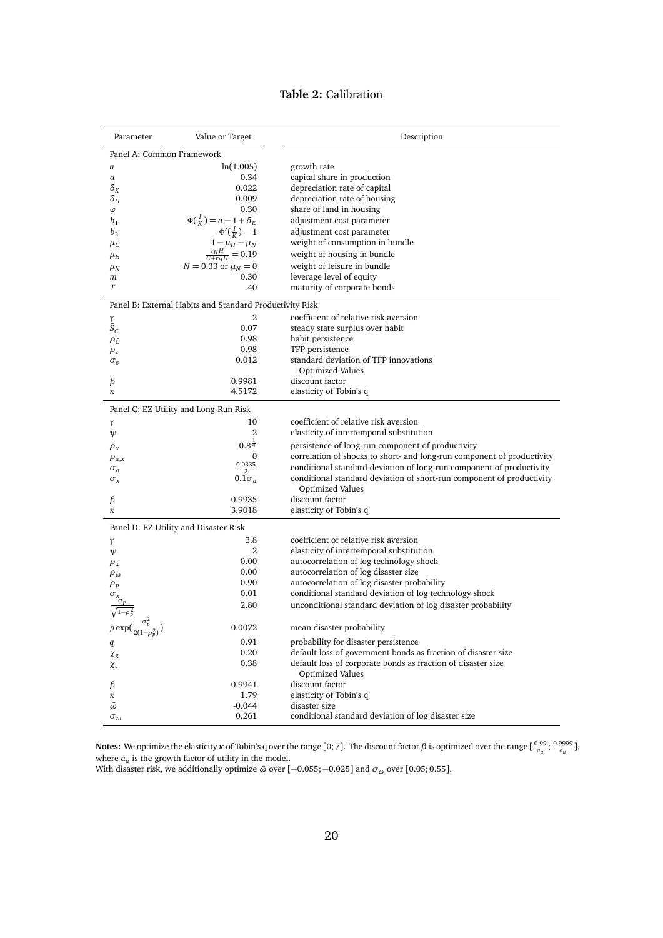|  | Table 2: Calibration |
|--|----------------------|
|--|----------------------|

<span id="page-19-0"></span>

| Parameter                                        | Value or Target                                                            | Description                                                            |  |  |  |  |
|--------------------------------------------------|----------------------------------------------------------------------------|------------------------------------------------------------------------|--|--|--|--|
| Panel A: Common Framework                        |                                                                            |                                                                        |  |  |  |  |
| a                                                | ln(1.005)                                                                  | growth rate                                                            |  |  |  |  |
| $\alpha$                                         | 0.34                                                                       | capital share in production                                            |  |  |  |  |
| $\delta_K$                                       | 0.022                                                                      | depreciation rate of capital                                           |  |  |  |  |
| $\delta_H$                                       | 0.009                                                                      | depreciation rate of housing                                           |  |  |  |  |
| $\varphi$                                        | 0.30                                                                       | share of land in housing                                               |  |  |  |  |
| b <sub>1</sub>                                   | $\Phi(\frac{I}{K}) = a - 1 + \delta_K$                                     | adjustment cost parameter                                              |  |  |  |  |
| $b_2$                                            | $\Phi'(\frac{I}{K})=1$                                                     | adjustment cost parameter                                              |  |  |  |  |
| $\mu_C$                                          | $\begin{array}{c} 1-\mu_H-\mu_N \\ \frac{r_H H}{C+r_H H}=0.19 \end{array}$ | weight of consumption in bundle                                        |  |  |  |  |
| $\mu_H$                                          |                                                                            | weight of housing in bundle                                            |  |  |  |  |
| $\mu_N$                                          | $N = 0.33$ or $\mu_N = 0$                                                  | weight of leisure in bundle                                            |  |  |  |  |
| m                                                | 0.30                                                                       | leverage level of equity                                               |  |  |  |  |
| T                                                | 40                                                                         | maturity of corporate bonds                                            |  |  |  |  |
|                                                  | Panel B: External Habits and Standard Productivity Risk                    |                                                                        |  |  |  |  |
|                                                  | $\overline{2}$                                                             | coefficient of relative risk aversion                                  |  |  |  |  |
| $\tilde{\bar{S}}_{\tilde{C}}$                    | 0.07                                                                       | steady state surplus over habit                                        |  |  |  |  |
| $\rho_{\tilde{C}}$                               | 0.98                                                                       | habit persistence                                                      |  |  |  |  |
| $\rho_z$                                         | 0.98                                                                       | TFP persistence                                                        |  |  |  |  |
| $\sigma_z$                                       | 0.012                                                                      | standard deviation of TFP innovations                                  |  |  |  |  |
|                                                  |                                                                            | Optimized Values                                                       |  |  |  |  |
| β                                                | 0.9981                                                                     | discount factor                                                        |  |  |  |  |
| к                                                | 4.5172                                                                     | elasticity of Tobin's q                                                |  |  |  |  |
|                                                  | Panel C: EZ Utility and Long-Run Risk                                      |                                                                        |  |  |  |  |
| γ                                                | 10                                                                         | coefficient of relative risk aversion                                  |  |  |  |  |
| $\psi$                                           | 2                                                                          | elasticity of intertemporal substitution                               |  |  |  |  |
| $\rho_x$                                         | $0.8^{\frac{1}{4}}$                                                        | persistence of long-run component of productivity                      |  |  |  |  |
| $\rho_{a,x}$                                     | $\Omega$                                                                   | correlation of shocks to short- and long-run component of productivity |  |  |  |  |
| $\sigma_a$                                       | $\frac{0.0335}{2}$                                                         | conditional standard deviation of long-run component of productivity   |  |  |  |  |
| $\sigma_x$                                       | $0.1\sigma_q$                                                              | conditional standard deviation of short-run component of productivity  |  |  |  |  |
|                                                  |                                                                            | Optimized Values                                                       |  |  |  |  |
| β                                                | 0.9935                                                                     | discount factor                                                        |  |  |  |  |
| к                                                | 3.9018                                                                     | elasticity of Tobin's q                                                |  |  |  |  |
|                                                  | Panel D: EZ Utility and Disaster Risk                                      |                                                                        |  |  |  |  |
| γ                                                | 3.8                                                                        | coefficient of relative risk aversion                                  |  |  |  |  |
| $\psi$                                           | 2                                                                          | elasticity of intertemporal substitution                               |  |  |  |  |
| $\rho_x$                                         | 0.00                                                                       | autocorrelation of log technology shock                                |  |  |  |  |
| $\rho_\omega$                                    | 0.00                                                                       | autocorrelation of log disaster size                                   |  |  |  |  |
| $\rho_p$                                         | 0.90                                                                       | autocorrelation of log disaster probability                            |  |  |  |  |
|                                                  | 0.01                                                                       | conditional standard deviation of log technology shock                 |  |  |  |  |
|                                                  | 2.80                                                                       | unconditional standard deviation of log disaster probability           |  |  |  |  |
| $\bar{p} \exp(\frac{\sigma_p^2}{2(1-\rho_p^2)})$ | 0.0072                                                                     | mean disaster probability                                              |  |  |  |  |
|                                                  | 0.91                                                                       | probability for disaster persistence                                   |  |  |  |  |
| q                                                | 0.20                                                                       | default loss of government bonds as fraction of disaster size          |  |  |  |  |
| $\chi_{g}$                                       | 0.38                                                                       | default loss of corporate bonds as fraction of disaster size           |  |  |  |  |
| $\chi_c$                                         |                                                                            | Optimized Values                                                       |  |  |  |  |
| β                                                | 0.9941                                                                     | discount factor                                                        |  |  |  |  |
| к                                                | 1.79                                                                       | elasticity of Tobin's q                                                |  |  |  |  |
| $\bar{\omega}$                                   | $-0.044$                                                                   | disaster size                                                          |  |  |  |  |
| $\sigma_{\omega}$                                | 0.261                                                                      | conditional standard deviation of log disaster size                    |  |  |  |  |

**Notes:** We optimize the elasticity *κ* of Tobin's q over the range [0; 7]. The discount factor *β* is optimized over the range [ $\frac{0.99}{a_u}; \frac{0.9999}{a_u}$ ], where *a<sup>u</sup>* is the growth factor of utility in the model. With disaster risk, we additionally optimize *ω*¯ over [−0.055;−0.025] and *σ<sup>ω</sup>* over [0.05; 0.55].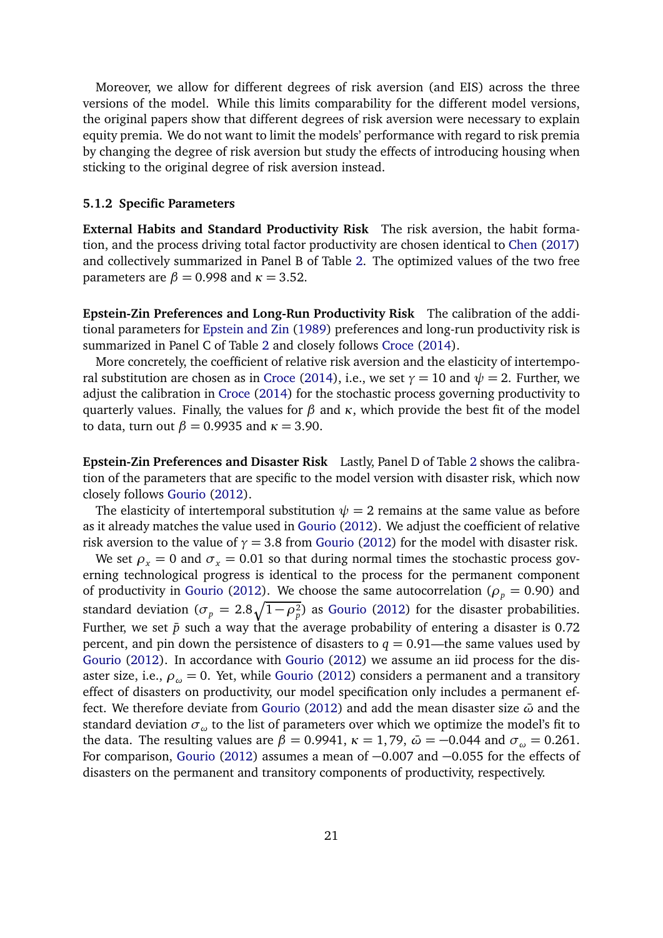Moreover, we allow for different degrees of risk aversion (and EIS) across the three versions of the model. While this limits comparability for the different model versions, the original papers show that different degrees of risk aversion were necessary to explain equity premia. We do not want to limit the models' performance with regard to risk premia by changing the degree of risk aversion but study the effects of introducing housing when sticking to the original degree of risk aversion instead.

#### **5.1.2 Specific Parameters**

**External Habits and Standard Productivity Risk** The risk aversion, the habit formation, and the process driving total factor productivity are chosen identical to [Chen](#page-36-3) [\(2017\)](#page-36-3) and collectively summarized in Panel B of Table [2.](#page-19-0) The optimized values of the two free parameters are  $\beta = 0.998$  and  $\kappa = 3.52$ .

**Epstein-Zin Preferences and Long-Run Productivity Risk** The calibration of the additional parameters for [Epstein and Zin](#page-37-1) [\(1989\)](#page-37-1) preferences and long-run productivity risk is summarized in Panel C of Table [2](#page-19-0) and closely follows [Croce](#page-36-1) [\(2014\)](#page-36-1).

More concretely, the coefficient of relative risk aversion and the elasticity of intertempo-ral substitution are chosen as in [Croce](#page-36-1) [\(2014\)](#page-36-1), i.e., we set  $\gamma = 10$  and  $\psi = 2$ . Further, we adjust the calibration in [Croce](#page-36-1) [\(2014\)](#page-36-1) for the stochastic process governing productivity to quarterly values. Finally, the values for *β* and *κ*, which provide the best fit of the model to data, turn out  $\beta = 0.9935$  and  $\kappa = 3.90$ .

**Epstein-Zin Preferences and Disaster Risk** Lastly, Panel D of Table [2](#page-19-0) shows the calibration of the parameters that are specific to the model version with disaster risk, which now closely follows [Gourio](#page-37-0) [\(2012\)](#page-37-0).

The elasticity of intertemporal substitution  $\psi = 2$  remains at the same value as before as it already matches the value used in [Gourio](#page-37-0) [\(2012\)](#page-37-0). We adjust the coefficient of relative risk aversion to the value of  $\gamma = 3.8$  from [Gourio](#page-37-0) [\(2012\)](#page-37-0) for the model with disaster risk.

We set  $\rho_x = 0$  and  $\sigma_x = 0.01$  so that during normal times the stochastic process governing technological progress is identical to the process for the permanent component of productivity in [Gourio](#page-37-0) [\(2012\)](#page-37-0). We choose the same autocorrelation ( $\rho_p = 0.90$ ) and standard deviation ( $\sigma_p = 2.8\sqrt{1-\rho_p^2}$ ) as [Gourio](#page-37-0) [\(2012\)](#page-37-0) for the disaster probabilities. Further, we set  $\bar{p}$  such a way that the average probability of entering a disaster is 0.72 percent, and pin down the persistence of disasters to  $q = 0.91$ —the same values used by [Gourio](#page-37-0) [\(2012\)](#page-37-0). In accordance with [Gourio](#page-37-0) [\(2012\)](#page-37-0) we assume an iid process for the disaster size, i.e.,  $\rho_{\omega} = 0$ . Yet, while [Gourio](#page-37-0) [\(2012\)](#page-37-0) considers a permanent and a transitory effect of disasters on productivity, our model specification only includes a permanent effect. We therefore deviate from [Gourio](#page-37-0) [\(2012\)](#page-37-0) and add the mean disaster size *ω*¯ and the standard deviation  $\sigma_{\omega}$  to the list of parameters over which we optimize the model's fit to the data. The resulting values are  $\beta = 0.9941$ ,  $\kappa = 1.79$ ,  $\bar{\omega} = -0.044$  and  $\sigma_{\omega} = 0.261$ . For comparison, [Gourio](#page-37-0) [\(2012\)](#page-37-0) assumes a mean of −0.007 and −0.055 for the effects of disasters on the permanent and transitory components of productivity, respectively.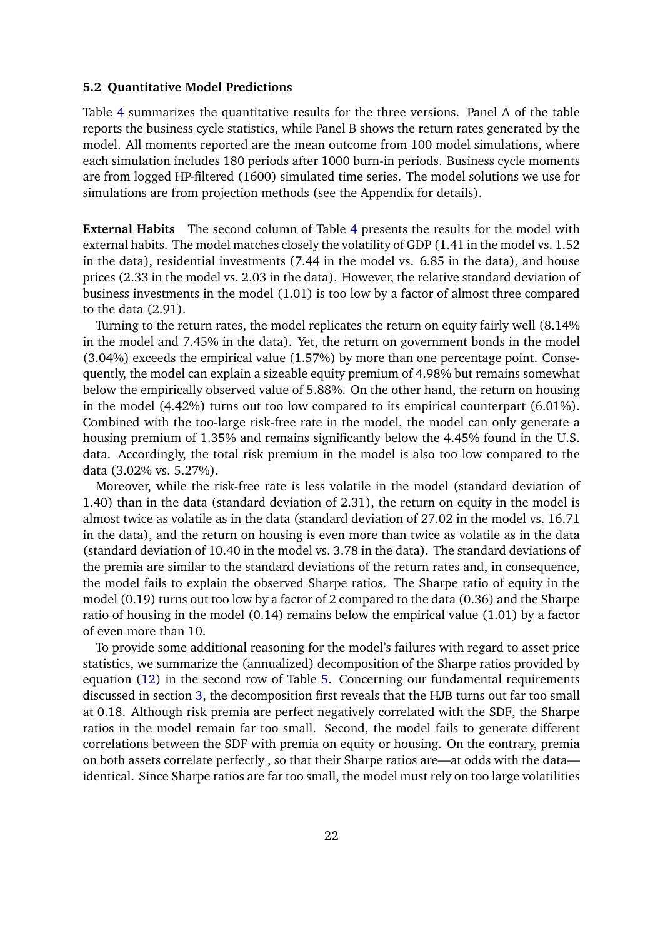#### **5.2 Quantitative Model Predictions**

Table [4](#page-22-0) summarizes the quantitative results for the three versions. Panel A of the table reports the business cycle statistics, while Panel B shows the return rates generated by the model. All moments reported are the mean outcome from 100 model simulations, where each simulation includes 180 periods after 1000 burn-in periods. Business cycle moments are from logged HP-filtered (1600) simulated time series. The model solutions we use for simulations are from projection methods (see the Appendix for details).

**External Habits** The second column of Table [4](#page-22-0) presents the results for the model with external habits. The model matches closely the volatility of GDP (1.41 in the model vs. 1.52 in the data), residential investments (7.44 in the model vs. 6.85 in the data), and house prices (2.33 in the model vs. 2.03 in the data). However, the relative standard deviation of business investments in the model (1.01) is too low by a factor of almost three compared to the data (2.91).

Turning to the return rates, the model replicates the return on equity fairly well (8.14% in the model and 7.45% in the data). Yet, the return on government bonds in the model (3.04%) exceeds the empirical value (1.57%) by more than one percentage point. Consequently, the model can explain a sizeable equity premium of 4.98% but remains somewhat below the empirically observed value of 5.88%. On the other hand, the return on housing in the model (4.42%) turns out too low compared to its empirical counterpart (6.01%). Combined with the too-large risk-free rate in the model, the model can only generate a housing premium of 1.35% and remains significantly below the 4.45% found in the U.S. data. Accordingly, the total risk premium in the model is also too low compared to the data (3.02% vs. 5.27%).

Moreover, while the risk-free rate is less volatile in the model (standard deviation of 1.40) than in the data (standard deviation of 2.31), the return on equity in the model is almost twice as volatile as in the data (standard deviation of 27.02 in the model vs. 16.71 in the data), and the return on housing is even more than twice as volatile as in the data (standard deviation of 10.40 in the model vs. 3.78 in the data). The standard deviations of the premia are similar to the standard deviations of the return rates and, in consequence, the model fails to explain the observed Sharpe ratios. The Sharpe ratio of equity in the model (0.19) turns out too low by a factor of 2 compared to the data (0.36) and the Sharpe ratio of housing in the model (0.14) remains below the empirical value (1.01) by a factor of even more than 10.

To provide some additional reasoning for the model's failures with regard to asset price statistics, we summarize the (annualized) decomposition of the Sharpe ratios provided by equation [\(12\)](#page-13-0) in the second row of Table [5.](#page-23-0) Concerning our fundamental requirements discussed in section [3,](#page-9-0) the decomposition first reveals that the HJB turns out far too small at 0.18. Although risk premia are perfect negatively correlated with the SDF, the Sharpe ratios in the model remain far too small. Second, the model fails to generate different correlations between the SDF with premia on equity or housing. On the contrary, premia on both assets correlate perfectly , so that their Sharpe ratios are—at odds with the data identical. Since Sharpe ratios are far too small, the model must rely on too large volatilities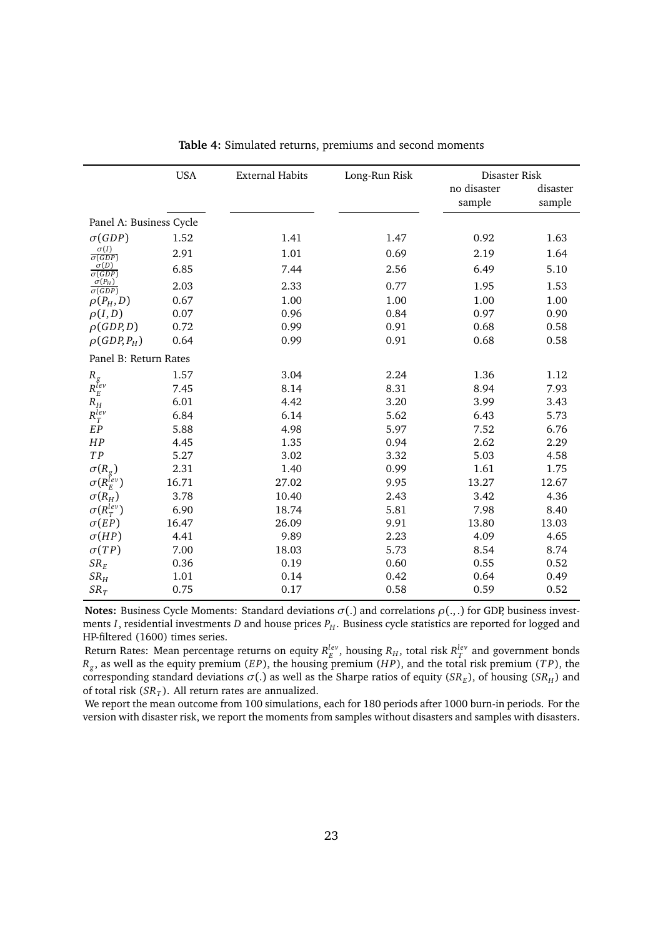<span id="page-22-0"></span>

|                                           | <b>USA</b> | <b>External Habits</b> | Long-Run Risk | Disaster Risk |          |
|-------------------------------------------|------------|------------------------|---------------|---------------|----------|
|                                           |            |                        |               | no disaster   | disaster |
|                                           |            |                        |               | sample        | sample   |
| Panel A: Business Cycle                   |            |                        |               |               |          |
| $\sigma(GDP)$                             | 1.52       | 1.41                   | 1.47          | 0.92          | 1.63     |
| $\sigma(I)$<br>$\overline{\sigma(GDP)}$   | 2.91       | 1.01                   | 0.69          | 2.19          | 1.64     |
| $\sigma(D)$<br>$\overline{\sigma(GDP)}$   | 6.85       | 7.44                   | 2.56          | 6.49          | 5.10     |
| $\sigma(P_H)$<br>$\overline{\sigma(GDP)}$ | 2.03       | 2.33                   | 0.77          | 1.95          | 1.53     |
| $\rho(P_H, D)$                            | 0.67       | 1.00                   | 1.00          | 1.00          | 1.00     |
| $\rho(I,D)$                               | 0.07       | 0.96                   | 0.84          | 0.97          | 0.90     |
| $\rho(GDP,D)$                             | 0.72       | 0.99                   | 0.91          | 0.68          | 0.58     |
| $\rho(GDP, P_H)$                          | 0.64       | 0.99                   | 0.91          | 0.68          | 0.58     |
| Panel B: Return Rates                     |            |                        |               |               |          |
|                                           | 1.57       | 3.04                   | 2.24          | 1.36          | 1.12     |
| $R_{\stackrel{g}{E}}^{\phantom{\dagger}}$ | 7.45       | 8.14                   | 8.31          | 8.94          | 7.93     |
| $R_H$                                     | 6.01       | 4.42                   | 3.20          | 3.99          | 3.43     |
| $R_T^{lev}$                               | 6.84       | 6.14                   | 5.62          | 6.43          | 5.73     |
| EP                                        | 5.88       | 4.98                   | 5.97          | 7.52          | 6.76     |
| HP                                        | 4.45       | 1.35                   | 0.94          | 2.62          | 2.29     |
| TP                                        | 5.27       | 3.02                   | 3.32          | 5.03          | 4.58     |
| $\sigma(R_g)$                             | 2.31       | 1.40                   | 0.99          | 1.61          | 1.75     |
| $\sigma(R_E^{Iev})$                       | 16.71      | 27.02                  | 9.95          | 13.27         | 12.67    |
| $\sigma(R_H)$                             | 3.78       | 10.40                  | 2.43          | 3.42          | 4.36     |
| $\sigma(R_T^{lev})$                       | 6.90       | 18.74                  | 5.81          | 7.98          | 8.40     |
| $\sigma(EP)$                              | 16.47      | 26.09                  | 9.91          | 13.80         | 13.03    |
| $\sigma(HP)$                              | 4.41       | 9.89                   | 2.23          | 4.09          | 4.65     |
| $\sigma(TP)$                              | 7.00       | 18.03                  | 5.73          | 8.54          | 8.74     |
| $SR_E$                                    | 0.36       | 0.19                   | 0.60          | 0.55          | 0.52     |
| SR <sub>H</sub>                           | 1.01       | 0.14                   | 0.42          | 0.64          | 0.49     |
| $SR_T$                                    | 0.75       | 0.17                   | 0.58          | 0.59          | 0.52     |

**Table 4:** Simulated returns, premiums and second moments

**Notes:** Business Cycle Moments: Standard deviations  $\sigma(.)$  and correlations  $\rho(.,.)$  for GDP, business investments *I*, residential investments *D* and house prices  $P_H$ . Business cycle statistics are reported for logged and HP-filtered (1600) times series.

Return Rates: Mean percentage returns on equity  $R_E^{lev}$ , housing  $R_H$ , total risk  $R_T^{lev}$  and government bonds *Rg* , as well as the equity premium (*EP*), the housing premium (*H P*), and the total risk premium (*T P*), the corresponding standard deviations  $\sigma(.)$  as well as the Sharpe ratios of equity (*SR<sub>E</sub>*), of housing (*SR<sub>H</sub>*) and of total risk (*SR<sup>T</sup>* ). All return rates are annualized.

We report the mean outcome from 100 simulations, each for 180 periods after 1000 burn-in periods. For the version with disaster risk, we report the moments from samples without disasters and samples with disasters.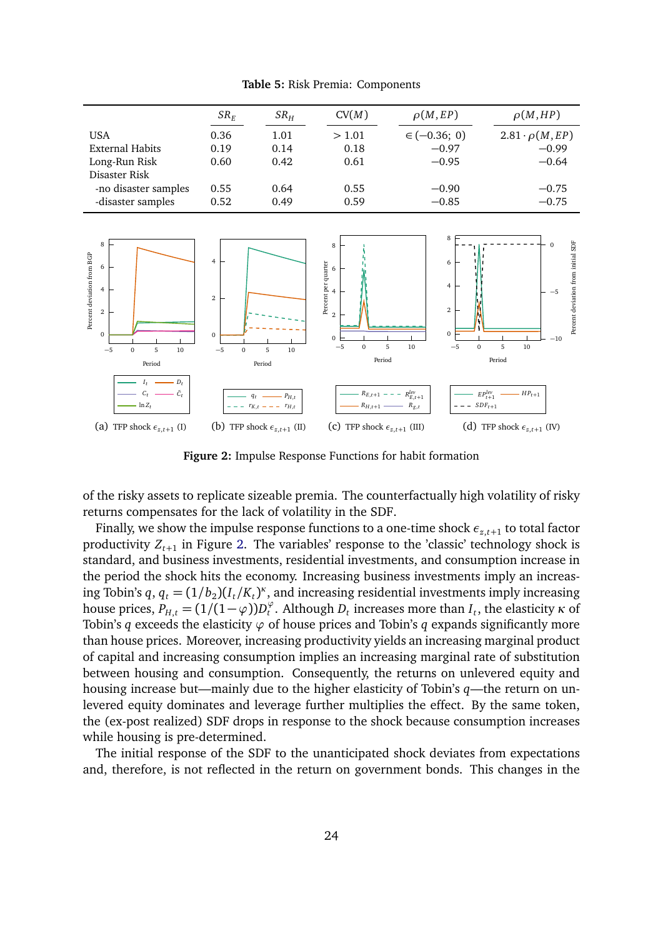<span id="page-23-0"></span>

| $SR_F$ | SR <sub>H</sub> | CV(M) | $\rho(M,EP)$     | $\rho(M,HP)$             |
|--------|-----------------|-------|------------------|--------------------------|
| 0.36   | 1.01            | >1.01 | $\in (-0.36; 0)$ | $2.81 \cdot \rho(M, EP)$ |
| 0.19   | 0.14            | 0.18  | $-0.97$          | $-0.99$                  |
| 0.60   | 0.42            | 0.61  | $-0.95$          | $-0.64$                  |
|        |                 |       |                  |                          |
| 0.55   | 0.64            | 0.55  | $-0.90$          | $-0.75$                  |
| 0.52   | 0.49            | 0.59  | $-0.85$          | $-0.75$                  |
|        |                 |       |                  |                          |

**Table 5:** Risk Premia: Components

<span id="page-23-1"></span>

**Figure 2:** Impulse Response Functions for habit formation

of the risky assets to replicate sizeable premia. The counterfactually high volatility of risky returns compensates for the lack of volatility in the SDF.

Finally, we show the impulse response functions to a one-time shock  $\epsilon_{z,t+1}$  to total factor productivity *Z<sup>t</sup>*+<sup>1</sup> in Figure [2.](#page-23-1) The variables' response to the 'classic' technology shock is standard, and business investments, residential investments, and consumption increase in the period the shock hits the economy. Increasing business investments imply an increasing Tobin's  $q$ ,  $q_t = (1/b_2)(I_t/K_t)^{\kappa}$ , and increasing residential investments imply increasing house prices,  $P_{H,t} = (1/(1-\varphi))D_t^{\varphi}$  $t^{\varphi}$ . Although  $D_t$  increases more than  $I_t$ , the elasticity  $\kappa$  of Tobin's *q* exceeds the elasticity  $\varphi$  of house prices and Tobin's *q* expands significantly more than house prices. Moreover, increasing productivity yields an increasing marginal product of capital and increasing consumption implies an increasing marginal rate of substitution between housing and consumption. Consequently, the returns on unlevered equity and housing increase but—mainly due to the higher elasticity of Tobin's *q*—the return on unlevered equity dominates and leverage further multiplies the effect. By the same token, the (ex-post realized) SDF drops in response to the shock because consumption increases while housing is pre-determined.

The initial response of the SDF to the unanticipated shock deviates from expectations and, therefore, is not reflected in the return on government bonds. This changes in the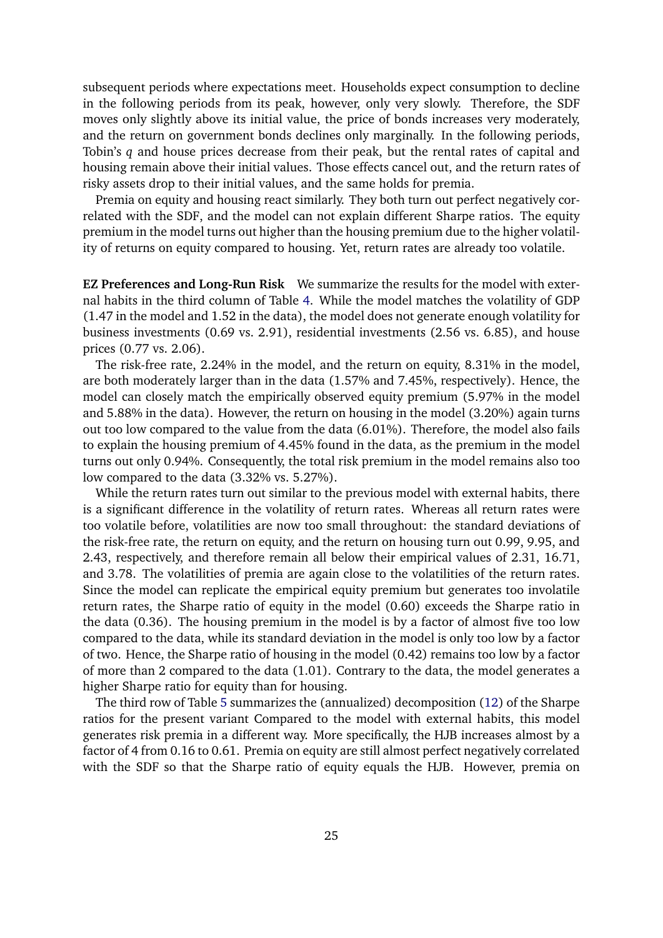subsequent periods where expectations meet. Households expect consumption to decline in the following periods from its peak, however, only very slowly. Therefore, the SDF moves only slightly above its initial value, the price of bonds increases very moderately, and the return on government bonds declines only marginally. In the following periods, Tobin's *q* and house prices decrease from their peak, but the rental rates of capital and housing remain above their initial values. Those effects cancel out, and the return rates of risky assets drop to their initial values, and the same holds for premia.

Premia on equity and housing react similarly. They both turn out perfect negatively correlated with the SDF, and the model can not explain different Sharpe ratios. The equity premium in the model turns out higher than the housing premium due to the higher volatility of returns on equity compared to housing. Yet, return rates are already too volatile.

**EZ Preferences and Long-Run Risk** We summarize the results for the model with external habits in the third column of Table [4.](#page-22-0) While the model matches the volatility of GDP (1.47 in the model and 1.52 in the data), the model does not generate enough volatility for business investments (0.69 vs. 2.91), residential investments (2.56 vs. 6.85), and house prices (0.77 vs. 2.06).

The risk-free rate, 2.24% in the model, and the return on equity, 8.31% in the model, are both moderately larger than in the data (1.57% and 7.45%, respectively). Hence, the model can closely match the empirically observed equity premium (5.97% in the model and 5.88% in the data). However, the return on housing in the model (3.20%) again turns out too low compared to the value from the data (6.01%). Therefore, the model also fails to explain the housing premium of 4.45% found in the data, as the premium in the model turns out only 0.94%. Consequently, the total risk premium in the model remains also too low compared to the data (3.32% vs. 5.27%).

While the return rates turn out similar to the previous model with external habits, there is a significant difference in the volatility of return rates. Whereas all return rates were too volatile before, volatilities are now too small throughout: the standard deviations of the risk-free rate, the return on equity, and the return on housing turn out 0.99, 9.95, and 2.43, respectively, and therefore remain all below their empirical values of 2.31, 16.71, and 3.78. The volatilities of premia are again close to the volatilities of the return rates. Since the model can replicate the empirical equity premium but generates too involatile return rates, the Sharpe ratio of equity in the model (0.60) exceeds the Sharpe ratio in the data (0.36). The housing premium in the model is by a factor of almost five too low compared to the data, while its standard deviation in the model is only too low by a factor of two. Hence, the Sharpe ratio of housing in the model (0.42) remains too low by a factor of more than 2 compared to the data (1.01). Contrary to the data, the model generates a higher Sharpe ratio for equity than for housing.

The third row of Table [5](#page-23-0) summarizes the (annualized) decomposition [\(12\)](#page-13-0) of the Sharpe ratios for the present variant Compared to the model with external habits, this model generates risk premia in a different way. More specifically, the HJB increases almost by a factor of 4 from 0.16 to 0.61. Premia on equity are still almost perfect negatively correlated with the SDF so that the Sharpe ratio of equity equals the HJB. However, premia on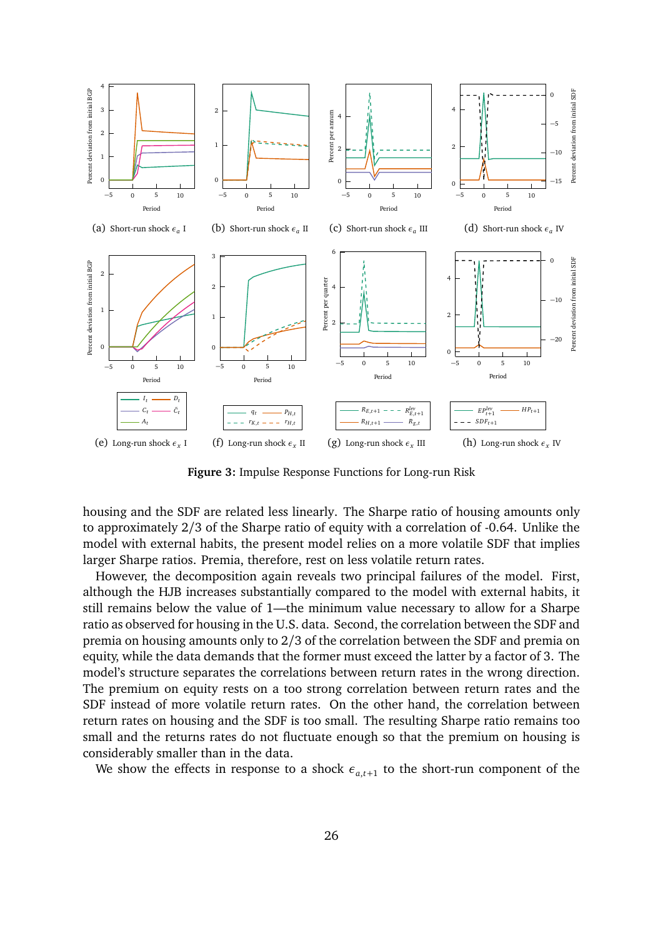<span id="page-25-0"></span>

**Figure 3:** Impulse Response Functions for Long-run Risk

housing and the SDF are related less linearly. The Sharpe ratio of housing amounts only to approximately 2/3 of the Sharpe ratio of equity with a correlation of -0.64. Unlike the model with external habits, the present model relies on a more volatile SDF that implies larger Sharpe ratios. Premia, therefore, rest on less volatile return rates.

However, the decomposition again reveals two principal failures of the model. First, although the HJB increases substantially compared to the model with external habits, it still remains below the value of 1—the minimum value necessary to allow for a Sharpe ratio as observed for housing in the U.S. data. Second, the correlation between the SDF and premia on housing amounts only to 2*/*3 of the correlation between the SDF and premia on equity, while the data demands that the former must exceed the latter by a factor of 3. The model's structure separates the correlations between return rates in the wrong direction. The premium on equity rests on a too strong correlation between return rates and the SDF instead of more volatile return rates. On the other hand, the correlation between return rates on housing and the SDF is too small. The resulting Sharpe ratio remains too small and the returns rates do not fluctuate enough so that the premium on housing is considerably smaller than in the data.

We show the effects in response to a shock  $\epsilon_{a,t+1}$  to the short-run component of the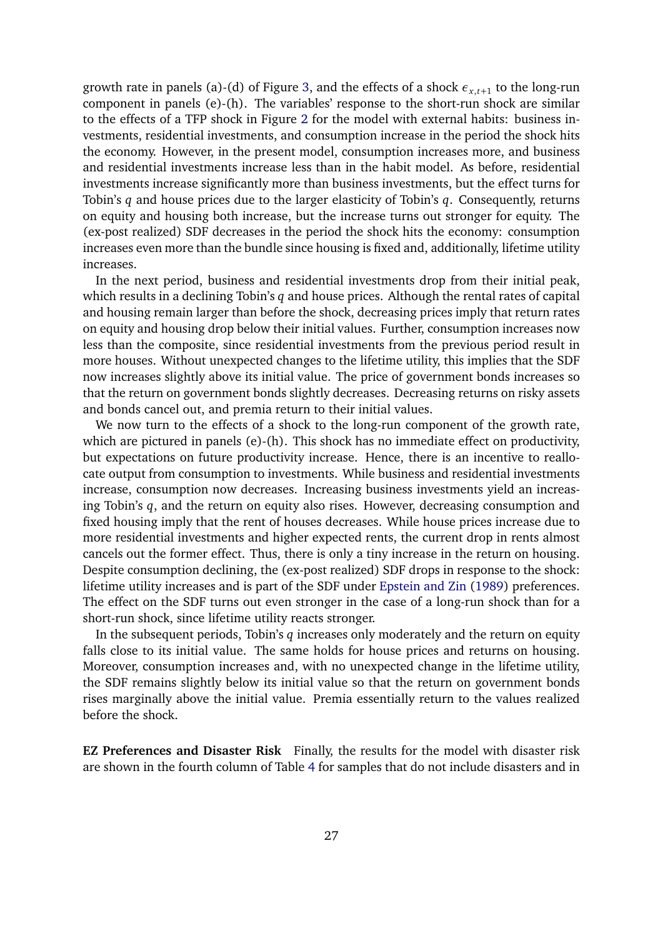growth rate in panels (a)-(d) of Figure [3,](#page-25-0) and the effects of a shock *εx*,*t*+<sup>1</sup> to the long-run component in panels (e)-(h). The variables' response to the short-run shock are similar to the effects of a TFP shock in Figure [2](#page-23-1) for the model with external habits: business investments, residential investments, and consumption increase in the period the shock hits the economy. However, in the present model, consumption increases more, and business and residential investments increase less than in the habit model. As before, residential investments increase significantly more than business investments, but the effect turns for Tobin's *q* and house prices due to the larger elasticity of Tobin's *q*. Consequently, returns on equity and housing both increase, but the increase turns out stronger for equity. The (ex-post realized) SDF decreases in the period the shock hits the economy: consumption increases even more than the bundle since housing is fixed and, additionally, lifetime utility increases.

In the next period, business and residential investments drop from their initial peak, which results in a declining Tobin's *q* and house prices. Although the rental rates of capital and housing remain larger than before the shock, decreasing prices imply that return rates on equity and housing drop below their initial values. Further, consumption increases now less than the composite, since residential investments from the previous period result in more houses. Without unexpected changes to the lifetime utility, this implies that the SDF now increases slightly above its initial value. The price of government bonds increases so that the return on government bonds slightly decreases. Decreasing returns on risky assets and bonds cancel out, and premia return to their initial values.

We now turn to the effects of a shock to the long-run component of the growth rate, which are pictured in panels (e)-(h). This shock has no immediate effect on productivity, but expectations on future productivity increase. Hence, there is an incentive to reallocate output from consumption to investments. While business and residential investments increase, consumption now decreases. Increasing business investments yield an increasing Tobin's *q*, and the return on equity also rises. However, decreasing consumption and fixed housing imply that the rent of houses decreases. While house prices increase due to more residential investments and higher expected rents, the current drop in rents almost cancels out the former effect. Thus, there is only a tiny increase in the return on housing. Despite consumption declining, the (ex-post realized) SDF drops in response to the shock: lifetime utility increases and is part of the SDF under [Epstein and Zin](#page-37-1) [\(1989\)](#page-37-1) preferences. The effect on the SDF turns out even stronger in the case of a long-run shock than for a short-run shock, since lifetime utility reacts stronger.

In the subsequent periods, Tobin's *q* increases only moderately and the return on equity falls close to its initial value. The same holds for house prices and returns on housing. Moreover, consumption increases and, with no unexpected change in the lifetime utility, the SDF remains slightly below its initial value so that the return on government bonds rises marginally above the initial value. Premia essentially return to the values realized before the shock.

**EZ Preferences and Disaster Risk** Finally, the results for the model with disaster risk are shown in the fourth column of Table [4](#page-22-0) for samples that do not include disasters and in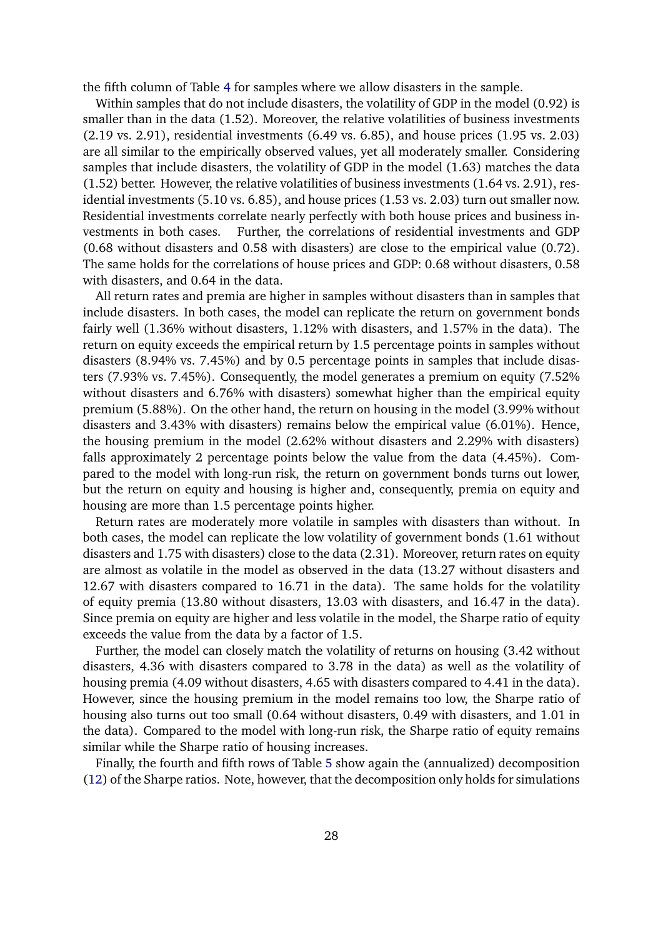the fifth column of Table [4](#page-22-0) for samples where we allow disasters in the sample.

Within samples that do not include disasters, the volatility of GDP in the model (0.92) is smaller than in the data (1.52). Moreover, the relative volatilities of business investments (2.19 vs. 2.91), residential investments (6.49 vs. 6.85), and house prices (1.95 vs. 2.03) are all similar to the empirically observed values, yet all moderately smaller. Considering samples that include disasters, the volatility of GDP in the model (1.63) matches the data (1.52) better. However, the relative volatilities of business investments (1.64 vs. 2.91), residential investments (5.10 vs. 6.85), and house prices (1.53 vs. 2.03) turn out smaller now. Residential investments correlate nearly perfectly with both house prices and business investments in both cases. Further, the correlations of residential investments and GDP (0.68 without disasters and 0.58 with disasters) are close to the empirical value (0.72). The same holds for the correlations of house prices and GDP: 0.68 without disasters, 0.58 with disasters, and 0.64 in the data.

All return rates and premia are higher in samples without disasters than in samples that include disasters. In both cases, the model can replicate the return on government bonds fairly well (1.36% without disasters, 1.12% with disasters, and 1.57% in the data). The return on equity exceeds the empirical return by 1.5 percentage points in samples without disasters (8.94% vs. 7.45%) and by 0.5 percentage points in samples that include disasters (7.93% vs. 7.45%). Consequently, the model generates a premium on equity (7.52% without disasters and 6.76% with disasters) somewhat higher than the empirical equity premium (5.88%). On the other hand, the return on housing in the model (3.99% without disasters and 3.43% with disasters) remains below the empirical value (6.01%). Hence, the housing premium in the model (2.62% without disasters and 2.29% with disasters) falls approximately 2 percentage points below the value from the data (4.45%). Compared to the model with long-run risk, the return on government bonds turns out lower, but the return on equity and housing is higher and, consequently, premia on equity and housing are more than 1.5 percentage points higher.

Return rates are moderately more volatile in samples with disasters than without. In both cases, the model can replicate the low volatility of government bonds (1.61 without disasters and 1.75 with disasters) close to the data (2.31). Moreover, return rates on equity are almost as volatile in the model as observed in the data (13.27 without disasters and 12.67 with disasters compared to 16.71 in the data). The same holds for the volatility of equity premia (13.80 without disasters, 13.03 with disasters, and 16.47 in the data). Since premia on equity are higher and less volatile in the model, the Sharpe ratio of equity exceeds the value from the data by a factor of 1.5.

Further, the model can closely match the volatility of returns on housing (3.42 without disasters, 4.36 with disasters compared to 3.78 in the data) as well as the volatility of housing premia (4.09 without disasters, 4.65 with disasters compared to 4.41 in the data). However, since the housing premium in the model remains too low, the Sharpe ratio of housing also turns out too small (0.64 without disasters, 0.49 with disasters, and 1.01 in the data). Compared to the model with long-run risk, the Sharpe ratio of equity remains similar while the Sharpe ratio of housing increases.

Finally, the fourth and fifth rows of Table [5](#page-23-0) show again the (annualized) decomposition [\(12\)](#page-13-0) of the Sharpe ratios. Note, however, that the decomposition only holds for simulations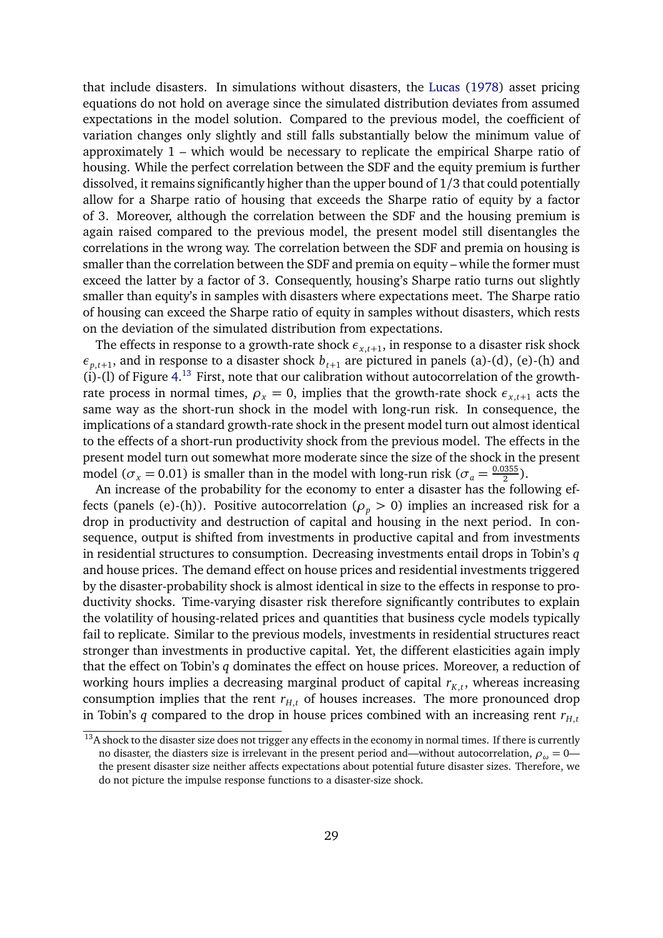that include disasters. In simulations without disasters, the [Lucas](#page-39-12) [\(1978\)](#page-39-12) asset pricing equations do not hold on average since the simulated distribution deviates from assumed expectations in the model solution. Compared to the previous model, the coefficient of variation changes only slightly and still falls substantially below the minimum value of approximately 1 – which would be necessary to replicate the empirical Sharpe ratio of housing. While the perfect correlation between the SDF and the equity premium is further dissolved, it remains significantly higher than the upper bound of 1/3 that could potentially allow for a Sharpe ratio of housing that exceeds the Sharpe ratio of equity by a factor of 3. Moreover, although the correlation between the SDF and the housing premium is again raised compared to the previous model, the present model still disentangles the correlations in the wrong way. The correlation between the SDF and premia on housing is smaller than the correlation between the SDF and premia on equity – while the former must exceed the latter by a factor of 3. Consequently, housing's Sharpe ratio turns out slightly smaller than equity's in samples with disasters where expectations meet. The Sharpe ratio of housing can exceed the Sharpe ratio of equity in samples without disasters, which rests on the deviation of the simulated distribution from expectations.

The effects in response to a growth-rate shock  $\epsilon_{x,t+1}$ , in response to a disaster risk shock  $\epsilon_{p,t+1}$ , and in response to a disaster shock  $b_{t+1}$  are pictured in panels (a)-(d), (e)-(h) and  $(i)$ -(l) of Figure [4.](#page-29-0)<sup>[13](#page-28-0)</sup> First, note that our calibration without autocorrelation of the growthrate process in normal times,  $\rho_x = 0$ , implies that the growth-rate shock  $\epsilon_{x,t+1}$  acts the same way as the short-run shock in the model with long-run risk. In consequence, the implications of a standard growth-rate shock in the present model turn out almost identical to the effects of a short-run productivity shock from the previous model. The effects in the present model turn out somewhat more moderate since the size of the shock in the present model ( $\sigma_x$  = 0.01) is smaller than in the model with long-run risk ( $\sigma_a = \frac{0.0355}{2}$  $\frac{1355}{2}$ ).

An increase of the probability for the economy to enter a disaster has the following effects (panels (e)-(h)). Positive autocorrelation ( $\rho_p > 0$ ) implies an increased risk for a drop in productivity and destruction of capital and housing in the next period. In consequence, output is shifted from investments in productive capital and from investments in residential structures to consumption. Decreasing investments entail drops in Tobin's *q* and house prices. The demand effect on house prices and residential investments triggered by the disaster-probability shock is almost identical in size to the effects in response to productivity shocks. Time-varying disaster risk therefore significantly contributes to explain the volatility of housing-related prices and quantities that business cycle models typically fail to replicate. Similar to the previous models, investments in residential structures react stronger than investments in productive capital. Yet, the different elasticities again imply that the effect on Tobin's *q* dominates the effect on house prices. Moreover, a reduction of working hours implies a decreasing marginal product of capital  $r_{K,t}$ , whereas increasing consumption implies that the rent  $r_{H,t}$  of houses increases. The more pronounced drop in Tobin's *q* compared to the drop in house prices combined with an increasing rent  $r_{H,t}$ 

<span id="page-28-0"></span> $13A$  shock to the disaster size does not trigger any effects in the economy in normal times. If there is currently no disaster, the diasters size is irrelevant in the present period and—without autocorrelation,  $\rho_{\omega} = 0$  the present disaster size neither affects expectations about potential future disaster sizes. Therefore, we do not picture the impulse response functions to a disaster-size shock.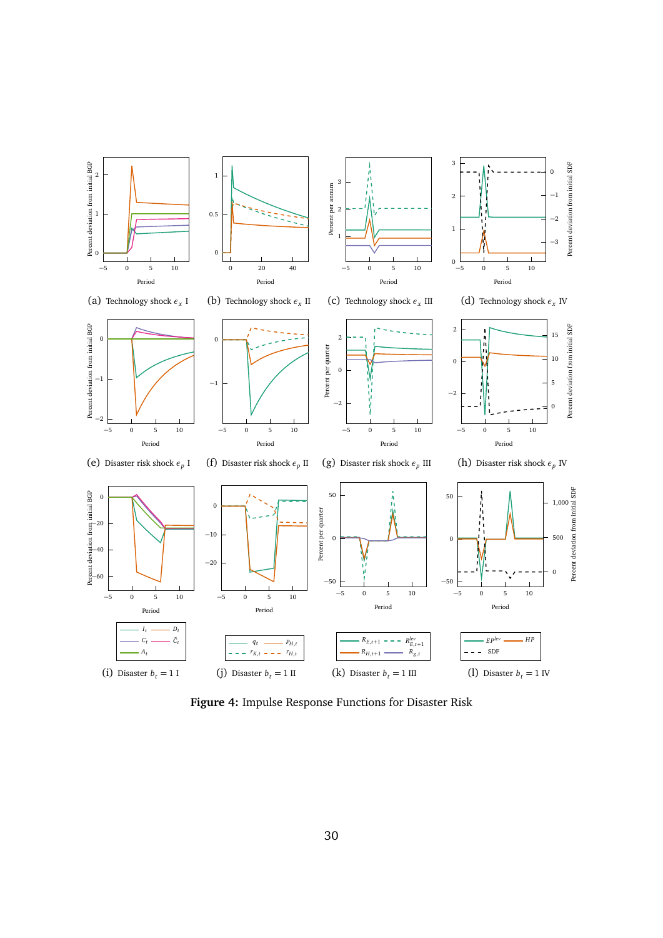<span id="page-29-0"></span>

**Figure 4:** Impulse Response Functions for Disaster Risk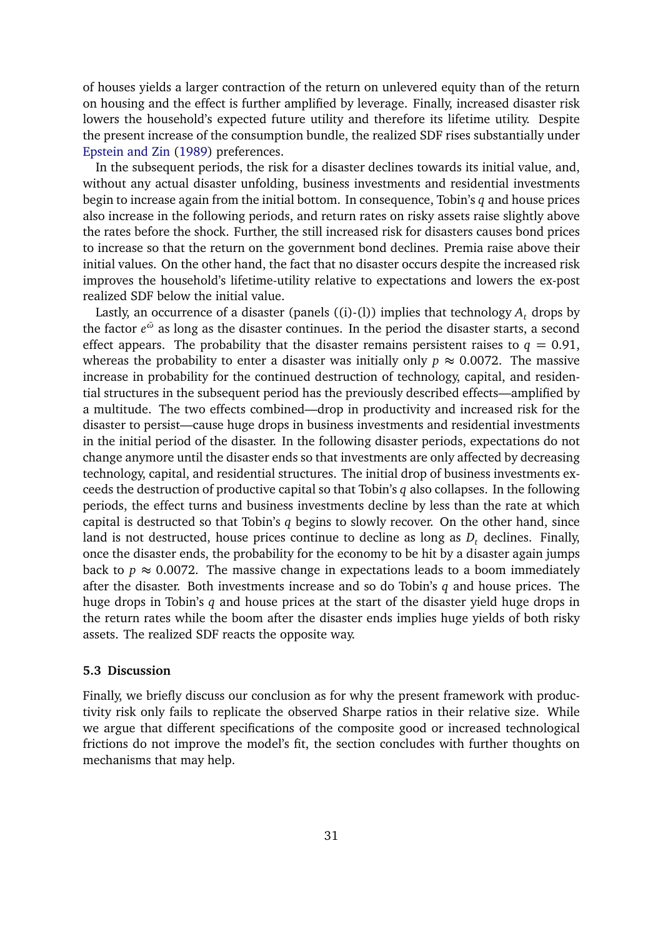of houses yields a larger contraction of the return on unlevered equity than of the return on housing and the effect is further amplified by leverage. Finally, increased disaster risk lowers the household's expected future utility and therefore its lifetime utility. Despite the present increase of the consumption bundle, the realized SDF rises substantially under [Epstein and Zin](#page-37-1) [\(1989\)](#page-37-1) preferences.

In the subsequent periods, the risk for a disaster declines towards its initial value, and, without any actual disaster unfolding, business investments and residential investments begin to increase again from the initial bottom. In consequence, Tobin's *q* and house prices also increase in the following periods, and return rates on risky assets raise slightly above the rates before the shock. Further, the still increased risk for disasters causes bond prices to increase so that the return on the government bond declines. Premia raise above their initial values. On the other hand, the fact that no disaster occurs despite the increased risk improves the household's lifetime-utility relative to expectations and lowers the ex-post realized SDF below the initial value.

Lastly, an occurrence of a disaster (panels  $((i)-(l))$  implies that technology  $A_t$  drops by the factor  $e^{\bar{\omega}}$  as long as the disaster continues. In the period the disaster starts, a second effect appears. The probability that the disaster remains persistent raises to  $q = 0.91$ , whereas the probability to enter a disaster was initially only  $p \approx 0.0072$ . The massive increase in probability for the continued destruction of technology, capital, and residential structures in the subsequent period has the previously described effects—amplified by a multitude. The two effects combined—drop in productivity and increased risk for the disaster to persist—cause huge drops in business investments and residential investments in the initial period of the disaster. In the following disaster periods, expectations do not change anymore until the disaster ends so that investments are only affected by decreasing technology, capital, and residential structures. The initial drop of business investments exceeds the destruction of productive capital so that Tobin's *q* also collapses. In the following periods, the effect turns and business investments decline by less than the rate at which capital is destructed so that Tobin's *q* begins to slowly recover. On the other hand, since land is not destructed, house prices continue to decline as long as  $D_t$  declines. Finally, once the disaster ends, the probability for the economy to be hit by a disaster again jumps back to  $p \approx 0.0072$ . The massive change in expectations leads to a boom immediately after the disaster. Both investments increase and so do Tobin's *q* and house prices. The huge drops in Tobin's *q* and house prices at the start of the disaster yield huge drops in the return rates while the boom after the disaster ends implies huge yields of both risky assets. The realized SDF reacts the opposite way.

#### **5.3 Discussion**

Finally, we briefly discuss our conclusion as for why the present framework with productivity risk only fails to replicate the observed Sharpe ratios in their relative size. While we argue that different specifications of the composite good or increased technological frictions do not improve the model's fit, the section concludes with further thoughts on mechanisms that may help.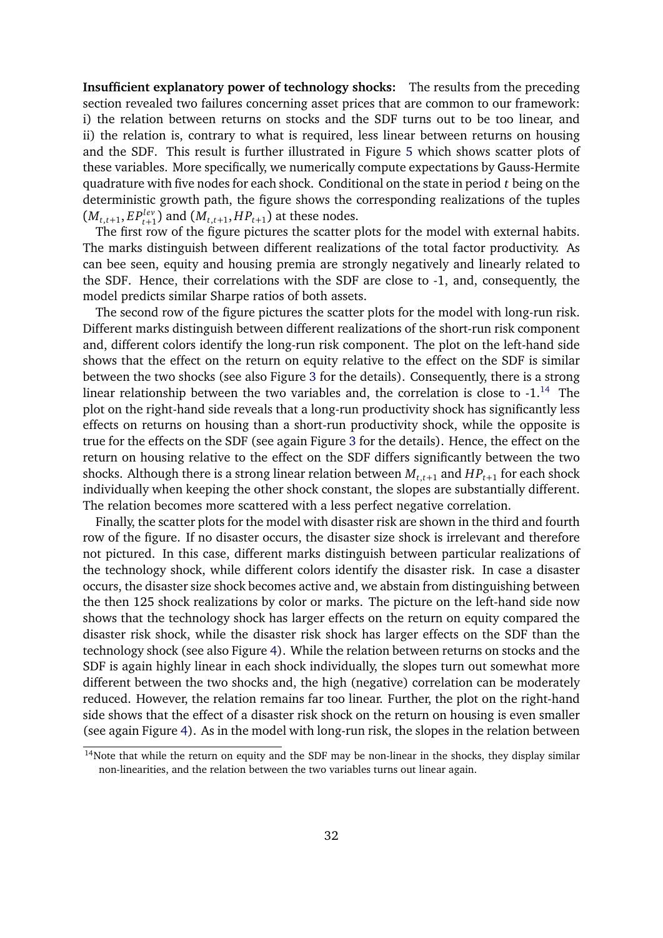**Insufficient explanatory power of technology shocks:** The results from the preceding section revealed two failures concerning asset prices that are common to our framework: i) the relation between returns on stocks and the SDF turns out to be too linear, and ii) the relation is, contrary to what is required, less linear between returns on housing and the SDF. This result is further illustrated in Figure [5](#page-32-0) which shows scatter plots of these variables. More specifically, we numerically compute expectations by Gauss-Hermite quadrature with five nodes for each shock. Conditional on the state in period *t* being on the deterministic growth path, the figure shows the corresponding realizations of the tuples  $(M_{t,t+1}, EP_{t+1}^{lev})$  and  $(M_{t,t+1}, HP_{t+1})$  at these nodes.

The first row of the figure pictures the scatter plots for the model with external habits. The marks distinguish between different realizations of the total factor productivity. As can bee seen, equity and housing premia are strongly negatively and linearly related to the SDF. Hence, their correlations with the SDF are close to -1, and, consequently, the model predicts similar Sharpe ratios of both assets.

The second row of the figure pictures the scatter plots for the model with long-run risk. Different marks distinguish between different realizations of the short-run risk component and, different colors identify the long-run risk component. The plot on the left-hand side shows that the effect on the return on equity relative to the effect on the SDF is similar between the two shocks (see also Figure [3](#page-25-0) for the details). Consequently, there is a strong linear relationship between the two variables and, the correlation is close to  $-1$ .<sup>[14](#page-31-0)</sup> The plot on the right-hand side reveals that a long-run productivity shock has significantly less effects on returns on housing than a short-run productivity shock, while the opposite is true for the effects on the SDF (see again Figure [3](#page-25-0) for the details). Hence, the effect on the return on housing relative to the effect on the SDF differs significantly between the two shocks. Although there is a strong linear relation between  $M_{t,t+1}$  and  $HP_{t+1}$  for each shock individually when keeping the other shock constant, the slopes are substantially different. The relation becomes more scattered with a less perfect negative correlation.

Finally, the scatter plots for the model with disaster risk are shown in the third and fourth row of the figure. If no disaster occurs, the disaster size shock is irrelevant and therefore not pictured. In this case, different marks distinguish between particular realizations of the technology shock, while different colors identify the disaster risk. In case a disaster occurs, the disaster size shock becomes active and, we abstain from distinguishing between the then 125 shock realizations by color or marks. The picture on the left-hand side now shows that the technology shock has larger effects on the return on equity compared the disaster risk shock, while the disaster risk shock has larger effects on the SDF than the technology shock (see also Figure [4\)](#page-29-0). While the relation between returns on stocks and the SDF is again highly linear in each shock individually, the slopes turn out somewhat more different between the two shocks and, the high (negative) correlation can be moderately reduced. However, the relation remains far too linear. Further, the plot on the right-hand side shows that the effect of a disaster risk shock on the return on housing is even smaller (see again Figure [4\)](#page-29-0). As in the model with long-run risk, the slopes in the relation between

<span id="page-31-0"></span> $14$ Note that while the return on equity and the SDF may be non-linear in the shocks, they display similar non-linearities, and the relation between the two variables turns out linear again.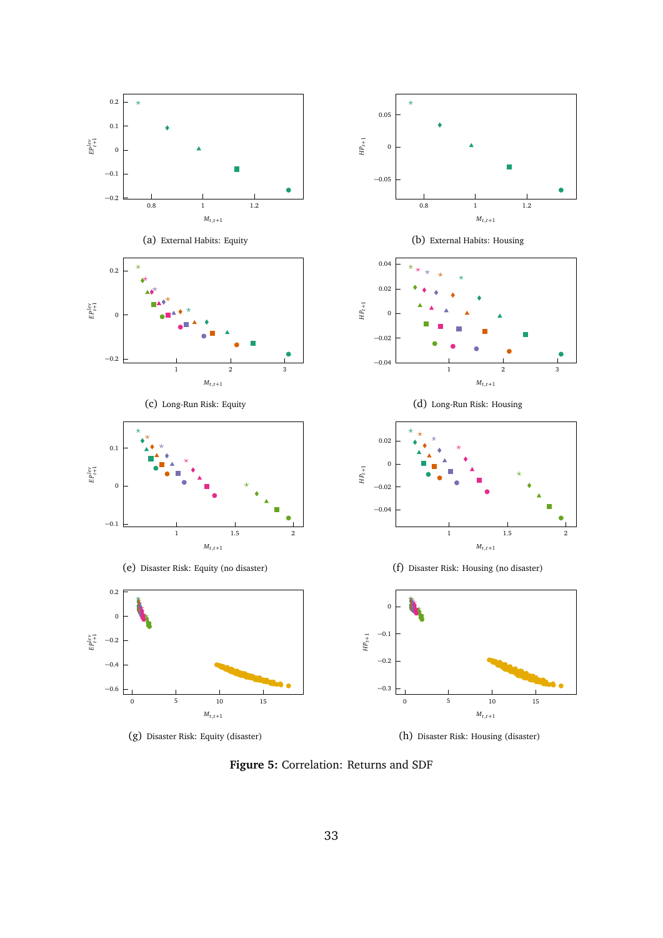<span id="page-32-0"></span>

**Figure 5:** Correlation: Returns and SDF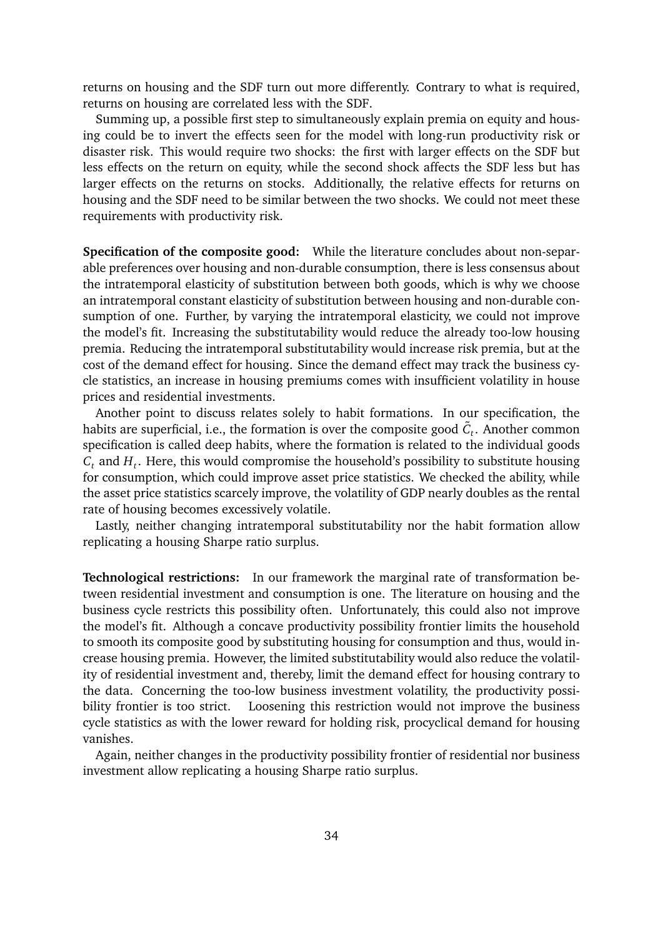returns on housing and the SDF turn out more differently. Contrary to what is required, returns on housing are correlated less with the SDF.

Summing up, a possible first step to simultaneously explain premia on equity and housing could be to invert the effects seen for the model with long-run productivity risk or disaster risk. This would require two shocks: the first with larger effects on the SDF but less effects on the return on equity, while the second shock affects the SDF less but has larger effects on the returns on stocks. Additionally, the relative effects for returns on housing and the SDF need to be similar between the two shocks. We could not meet these requirements with productivity risk.

**Specification of the composite good:** While the literature concludes about non-separable preferences over housing and non-durable consumption, there is less consensus about the intratemporal elasticity of substitution between both goods, which is why we choose an intratemporal constant elasticity of substitution between housing and non-durable consumption of one. Further, by varying the intratemporal elasticity, we could not improve the model's fit. Increasing the substitutability would reduce the already too-low housing premia. Reducing the intratemporal substitutability would increase risk premia, but at the cost of the demand effect for housing. Since the demand effect may track the business cycle statistics, an increase in housing premiums comes with insufficient volatility in house prices and residential investments.

Another point to discuss relates solely to habit formations. In our specification, the habits are superficial, i.e., the formation is over the composite good  $\tilde{C}_t.$  Another common specification is called deep habits, where the formation is related to the individual goods *C<sup>t</sup>* and *H<sup>t</sup>* . Here, this would compromise the household's possibility to substitute housing for consumption, which could improve asset price statistics. We checked the ability, while the asset price statistics scarcely improve, the volatility of GDP nearly doubles as the rental rate of housing becomes excessively volatile.

Lastly, neither changing intratemporal substitutability nor the habit formation allow replicating a housing Sharpe ratio surplus.

**Technological restrictions:** In our framework the marginal rate of transformation between residential investment and consumption is one. The literature on housing and the business cycle restricts this possibility often. Unfortunately, this could also not improve the model's fit. Although a concave productivity possibility frontier limits the household to smooth its composite good by substituting housing for consumption and thus, would increase housing premia. However, the limited substitutability would also reduce the volatility of residential investment and, thereby, limit the demand effect for housing contrary to the data. Concerning the too-low business investment volatility, the productivity possibility frontier is too strict. Loosening this restriction would not improve the business cycle statistics as with the lower reward for holding risk, procyclical demand for housing vanishes.

Again, neither changes in the productivity possibility frontier of residential nor business investment allow replicating a housing Sharpe ratio surplus.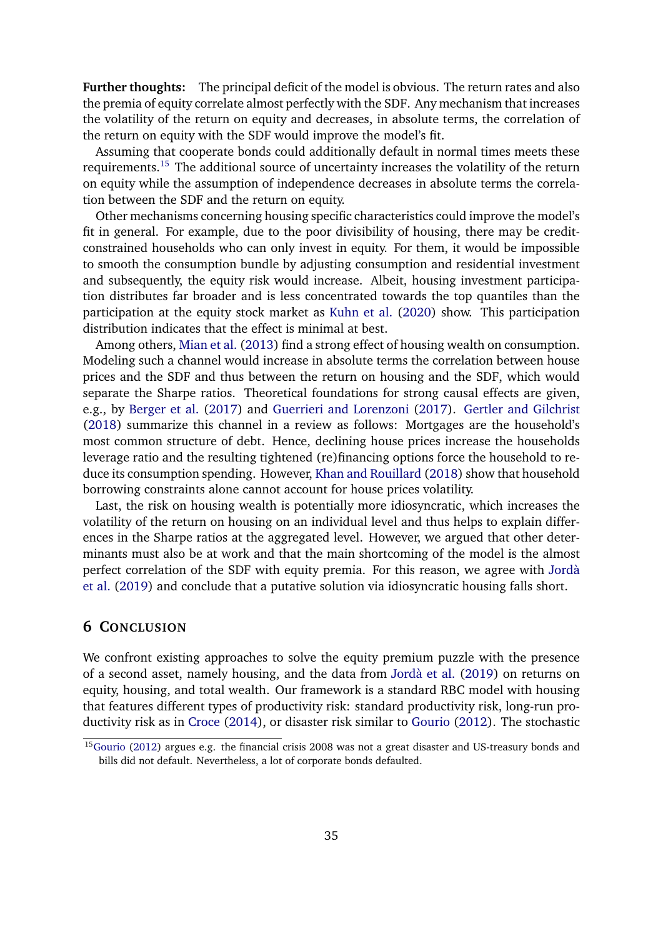**Further thoughts:** The principal deficit of the model is obvious. The return rates and also the premia of equity correlate almost perfectly with the SDF. Any mechanism that increases the volatility of the return on equity and decreases, in absolute terms, the correlation of the return on equity with the SDF would improve the model's fit.

Assuming that cooperate bonds could additionally default in normal times meets these requirements.[15](#page-34-1) The additional source of uncertainty increases the volatility of the return on equity while the assumption of independence decreases in absolute terms the correlation between the SDF and the return on equity.

Other mechanisms concerning housing specific characteristics could improve the model's fit in general. For example, due to the poor divisibility of housing, there may be creditconstrained households who can only invest in equity. For them, it would be impossible to smooth the consumption bundle by adjusting consumption and residential investment and subsequently, the equity risk would increase. Albeit, housing investment participation distributes far broader and is less concentrated towards the top quantiles than the participation at the equity stock market as [Kuhn et al.](#page-39-13) [\(2020\)](#page-39-13) show. This participation distribution indicates that the effect is minimal at best.

Among others, [Mian et al.](#page-39-6) [\(2013\)](#page-39-6) find a strong effect of housing wealth on consumption. Modeling such a channel would increase in absolute terms the correlation between house prices and the SDF and thus between the return on housing and the SDF, which would separate the Sharpe ratios. Theoretical foundations for strong causal effects are given, e.g., by [Berger et al.](#page-36-11) [\(2017\)](#page-36-11) and [Guerrieri and Lorenzoni](#page-38-11) [\(2017\)](#page-38-11). [Gertler and Gilchrist](#page-37-12) [\(2018\)](#page-37-12) summarize this channel in a review as follows: Mortgages are the household's most common structure of debt. Hence, declining house prices increase the households leverage ratio and the resulting tightened (re)financing options force the household to reduce its consumption spending. However, [Khan and Rouillard](#page-38-2) [\(2018\)](#page-38-2) show that household borrowing constraints alone cannot account for house prices volatility.

Last, the risk on housing wealth is potentially more idiosyncratic, which increases the volatility of the return on housing on an individual level and thus helps to explain differences in the Sharpe ratios at the aggregated level. However, we argued that other determinants must also be at work and that the main shortcoming of the model is the almost perfect correlation of the SDF with equity premia. For this reason, we agree with [Jordà](#page-38-3) [et al.](#page-38-3) [\(2019\)](#page-38-3) and conclude that a putative solution via idiosyncratic housing falls short.

# <span id="page-34-0"></span>**6 CONCLUSION**

We confront existing approaches to solve the equity premium puzzle with the presence of a second asset, namely housing, and the data from [Jordà et al.](#page-38-0) [\(2019\)](#page-38-0) on returns on equity, housing, and total wealth. Our framework is a standard RBC model with housing that features different types of productivity risk: standard productivity risk, long-run productivity risk as in [Croce](#page-36-1) [\(2014\)](#page-36-1), or disaster risk similar to [Gourio](#page-37-0) [\(2012\)](#page-37-0). The stochastic

<span id="page-34-1"></span><sup>&</sup>lt;sup>15</sup>[Gourio](#page-37-0) [\(2012\)](#page-37-0) argues e.g. the financial crisis 2008 was not a great disaster and US-treasury bonds and bills did not default. Nevertheless, a lot of corporate bonds defaulted.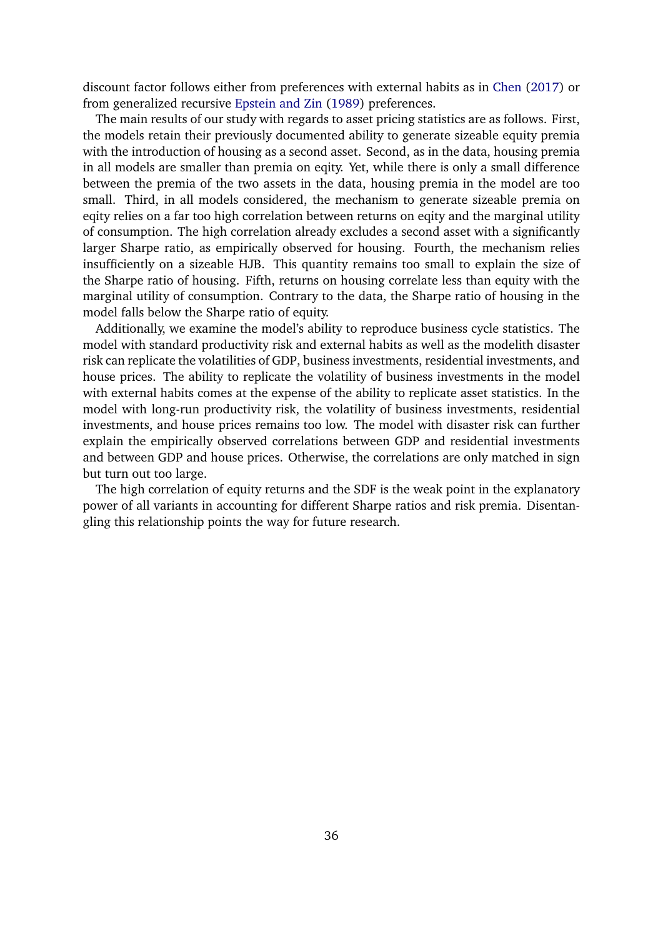discount factor follows either from preferences with external habits as in [Chen](#page-36-3) [\(2017\)](#page-36-3) or from generalized recursive [Epstein and Zin](#page-37-1) [\(1989\)](#page-37-1) preferences.

The main results of our study with regards to asset pricing statistics are as follows. First, the models retain their previously documented ability to generate sizeable equity premia with the introduction of housing as a second asset. Second, as in the data, housing premia in all models are smaller than premia on eqity. Yet, while there is only a small difference between the premia of the two assets in the data, housing premia in the model are too small. Third, in all models considered, the mechanism to generate sizeable premia on eqity relies on a far too high correlation between returns on eqity and the marginal utility of consumption. The high correlation already excludes a second asset with a significantly larger Sharpe ratio, as empirically observed for housing. Fourth, the mechanism relies insufficiently on a sizeable HJB. This quantity remains too small to explain the size of the Sharpe ratio of housing. Fifth, returns on housing correlate less than equity with the marginal utility of consumption. Contrary to the data, the Sharpe ratio of housing in the model falls below the Sharpe ratio of equity.

Additionally, we examine the model's ability to reproduce business cycle statistics. The model with standard productivity risk and external habits as well as the modelith disaster risk can replicate the volatilities of GDP, business investments, residential investments, and house prices. The ability to replicate the volatility of business investments in the model with external habits comes at the expense of the ability to replicate asset statistics. In the model with long-run productivity risk, the volatility of business investments, residential investments, and house prices remains too low. The model with disaster risk can further explain the empirically observed correlations between GDP and residential investments and between GDP and house prices. Otherwise, the correlations are only matched in sign but turn out too large.

The high correlation of equity returns and the SDF is the weak point in the explanatory power of all variants in accounting for different Sharpe ratios and risk premia. Disentangling this relationship points the way for future research.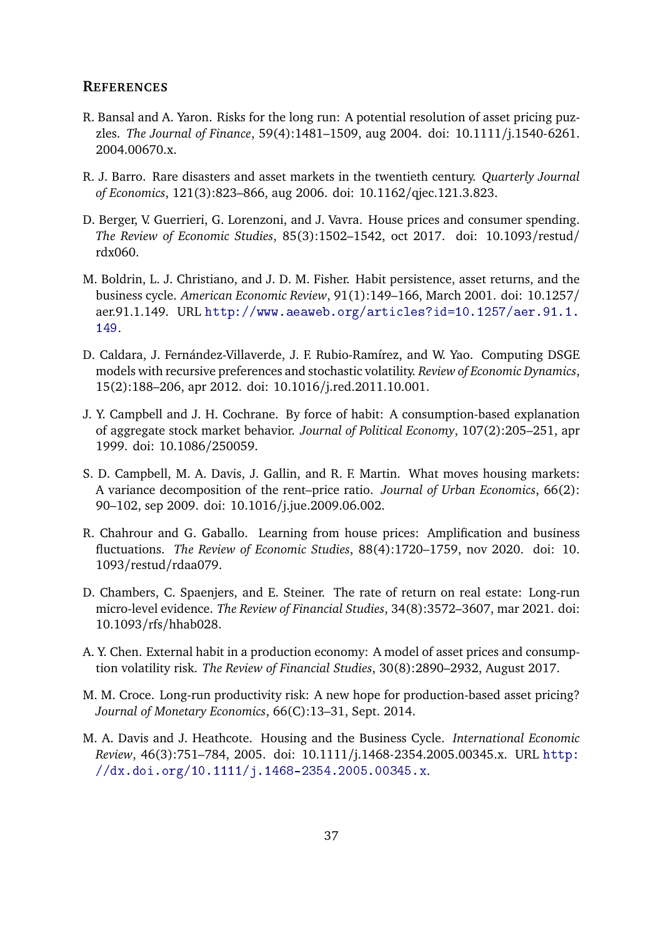#### **REFERENCES**

- <span id="page-36-0"></span>R. Bansal and A. Yaron. Risks for the long run: A potential resolution of asset pricing puzzles. *The Journal of Finance*, 59(4):1481–1509, aug 2004. doi: 10.1111/j.1540-6261. 2004.00670.x.
- <span id="page-36-2"></span>R. J. Barro. Rare disasters and asset markets in the twentieth century. *Quarterly Journal of Economics*, 121(3):823–866, aug 2006. doi: 10.1162/qjec.121.3.823.
- <span id="page-36-11"></span>D. Berger, V. Guerrieri, G. Lorenzoni, and J. Vavra. House prices and consumer spending. *The Review of Economic Studies*, 85(3):1502–1542, oct 2017. doi: 10.1093/restud/ rdx060.
- <span id="page-36-7"></span>M. Boldrin, L. J. Christiano, and J. D. M. Fisher. Habit persistence, asset returns, and the business cycle. *American Economic Review*, 91(1):149–166, March 2001. doi: 10.1257/ aer.91.1.149. URL [http://www.aeaweb.org/articles?id=10.1257/aer.91.1.](http://www.aeaweb.org/articles?id=10.1257/aer.91.1.149) [149](http://www.aeaweb.org/articles?id=10.1257/aer.91.1.149).
- <span id="page-36-10"></span>D. Caldara, J. Fernández-Villaverde, J. F. Rubio-Ramírez, and W. Yao. Computing DSGE models with recursive preferences and stochastic volatility. *Review of Economic Dynamics*, 15(2):188–206, apr 2012. doi: 10.1016/j.red.2011.10.001.
- <span id="page-36-4"></span>J. Y. Campbell and J. H. Cochrane. By force of habit: A consumption-based explanation of aggregate stock market behavior. *Journal of Political Economy*, 107(2):205–251, apr 1999. doi: 10.1086/250059.
- <span id="page-36-8"></span>S. D. Campbell, M. A. Davis, J. Gallin, and R. F. Martin. What moves housing markets: A variance decomposition of the rent–price ratio. *Journal of Urban Economics*, 66(2): 90–102, sep 2009. doi: 10.1016/j.jue.2009.06.002.
- <span id="page-36-6"></span>R. Chahrour and G. Gaballo. Learning from house prices: Amplification and business fluctuations. *The Review of Economic Studies*, 88(4):1720–1759, nov 2020. doi: 10. 1093/restud/rdaa079.
- <span id="page-36-9"></span>D. Chambers, C. Spaenjers, and E. Steiner. The rate of return on real estate: Long-run micro-level evidence. *The Review of Financial Studies*, 34(8):3572–3607, mar 2021. doi: 10.1093/rfs/hhab028.
- <span id="page-36-3"></span>A. Y. Chen. External habit in a production economy: A model of asset prices and consumption volatility risk. *The Review of Financial Studies*, 30(8):2890–2932, August 2017.
- <span id="page-36-1"></span>M. M. Croce. Long-run productivity risk: A new hope for production-based asset pricing? *Journal of Monetary Economics*, 66(C):13–31, Sept. 2014.
- <span id="page-36-5"></span>M. A. Davis and J. Heathcote. Housing and the Business Cycle. *International Economic Review*, 46(3):751–784, 2005. doi: 10.1111/j.1468-2354.2005.00345.x. URL [http:](http://dx.doi.org/10.1111/j.1468-2354.2005.00345.x) [//dx.doi.org/10.1111/j.1468-2354.2005.00345.x](http://dx.doi.org/10.1111/j.1468-2354.2005.00345.x).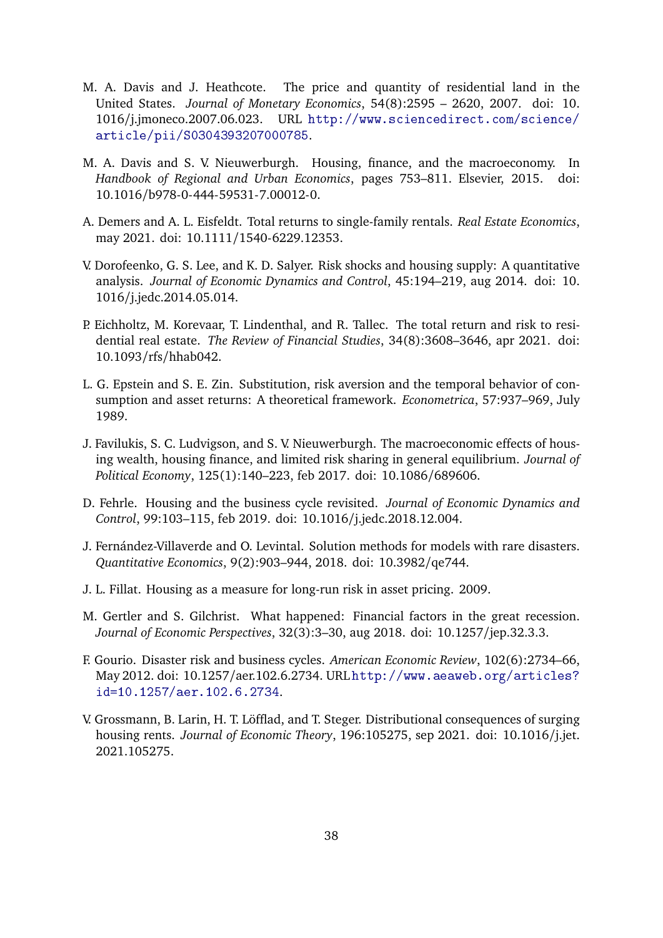- <span id="page-37-6"></span>M. A. Davis and J. Heathcote. The price and quantity of residential land in the United States. *Journal of Monetary Economics*, 54(8):2595 – 2620, 2007. doi: 10. 1016/j.jmoneco.2007.06.023. URL [http://www.sciencedirect.com/science/](http://www.sciencedirect.com/science/article/pii/S0304393207000785) [article/pii/S0304393207000785](http://www.sciencedirect.com/science/article/pii/S0304393207000785).
- <span id="page-37-8"></span>M. A. Davis and S. V. Nieuwerburgh. Housing, finance, and the macroeconomy. In *Handbook of Regional and Urban Economics*, pages 753–811. Elsevier, 2015. doi: 10.1016/b978-0-444-59531-7.00012-0.
- <span id="page-37-7"></span>A. Demers and A. L. Eisfeldt. Total returns to single-family rentals. *Real Estate Economics*, may 2021. doi: 10.1111/1540-6229.12353.
- <span id="page-37-3"></span>V. Dorofeenko, G. S. Lee, and K. D. Salyer. Risk shocks and housing supply: A quantitative analysis. *Journal of Economic Dynamics and Control*, 45:194–219, aug 2014. doi: 10. 1016/j.jedc.2014.05.014.
- <span id="page-37-9"></span>P. Eichholtz, M. Korevaar, T. Lindenthal, and R. Tallec. The total return and risk to residential real estate. *The Review of Financial Studies*, 34(8):3608–3646, apr 2021. doi: 10.1093/rfs/hhab042.
- <span id="page-37-1"></span>L. G. Epstein and S. E. Zin. Substitution, risk aversion and the temporal behavior of consumption and asset returns: A theoretical framework. *Econometrica*, 57:937–969, July 1989.
- <span id="page-37-5"></span>J. Favilukis, S. C. Ludvigson, and S. V. Nieuwerburgh. The macroeconomic effects of housing wealth, housing finance, and limited risk sharing in general equilibrium. *Journal of Political Economy*, 125(1):140–223, feb 2017. doi: 10.1086/689606.
- <span id="page-37-2"></span>D. Fehrle. Housing and the business cycle revisited. *Journal of Economic Dynamics and Control*, 99:103–115, feb 2019. doi: 10.1016/j.jedc.2018.12.004.
- <span id="page-37-10"></span>J. Fernández-Villaverde and O. Levintal. Solution methods for models with rare disasters. *Quantitative Economics*, 9(2):903–944, 2018. doi: 10.3982/qe744.
- <span id="page-37-4"></span>J. L. Fillat. Housing as a measure for long-run risk in asset pricing. 2009.
- <span id="page-37-12"></span>M. Gertler and S. Gilchrist. What happened: Financial factors in the great recession. *Journal of Economic Perspectives*, 32(3):3–30, aug 2018. doi: 10.1257/jep.32.3.3.
- <span id="page-37-0"></span>F. Gourio. Disaster risk and business cycles. *American Economic Review*, 102(6):2734–66, May 2012. doi: 10.1257/aer.102.6.2734. URL [http://www.aeaweb.org/articles?](http://www.aeaweb.org/articles?id=10.1257/aer.102.6.2734) [id=10.1257/aer.102.6.2734](http://www.aeaweb.org/articles?id=10.1257/aer.102.6.2734).
- <span id="page-37-11"></span>V. Grossmann, B. Larin, H. T. Löfflad, and T. Steger. Distributional consequences of surging housing rents. *Journal of Economic Theory*, 196:105275, sep 2021. doi: 10.1016/j.jet. 2021.105275.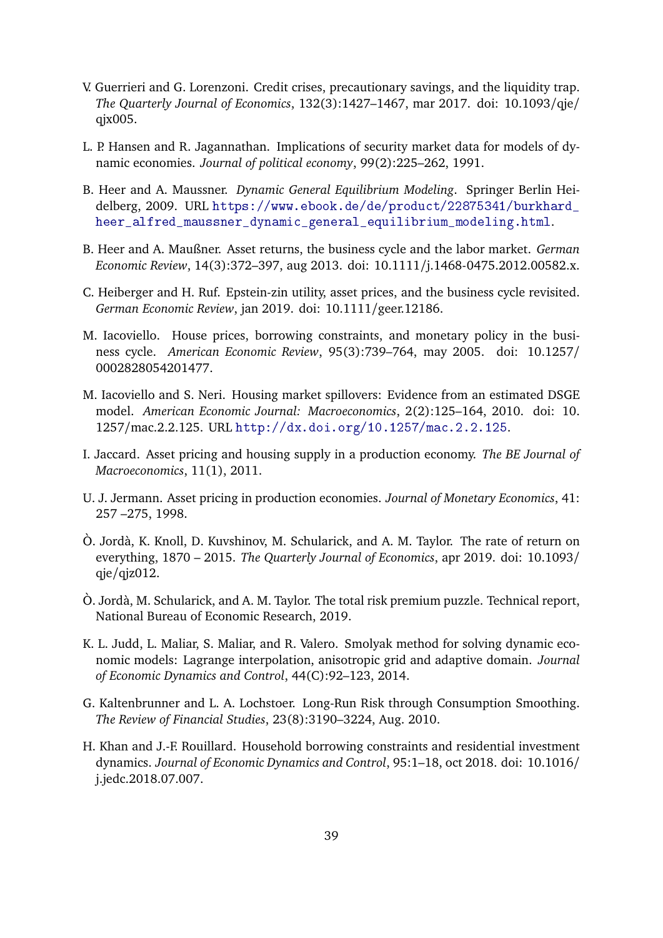- <span id="page-38-11"></span>V. Guerrieri and G. Lorenzoni. Credit crises, precautionary savings, and the liquidity trap. *The Quarterly Journal of Economics*, 132(3):1427–1467, mar 2017. doi: 10.1093/qje/ qjx005.
- <span id="page-38-8"></span>L. P. Hansen and R. Jagannathan. Implications of security market data for models of dynamic economies. *Journal of political economy*, 99(2):225–262, 1991.
- <span id="page-38-13"></span>B. Heer and A. Maussner. *Dynamic General Equilibrium Modeling*. Springer Berlin Heidelberg, 2009. URL [https://www.ebook.de/de/product/22875341/burkhard\\_](https://www.ebook.de/de/product/22875341/burkhard_heer_alfred_maussner_dynamic_general_equilibrium_modeling.html) [heer\\_alfred\\_maussner\\_dynamic\\_general\\_equilibrium\\_modeling.html](https://www.ebook.de/de/product/22875341/burkhard_heer_alfred_maussner_dynamic_general_equilibrium_modeling.html).
- <span id="page-38-5"></span>B. Heer and A. Maußner. Asset returns, the business cycle and the labor market. *German Economic Review*, 14(3):372–397, aug 2013. doi: 10.1111/j.1468-0475.2012.00582.x.
- <span id="page-38-9"></span>C. Heiberger and H. Ruf. Epstein-zin utility, asset prices, and the business cycle revisited. *German Economic Review*, jan 2019. doi: 10.1111/geer.12186.
- <span id="page-38-6"></span>M. Iacoviello. House prices, borrowing constraints, and monetary policy in the business cycle. *American Economic Review*, 95(3):739–764, may 2005. doi: 10.1257/ 0002828054201477.
- <span id="page-38-1"></span>M. Iacoviello and S. Neri. Housing market spillovers: Evidence from an estimated DSGE model. *American Economic Journal: Macroeconomics*, 2(2):125–164, 2010. doi: 10. 1257/mac.2.2.125. URL <http://dx.doi.org/10.1257/mac.2.2.125>.
- <span id="page-38-7"></span>I. Jaccard. Asset pricing and housing supply in a production economy. *The BE Journal of Macroeconomics*, 11(1), 2011.
- <span id="page-38-4"></span>U. J. Jermann. Asset pricing in production economies. *Journal of Monetary Economics*, 41: 257 –275, 1998.
- <span id="page-38-0"></span>Ò. Jordà, K. Knoll, D. Kuvshinov, M. Schularick, and A. M. Taylor. The rate of return on everything, 1870 – 2015. *The Quarterly Journal of Economics*, apr 2019. doi: 10.1093/ qje/qjz012.
- <span id="page-38-3"></span>Ò. Jordà, M. Schularick, and A. M. Taylor. The total risk premium puzzle. Technical report, National Bureau of Economic Research, 2019.
- <span id="page-38-12"></span>K. L. Judd, L. Maliar, S. Maliar, and R. Valero. Smolyak method for solving dynamic economic models: Lagrange interpolation, anisotropic grid and adaptive domain. *Journal of Economic Dynamics and Control*, 44(C):92–123, 2014.
- <span id="page-38-10"></span>G. Kaltenbrunner and L. A. Lochstoer. Long-Run Risk through Consumption Smoothing. *The Review of Financial Studies*, 23(8):3190–3224, Aug. 2010.
- <span id="page-38-2"></span>H. Khan and J.-F. Rouillard. Household borrowing constraints and residential investment dynamics. *Journal of Economic Dynamics and Control*, 95:1–18, oct 2018. doi: 10.1016/ j.jedc.2018.07.007.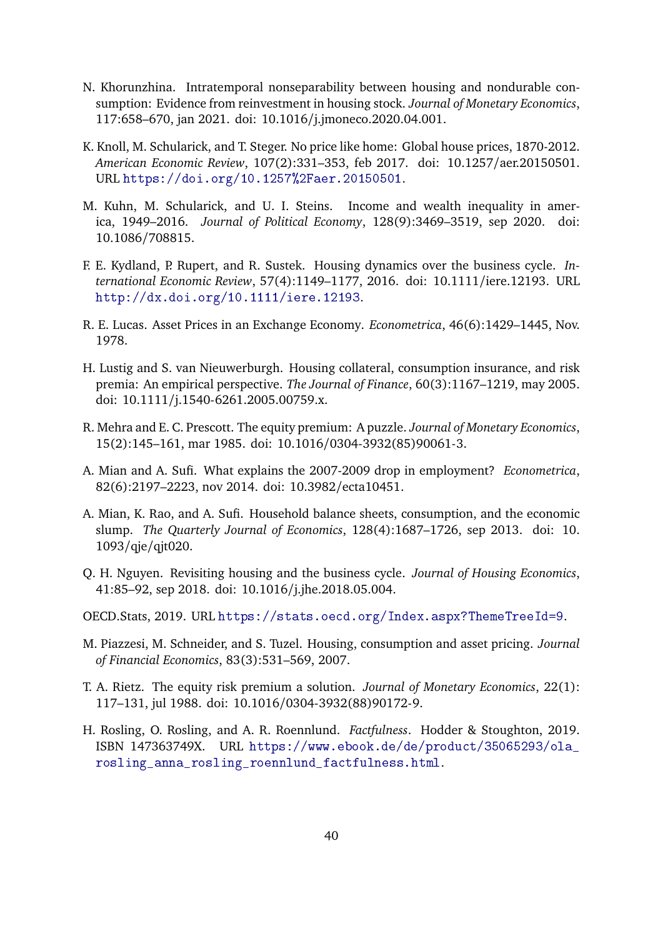- <span id="page-39-8"></span>N. Khorunzhina. Intratemporal nonseparability between housing and nondurable consumption: Evidence from reinvestment in housing stock. *Journal of Monetary Economics*, 117:658–670, jan 2021. doi: 10.1016/j.jmoneco.2020.04.001.
- <span id="page-39-10"></span>K. Knoll, M. Schularick, and T. Steger. No price like home: Global house prices, 1870-2012. *American Economic Review*, 107(2):331–353, feb 2017. doi: 10.1257/aer.20150501. URL <https://doi.org/10.1257%2Faer.20150501>.
- <span id="page-39-13"></span>M. Kuhn, M. Schularick, and U. I. Steins. Income and wealth inequality in america, 1949–2016. *Journal of Political Economy*, 128(9):3469–3519, sep 2020. doi: 10.1086/708815.
- <span id="page-39-11"></span>F. E. Kydland, P. Rupert, and R. Sustek. Housing dynamics over the business cycle. *International Economic Review*, 57(4):1149–1177, 2016. doi: 10.1111/iere.12193. URL <http://dx.doi.org/10.1111/iere.12193>.
- <span id="page-39-12"></span>R. E. Lucas. Asset Prices in an Exchange Economy. *Econometrica*, 46(6):1429–1445, Nov. 1978.
- <span id="page-39-5"></span>H. Lustig and S. van Nieuwerburgh. Housing collateral, consumption insurance, and risk premia: An empirical perspective. *The Journal of Finance*, 60(3):1167–1219, may 2005. doi: 10.1111/j.1540-6261.2005.00759.x.
- <span id="page-39-0"></span>R. Mehra and E. C. Prescott. The equity premium: A puzzle. *Journal of Monetary Economics*, 15(2):145–161, mar 1985. doi: 10.1016/0304-3932(85)90061-3.
- <span id="page-39-7"></span>A. Mian and A. Sufi. What explains the 2007-2009 drop in employment? *Econometrica*, 82(6):2197–2223, nov 2014. doi: 10.3982/ecta10451.
- <span id="page-39-6"></span>A. Mian, K. Rao, and A. Sufi. Household balance sheets, consumption, and the economic slump. *The Quarterly Journal of Economics*, 128(4):1687–1726, sep 2013. doi: 10. 1093/qje/qjt020.
- <span id="page-39-3"></span>Q. H. Nguyen. Revisiting housing and the business cycle. *Journal of Housing Economics*, 41:85–92, sep 2018. doi: 10.1016/j.jhe.2018.05.004.
- <span id="page-39-2"></span>OECD.Stats, 2019. URL <https://stats.oecd.org/Index.aspx?ThemeTreeId=9>.
- <span id="page-39-4"></span>M. Piazzesi, M. Schneider, and S. Tuzel. Housing, consumption and asset pricing. *Journal of Financial Economics*, 83(3):531–569, 2007.
- <span id="page-39-1"></span>T. A. Rietz. The equity risk premium a solution. *Journal of Monetary Economics*, 22(1): 117–131, jul 1988. doi: 10.1016/0304-3932(88)90172-9.
- <span id="page-39-9"></span>H. Rosling, O. Rosling, and A. R. Roennlund. *Factfulness*. Hodder & Stoughton, 2019. ISBN 147363749X. URL [https://www.ebook.de/de/product/35065293/ola\\_](https://www.ebook.de/de/product/35065293/ola_rosling_anna_rosling_roennlund_factfulness.html) rosling anna rosling roennlund factfulness.html.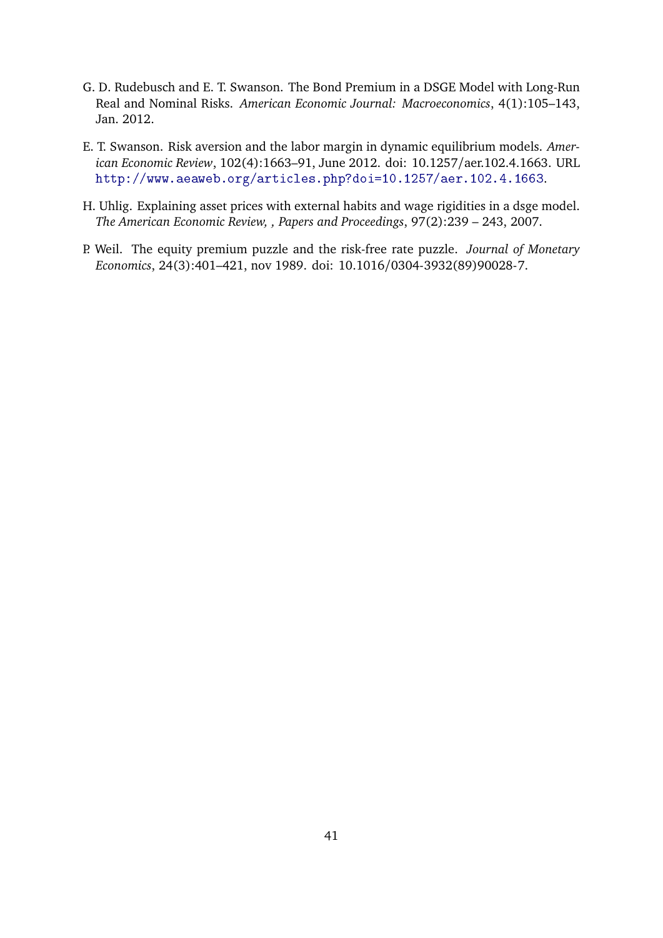- <span id="page-40-3"></span>G. D. Rudebusch and E. T. Swanson. The Bond Premium in a DSGE Model with Long-Run Real and Nominal Risks. *American Economic Journal: Macroeconomics*, 4(1):105–143, Jan. 2012.
- <span id="page-40-2"></span>E. T. Swanson. Risk aversion and the labor margin in dynamic equilibrium models. *American Economic Review*, 102(4):1663–91, June 2012. doi: 10.1257/aer.102.4.1663. URL <http://www.aeaweb.org/articles.php?doi=10.1257/aer.102.4.1663>.
- <span id="page-40-1"></span>H. Uhlig. Explaining asset prices with external habits and wage rigidities in a dsge model. *The American Economic Review, , Papers and Proceedings*, 97(2):239 – 243, 2007.
- <span id="page-40-0"></span>P. Weil. The equity premium puzzle and the risk-free rate puzzle. *Journal of Monetary Economics*, 24(3):401–421, nov 1989. doi: 10.1016/0304-3932(89)90028-7.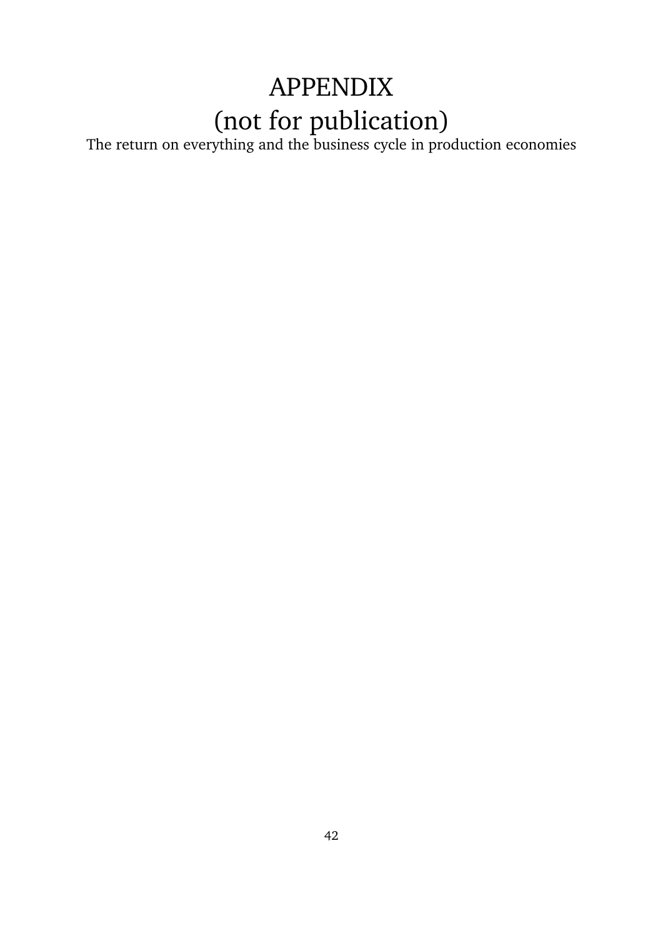# APPENDIX (not for publication)

The return on everything and the business cycle in production economies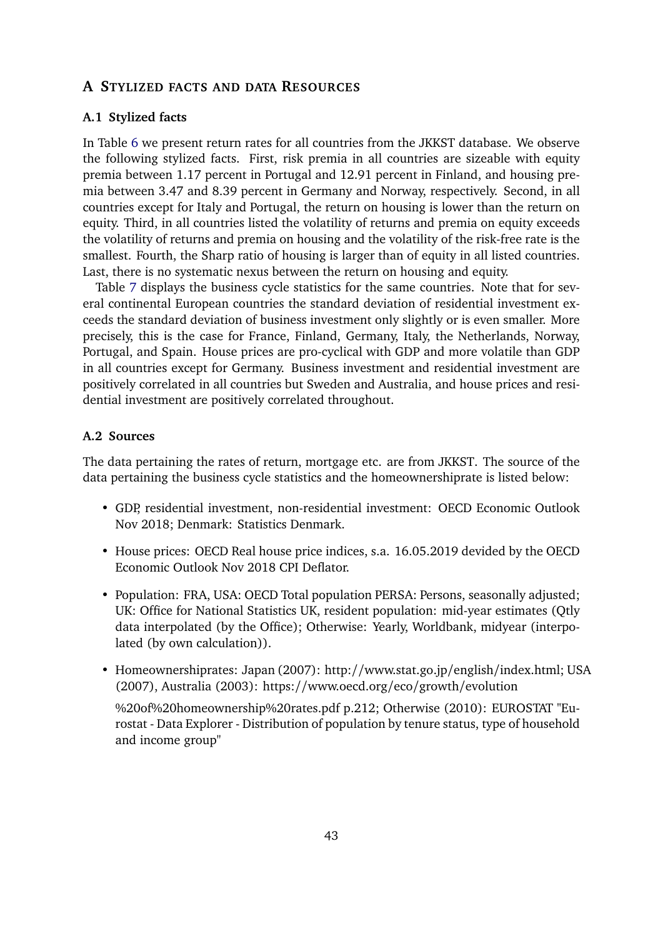# <span id="page-42-0"></span>**A STYLIZED FACTS AND DATA RESOURCES**

#### **A.1 Stylized facts**

In Table [6](#page-43-0) we present return rates for all countries from the JKKST database. We observe the following stylized facts. First, risk premia in all countries are sizeable with equity premia between 1.17 percent in Portugal and 12.91 percent in Finland, and housing premia between 3.47 and 8.39 percent in Germany and Norway, respectively. Second, in all countries except for Italy and Portugal, the return on housing is lower than the return on equity. Third, in all countries listed the volatility of returns and premia on equity exceeds the volatility of returns and premia on housing and the volatility of the risk-free rate is the smallest. Fourth, the Sharp ratio of housing is larger than of equity in all listed countries. Last, there is no systematic nexus between the return on housing and equity.

Table [7](#page-44-0) displays the business cycle statistics for the same countries. Note that for several continental European countries the standard deviation of residential investment exceeds the standard deviation of business investment only slightly or is even smaller. More precisely, this is the case for France, Finland, Germany, Italy, the Netherlands, Norway, Portugal, and Spain. House prices are pro-cyclical with GDP and more volatile than GDP in all countries except for Germany. Business investment and residential investment are positively correlated in all countries but Sweden and Australia, and house prices and residential investment are positively correlated throughout.

# **A.2 Sources**

The data pertaining the rates of return, mortgage etc. are from JKKST. The source of the data pertaining the business cycle statistics and the homeownershiprate is listed below:

- GDP, residential investment, non-residential investment: OECD Economic Outlook Nov 2018; Denmark: Statistics Denmark.
- House prices: OECD Real house price indices, s.a. 16.05.2019 devided by the OECD Economic Outlook Nov 2018 CPI Deflator.
- Population: FRA, USA: OECD Total population PERSA: Persons, seasonally adjusted; UK: Office for National Statistics UK, resident population: mid-year estimates (Qtly data interpolated (by the Office); Otherwise: Yearly, Worldbank, midyear (interpolated (by own calculation)).
- Homeownershiprates: Japan (2007): http://www.stat.go.jp/english/index.html; USA (2007), Australia (2003): https://www.oecd.org/eco/growth/evolution

%20of%20homeownership%20rates.pdf p.212; Otherwise (2010): EUROSTAT "Eurostat - Data Explorer - Distribution of population by tenure status, type of household and income group"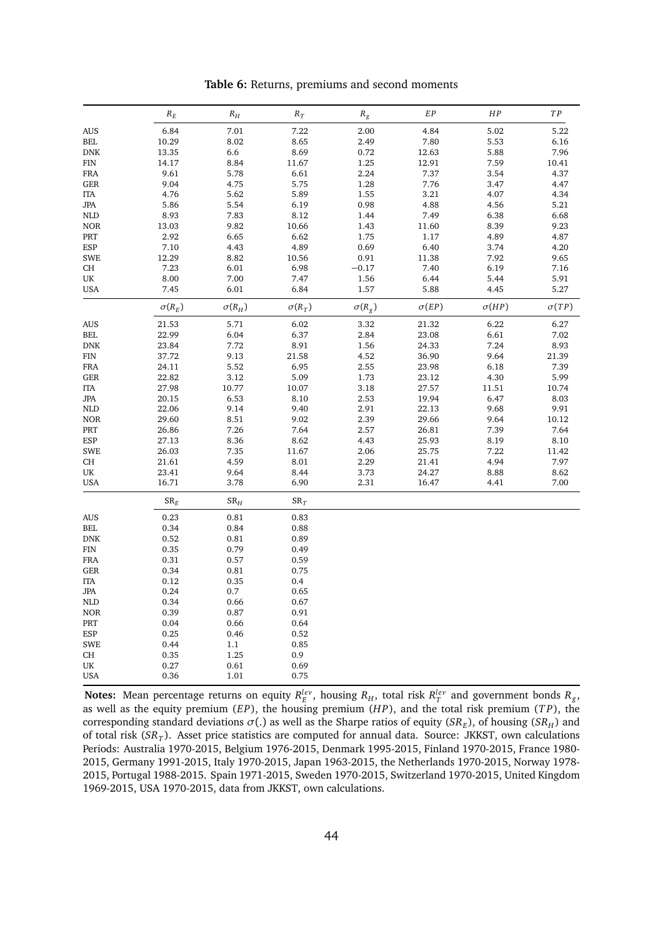<span id="page-43-0"></span>

|                      | $\ensuremath{R_E}\xspace$ | ${\cal R}_H$  | $R_T$         | $R_{\it g}$   | EP           | ${\cal HP}$  | TP           |
|----------------------|---------------------------|---------------|---------------|---------------|--------------|--------------|--------------|
| <b>AUS</b>           | 6.84                      | 7.01          | 7.22          | 2.00          | 4.84         | 5.02         | 5.22         |
| $\operatorname{BEL}$ | 10.29                     | 8.02          | 8.65          | 2.49          | 7.80         | 5.53         | 6.16         |
| <b>DNK</b>           | 13.35                     | 6.6           | 8.69          | 0.72          | 12.63        | 5.88         | 7.96         |
| <b>FIN</b>           | 14.17                     | 8.84          | 11.67         | 1.25          | 12.91        | 7.59         | 10.41        |
| ${\rm FRA}$          | 9.61                      | 5.78          | 6.61          | 2.24          | 7.37         | 3.54         | 4.37         |
| GER                  | 9.04                      | 4.75          | 5.75          | 1.28          | 7.76         | 3.47         | 4.47         |
| <b>ITA</b>           | 4.76                      | 5.62          | 5.89          | 1.55          | 3.21         | 4.07         | 4.34         |
| JPA                  | 5.86                      | 5.54          | 6.19          | 0.98          | 4.88         | 4.56         | 5.21         |
| <b>NLD</b>           | 8.93                      | 7.83          | 8.12          | 1.44          | 7.49         | 6.38         | 6.68         |
| <b>NOR</b>           | 13.03                     | 9.82          | 10.66         | 1.43          | 11.60        | 8.39         | 9.23         |
| PRT                  | 2.92                      | 6.65          | 6.62          | 1.75          | 1.17         | 4.89         | 4.87         |
| <b>ESP</b>           | 7.10                      | 4.43          | 4.89          | 0.69          | 6.40         | 3.74         | 4.20         |
| <b>SWE</b>           | 12.29                     | 8.82          | 10.56         | 0.91          | 11.38        | 7.92         | 9.65         |
| CH                   | 7.23                      | 6.01          | 6.98          | $-0.17$       | 7.40         | 6.19         | 7.16         |
| UK                   | 8.00                      | 7.00          | 7.47          | 1.56          | 6.44         | 5.44         | 5.91         |
| <b>USA</b>           | 7.45                      | 6.01          | 6.84          | 1.57          | 5.88         | 4.45         | 5.27         |
|                      | $\sigma(R_E)$             | $\sigma(R_H)$ | $\sigma(R_T)$ | $\sigma(R_g)$ | $\sigma(EP)$ | $\sigma(HP)$ | $\sigma(TP)$ |
| <b>AUS</b>           | 21.53                     | 5.71          | 6.02          | 3.32          | 21.32        | 6.22         | 6.27         |
| BEL.                 | 22.99                     | 6.04          | 6.37          | 2.84          | 23.08        | 6.61         | 7.02         |
| <b>DNK</b>           | 23.84                     | 7.72          | 8.91          | 1.56          | 24.33        | 7.24         | 8.93         |
| ${\rm FIN}$          | 37.72                     | 9.13          | 21.58         | 4.52          | 36.90        | 9.64         | 21.39        |
| <b>FRA</b>           | 24.11                     | 5.52          | 6.95          | 2.55          | 23.98        | 6.18         | 7.39         |
| <b>GER</b>           | 22.82                     | 3.12          | 5.09          | 1.73          | 23.12        | 4.30         | 5.99         |
| <b>ITA</b>           | 27.98                     | 10.77         | 10.07         | 3.18          | 27.57        | 11.51        | 10.74        |
| JPA                  | 20.15                     | 6.53          | 8.10          | 2.53          | 19.94        | 6.47         | 8.03         |
| <b>NLD</b>           | 22.06                     | 9.14          | 9.40          | 2.91          | 22.13        | 9.68         | 9.91         |
| <b>NOR</b>           | 29.60                     | 8.51          | 9.02          | 2.39          | 29.66        | 9.64         | 10.12        |
| PRT                  | 26.86                     | 7.26          | 7.64          | 2.57          | 26.81        | 7.39         | 7.64         |
| ESP                  | 27.13                     | 8.36          | 8.62          | 4.43          | 25.93        | 8.19         | 8.10         |
| <b>SWE</b>           | 26.03                     | 7.35          | 11.67         | 2.06          | 25.75        | 7.22         | 11.42        |
| CH                   | 21.61                     | 4.59          | 8.01          | 2.29          | 21.41        | 4.94         | 7.97         |
| UK                   | 23.41                     | 9.64          | 8.44          | 3.73          | 24.27        | 8.88         | 8.62         |
| <b>USA</b>           | 16.71                     | 3.78          | 6.90          | 2.31          | 16.47        | 4.41         | 7.00         |
|                      | $SR_E$                    | $SR_H$        | $SR_T$        |               |              |              |              |
| <b>AUS</b>           | 0.23                      | 0.81          | 0.83          |               |              |              |              |
| $\operatorname{BEL}$ | 0.34                      | 0.84          | 0.88          |               |              |              |              |
| <b>DNK</b>           | 0.52                      | 0.81          | 0.89          |               |              |              |              |
| <b>FIN</b>           | 0.35                      | 0.79          | 0.49          |               |              |              |              |
| <b>FRA</b>           | 0.31                      | 0.57          | 0.59          |               |              |              |              |
| <b>GER</b>           | 0.34                      | 0.81          | 0.75          |               |              |              |              |
| <b>ITA</b>           | 0.12                      | 0.35          | 0.4           |               |              |              |              |
| <b>JPA</b>           | 0.24                      | $0.7\,$       | 0.65          |               |              |              |              |
| <b>NLD</b>           | 0.34                      | 0.66          | 0.67          |               |              |              |              |
| <b>NOR</b>           | 0.39                      | 0.87          | 0.91          |               |              |              |              |
| PRT                  | 0.04                      | 0.66          | 0.64          |               |              |              |              |
| ESP                  | 0.25                      | 0.46          | 0.52          |               |              |              |              |
| <b>SWE</b>           | 0.44                      | 1.1           | 0.85          |               |              |              |              |
| CH                   | 0.35                      | 1.25          | 0.9           |               |              |              |              |
| UK                   | 0.27                      | 0.61          | 0.69          |               |              |              |              |
| <b>USA</b>           | 0.36                      | 1.01          | 0.75          |               |              |              |              |
|                      |                           |               |               |               |              |              |              |

**Table 6:** Returns, premiums and second moments

**Notes:** Mean percentage returns on equity  $R_E^{lev}$ , housing  $R_H$ , total risk  $R_T^{lev}$  and government bonds  $R_g$ , as well as the equity premium (*EP*), the housing premium (*H P*), and the total risk premium (*T P*), the corresponding standard deviations  $\sigma(.)$  as well as the Sharpe ratios of equity (*SR<sub>E</sub>*), of housing (*SR<sub>H</sub>*) and of total risk (*SR<sup>T</sup>* ). Asset price statistics are computed for annual data. Source: JKKST, own calculations Periods: Australia 1970-2015, Belgium 1976-2015, Denmark 1995-2015, Finland 1970-2015, France 1980- 2015, Germany 1991-2015, Italy 1970-2015, Japan 1963-2015, the Netherlands 1970-2015, Norway 1978- 2015, Portugal 1988-2015. Spain 1971-2015, Sweden 1970-2015, Switzerland 1970-2015, United Kingdom 1969-2015, USA 1970-2015, data from JKKST, own calculations.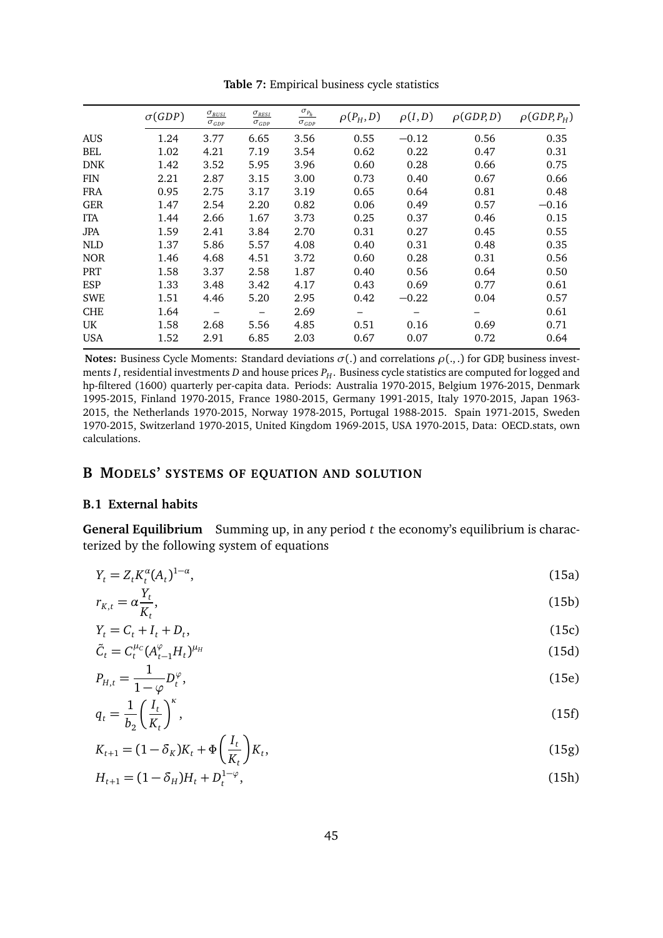<span id="page-44-0"></span>

|            | $\sigma(GDP)$ | $\sigma_{BUSI}$<br>$\sigma_{GDP}$ | $\sigma_{RESI}$<br>$\sigma_{GDP}$ | $\sigma_{P_h}$<br>$\sigma_{GDP}$ | $\rho(P_H, D)$ | $\rho(I,D)$ | $\rho(GDP,D)$ | $\rho(GDP, P_H)$ |
|------------|---------------|-----------------------------------|-----------------------------------|----------------------------------|----------------|-------------|---------------|------------------|
| <b>AUS</b> | 1.24          | 3.77                              | 6.65                              | 3.56                             | 0.55           | $-0.12$     | 0.56          | 0.35             |
| <b>BEL</b> | 1.02          | 4.21                              | 7.19                              | 3.54                             | 0.62           | 0.22        | 0.47          | 0.31             |
| <b>DNK</b> | 1.42          | 3.52                              | 5.95                              | 3.96                             | 0.60           | 0.28        | 0.66          | 0.75             |
| <b>FIN</b> | 2.21          | 2.87                              | 3.15                              | 3.00                             | 0.73           | 0.40        | 0.67          | 0.66             |
| FRA        | 0.95          | 2.75                              | 3.17                              | 3.19                             | 0.65           | 0.64        | 0.81          | 0.48             |
| <b>GER</b> | 1.47          | 2.54                              | 2.20                              | 0.82                             | 0.06           | 0.49        | 0.57          | $-0.16$          |
| <b>ITA</b> | 1.44          | 2.66                              | 1.67                              | 3.73                             | 0.25           | 0.37        | 0.46          | 0.15             |
| <b>JPA</b> | 1.59          | 2.41                              | 3.84                              | 2.70                             | 0.31           | 0.27        | 0.45          | 0.55             |
| <b>NLD</b> | 1.37          | 5.86                              | 5.57                              | 4.08                             | 0.40           | 0.31        | 0.48          | 0.35             |
| <b>NOR</b> | 1.46          | 4.68                              | 4.51                              | 3.72                             | 0.60           | 0.28        | 0.31          | 0.56             |
| PRT        | 1.58          | 3.37                              | 2.58                              | 1.87                             | 0.40           | 0.56        | 0.64          | 0.50             |
| ESP        | 1.33          | 3.48                              | 3.42                              | 4.17                             | 0.43           | 0.69        | 0.77          | 0.61             |
| <b>SWE</b> | 1.51          | 4.46                              | 5.20                              | 2.95                             | 0.42           | $-0.22$     | 0.04          | 0.57             |
| <b>CHE</b> | 1.64          | $\qquad \qquad -$                 |                                   | 2.69                             |                |             |               | 0.61             |
| UK.        | 1.58          | 2.68                              | 5.56                              | 4.85                             | 0.51           | 0.16        | 0.69          | 0.71             |
| <b>USA</b> | 1.52          | 2.91                              | 6.85                              | 2.03                             | 0.67           | 0.07        | 0.72          | 0.64             |

**Table 7:** Empirical business cycle statistics

**Notes:** Business Cycle Moments: Standard deviations *σ*(.) and correlations *ρ*(., .) for GDP, business investments *I*, residential investments *D* and house prices  $P_H$ . Business cycle statistics are computed for logged and hp-filtered (1600) quarterly per-capita data. Periods: Australia 1970-2015, Belgium 1976-2015, Denmark 1995-2015, Finland 1970-2015, France 1980-2015, Germany 1991-2015, Italy 1970-2015, Japan 1963- 2015, the Netherlands 1970-2015, Norway 1978-2015, Portugal 1988-2015. Spain 1971-2015, Sweden 1970-2015, Switzerland 1970-2015, United Kingdom 1969-2015, USA 1970-2015, Data: OECD.stats, own calculations.

# **B MODELS' SYSTEMS OF EQUATION AND SOLUTION**

#### **B.1 External habits**

**General Equilibrium** Summing up, in any period *t* the economy's equilibrium is characterized by the following system of equations

<span id="page-44-1"></span>
$$
Y_t = Z_t K_t^{\alpha} (A_t)^{1-\alpha}, \tag{15a}
$$
\n
$$
Y_t = \alpha \frac{Y_t}{\alpha}
$$
\n
$$
(15b)
$$

$$
r_{K,t} = \alpha \frac{1}{K_t},\tag{15b}
$$

$$
Y_t = C_t + I_t + D_t,
$$
  
\n
$$
\tilde{C}_t = C_t^{\mu_c} (A_{t-1}^{\varphi} H_t)^{\mu_H}
$$
\n(15d)

$$
P_{H,t} = \frac{1}{1 - \varphi} D_t^{\varphi}, \tag{15e}
$$

$$
q_t = \frac{1}{b_2} \left(\frac{I_t}{K_t}\right)^{\kappa},\tag{15f}
$$

$$
K_{t+1} = (1 - \delta_K)K_t + \Phi\left(\frac{I_t}{K_t}\right)K_t,
$$
\n(15g)

$$
H_{t+1} = (1 - \delta_H)H_t + D_t^{1-\varphi},\tag{15h}
$$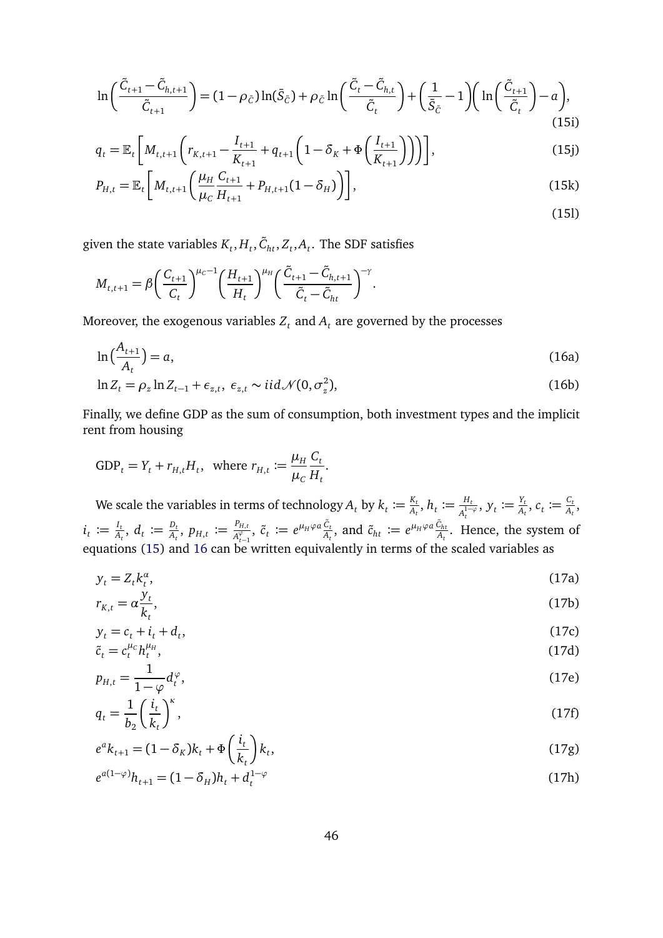$$
\ln\left(\frac{\tilde{C}_{t+1} - \tilde{C}_{h,t+1}}{\tilde{C}_{t+1}}\right) = (1 - \rho_{\tilde{C}})\ln(\bar{S}_{\tilde{C}}) + \rho_{\tilde{C}}\ln\left(\frac{\tilde{C}_t - \tilde{C}_{h,t}}{\tilde{C}_t}\right) + \left(\frac{1}{\bar{S}_{\tilde{C}}} - 1\right)\left(\ln\left(\frac{\tilde{C}_{t+1}}{\tilde{C}_t}\right) - a\right),\tag{15i}
$$

$$
q_{t} = \mathbb{E}_{t} \left[ M_{t,t+1} \left( r_{K,t+1} - \frac{I_{t+1}}{K_{t+1}} + q_{t+1} \left( 1 - \delta_{K} + \Phi \left( \frac{I_{t+1}}{K_{t+1}} \right) \right) \right) \right],
$$
\n(15j)

$$
P_{H,t} = \mathbb{E}_t \left[ M_{t,t+1} \left( \frac{\mu_H}{\mu_C} \frac{C_{t+1}}{H_{t+1}} + P_{H,t+1} (1 - \delta_H) \right) \right],
$$
\n(15k)

given the state variables  $K_t, H_t, \tilde{C}_{ht}, Z_t, A_t$ . The SDF satisfies

$$
M_{t,t+1} = \beta \bigg(\frac{C_{t+1}}{C_t}\bigg)^{\mu_c - 1} \bigg(\frac{H_{t+1}}{H_t}\bigg)^{\mu_H} \bigg(\frac{\tilde{C}_{t+1} - \tilde{C}_{h,t+1}}{\tilde{C}_t - \tilde{C}_{ht}}\bigg)^{-\gamma}.
$$

Moreover, the exogenous variables  $Z_t$  and  $A_t$  are governed by the processes

<span id="page-45-0"></span>
$$
\ln\left(\frac{A_{t+1}}{A_t}\right) = a,\tag{16a}
$$

$$
\ln Z_t = \rho_z \ln Z_{t-1} + \epsilon_{z,t}, \ \epsilon_{z,t} \sim \text{iid} \mathcal{N}(0, \sigma_z^2), \tag{16b}
$$

Finally, we define GDP as the sum of consumption, both investment types and the implicit rent from housing

GDP<sub>t</sub> = Y<sub>t</sub> + r<sub>H,t</sub>H<sub>t</sub>, where 
$$
r_{H,t} := \frac{\mu_H}{\mu_C} \frac{C_t}{H_t}
$$
.

We scale the variables in terms of technology  $A_t$  by  $k_t \coloneqq \frac{K_t}{A_t}$  $\frac{K_t}{A_t}, h_t \coloneqq \frac{H_t}{A_t^{1-t}}$  $\frac{H_t}{A_t^{1-\varphi}}, \, y_t \coloneqq \frac{Y_t}{A_t}$  $\frac{Y_t}{A_t}$ ,  $c_t \coloneqq \frac{C_t}{A_t}$  $\frac{G_t}{A_t}$ ,  $i_t \coloneqq \frac{I_t}{A_t}$  $\frac{I_t}{A_t}$ ,  $d_t \coloneqq \frac{D_t}{A_t}$  $\frac{D_t}{A_t}$ ,  $p_{H,t} \coloneqq \frac{P_{H,t}}{A_{t-1}^{\varphi}}$  $\frac{P_{H,t}}{A_{t-1}^{\varphi}}$ ,  $\tilde{c}_t \coloneqq e^{\mu_H \varphi a} \frac{\tilde{c}_t}{A_t}$ , and  $\tilde{c}_{ht} \coloneqq e^{\mu_H \varphi a} \frac{\tilde{c}_{ht}}{A_t}$ . Hence, the system of equations [\(15\)](#page-44-1) and [16](#page-45-0) can be written equivalently in terms of the scaled variables as

<span id="page-45-1"></span>
$$
y_t = Z_t k_t^a,\tag{17a}
$$
\n
$$
x_t = e^{y_t} \tag{17b}
$$

$$
r_{K,t} = \alpha \frac{Jt}{k_t},\tag{17b}
$$

$$
y_t = c_t + i_t + d_t,
$$
\n
$$
\tilde{c} = c_t^{\mu_c} b_t^{\mu_H}
$$
\n(17d)

$$
\tilde{c}_t = c_t^{\mu_c} h_t^{\mu_H},
$$
\n
$$
p_{H,t} = \frac{1}{1 - \varphi} d_t^{\varphi},
$$
\n(17d)\n(17e)

$$
q_t = \frac{1}{b_2} \left(\frac{i_t}{k_t}\right)^{\kappa},\tag{17f}
$$

$$
e^{a}k_{t+1} = (1 - \delta_K)k_t + \Phi\left(\frac{i_t}{k_t}\right)k_t,
$$
\n(17g)

$$
e^{a(1-\varphi)}h_{t+1} = (1 - \delta_H)h_t + d_t^{1-\varphi}
$$
\n(17h)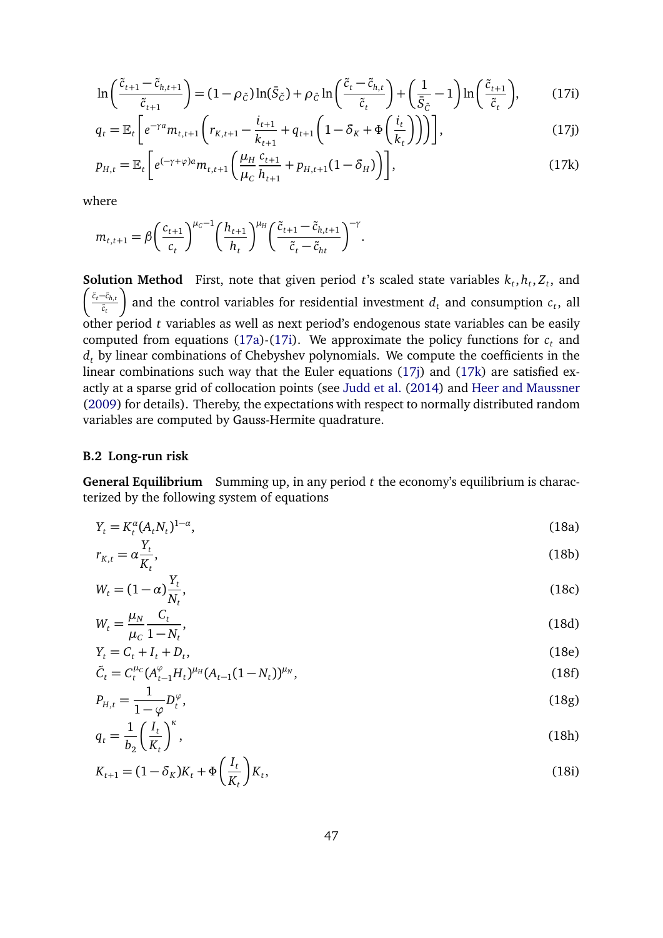<span id="page-46-0"></span>
$$
\ln\left(\frac{\tilde{c}_{t+1} - \tilde{c}_{h,t+1}}{\tilde{c}_{t+1}}\right) = (1 - \rho_{\tilde{c}})\ln(\bar{S}_{\tilde{c}}) + \rho_{\tilde{c}}\ln\left(\frac{\tilde{c}_t - \tilde{c}_{h,t}}{\tilde{c}_t}\right) + \left(\frac{1}{\bar{S}_{\tilde{c}}} - 1\right)\ln\left(\frac{\tilde{c}_{t+1}}{\tilde{c}_t}\right),\tag{17i}
$$

<span id="page-46-1"></span>
$$
q_{t} = \mathbb{E}_{t} \left[ e^{-\gamma a} m_{t,t+1} \left( r_{K,t+1} - \frac{i_{t+1}}{k_{t+1}} + q_{t+1} \left( 1 - \delta_{K} + \Phi \left( \frac{i_{t}}{k_{t}} \right) \right) \right) \right],
$$
 (17j)

<span id="page-46-2"></span>
$$
p_{H,t} = \mathbb{E}_t \left[ e^{(-\gamma + \varphi)a} m_{t,t+1} \left( \frac{\mu_H}{\mu_C} \frac{c_{t+1}}{h_{t+1}} + p_{H,t+1} (1 - \delta_H) \right) \right],
$$
 (17k)

where

$$
m_{t,t+1} = \beta \left(\frac{c_{t+1}}{c_t}\right)^{\mu_c-1} \left(\frac{h_{t+1}}{h_t}\right)^{\mu_H} \left(\frac{\tilde{c}_{t+1} - \tilde{c}_{h,t+1}}{\tilde{c}_t - \tilde{c}_{ht}}\right)^{-\gamma}.
$$

**Solution Method** First, note that given period *t*'s scaled state variables  $k_t$ ,  $h_t$ ,  $Z_t$ , and  $∫$   $\tilde{c}_t$ − $\tilde{c}_{h,t}$  $\tilde{c}_t$ λ and the control variables for residential investment  $d_t$  and consumption  $c_t$ , all other period *t* variables as well as next period's endogenous state variables can be easily computed from equations [\(17a\)](#page-45-1)-[\(17i\)](#page-46-0). We approximate the policy functions for  $c<sub>t</sub>$  and  $d_t$  by linear combinations of Chebyshev polynomials. We compute the coefficients in the linear combinations such way that the Euler equations [\(17j\)](#page-46-1) and [\(17k\)](#page-46-2) are satisfied exactly at a sparse grid of collocation points (see [Judd et al.](#page-38-12) [\(2014\)](#page-38-12) and [Heer and Maussner](#page-38-13) [\(2009\)](#page-38-13) for details). Thereby, the expectations with respect to normally distributed random variables are computed by Gauss-Hermite quadrature.

#### **B.2 Long-run risk**

**General Equilibrium** Summing up, in any period *t* the economy's equilibrium is characterized by the following system of equations

<span id="page-46-3"></span>
$$
Y_t = K_t^{\alpha} (A_t N_t)^{1-\alpha}, \tag{18a}
$$

$$
r_{K,t} = \alpha \frac{r_t}{K_t},\tag{18b}
$$

$$
W_t = (1 - \alpha) \frac{Y_t}{N_t},\tag{18c}
$$

$$
W_t = \frac{\mu_N}{\mu_c} \frac{C_t}{1 - N_t},\tag{18d}
$$

$$
Y_t = C_t + I_t + D_t,
$$
\n
$$
\tilde{C} = C_t^{\mu_C} (A^{\varphi} - H)^{\mu_H} (A - (1 - M))^{\mu_N}
$$
\n(18e)

$$
\tilde{C}_t = C_t^{\mu_c} (A_{t-1}^{\varphi} H_t)^{\mu_H} (A_{t-1} (1 - N_t))^{\mu_N},
$$
\n(18f)

$$
P_{H,t} = \frac{1}{1 - \varphi} D_t^{\varphi},\tag{18g}
$$
\n
$$
a = \frac{1}{1 - \varphi} \int_{0}^{t} \left( \frac{1}{t} \right)^{k} \tag{18h}
$$

$$
q_t = \frac{1}{b_2} \left( \frac{t_t}{K_t} \right) \tag{18h}
$$

$$
K_{t+1} = (1 - \delta_K)K_t + \Phi\left(\frac{I_t}{K_t}\right)K_t,
$$
\n(18i)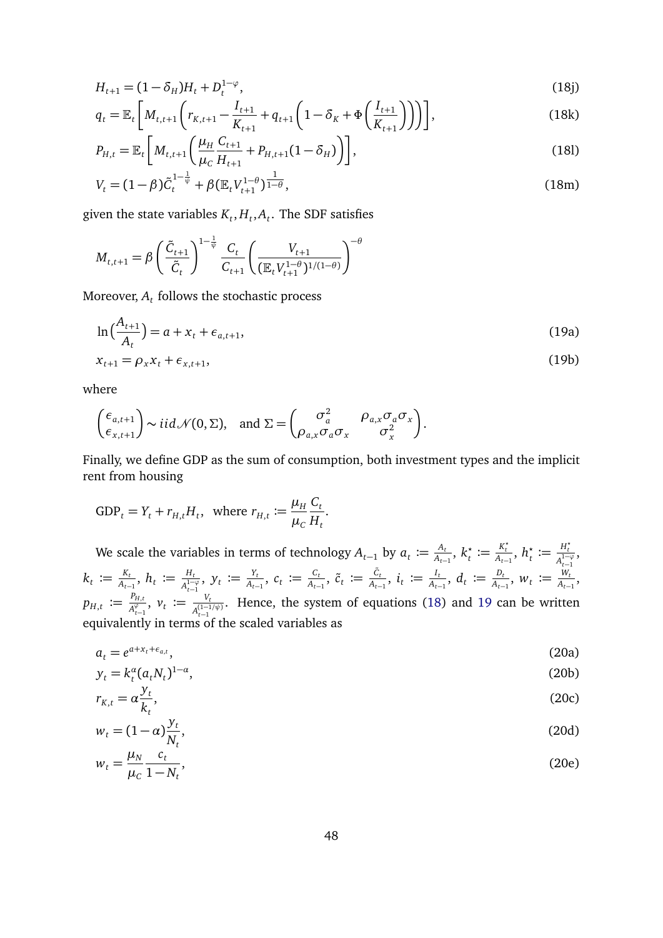$$
H_{t+1} = (1 - \delta_H)H_t + D_t^{1-\varphi}, \tag{18}
$$

$$
q_{t} = \mathbb{E}_{t} \left[ M_{t,t+1} \left( r_{K,t+1} - \frac{I_{t+1}}{K_{t+1}} + q_{t+1} \left( 1 - \delta_{K} + \Phi \left( \frac{I_{t+1}}{K_{t+1}} \right) \right) \right) \right],
$$
\n(18k)

$$
P_{H,t} = \mathbb{E}_t \left[ M_{t,t+1} \left( \frac{\mu_H}{\mu_C} \frac{C_{t+1}}{H_{t+1}} + P_{H,t+1} (1 - \delta_H) \right) \right],
$$
\n(181)

$$
V_t = (1 - \beta)\tilde{C}_t^{1 - \frac{1}{\psi}} + \beta \left(\mathbb{E}_t V_{t+1}^{1 - \theta}\right)^{\frac{1}{1 - \theta}},\tag{18m}
$$

given the state variables  $K_t, H_t, A_t$ . The SDF satisfies

$$
M_{t,t+1} = \beta \left(\frac{\tilde{C}_{t+1}}{\tilde{C}_t}\right)^{1-\frac{1}{\psi}} \frac{C_t}{C_{t+1}} \left(\frac{V_{t+1}}{(\mathbb{E}_t V_{t+1}^{1-\theta})^{1/(1-\theta)}}\right)^{-\theta}
$$

Moreover,  $A_t$  follows the stochastic process

<span id="page-47-0"></span>
$$
\ln\left(\frac{A_{t+1}}{A_t}\right) = a + x_t + \epsilon_{a,t+1},\tag{19a}
$$

$$
x_{t+1} = \rho_x x_t + \epsilon_{x,t+1},\tag{19b}
$$

where

$$
\begin{pmatrix} \epsilon_{a,t+1} \\ \epsilon_{x,t+1} \end{pmatrix} \sim i i d \mathcal{N}(0,\Sigma), \text{ and } \Sigma = \begin{pmatrix} \sigma_a^2 & \rho_{a,x} \sigma_a \sigma_x \\ \rho_{a,x} \sigma_a \sigma_x & \sigma_x^2 \end{pmatrix}.
$$

Finally, we define GDP as the sum of consumption, both investment types and the implicit rent from housing

$$
\text{GDP}_t = Y_t + r_{H,t} H_t, \text{ where } r_{H,t} := \frac{\mu_H}{\mu_C} \frac{C_t}{H_t}.
$$

We scale the variables in terms of technology  $A_{t-1}$  by  $a_t \coloneqq \frac{A_t}{A_{t-1}}$  $\frac{A_t}{A_{t-1}}, k_t^{\star}$  $\boldsymbol{h}_t^{\star} \coloneqq \frac{K_t^{\star}}{A_{t-1}}, h_t^{\star}$  $t^*$  :=  $\frac{H_t^*}{A_-^{1-}}$  $\frac{H_t}{A_{t-1}^{1-\varphi}}$ ,  $k_t \coloneqq \frac{K_t}{A_{t-1}}$  $\frac{K_t}{A_{t-1}},\ h_t\coloneqq\frac{H_t}{A_{t}^{1-1}}$  $\frac{H_t}{A_{t-1}^{1-\varphi}}, \ y_t \coloneqq \frac{Y_t}{A_{t-1}}$  $\frac{Y_t}{A_{t-1}}$ ,  $c_t := \frac{C_t}{A_{t-1}}$  $\frac{C_t}{A_{t-1}}, \; \tilde{c}_{t} \coloneqq \frac{\tilde{c}_{t}}{A_{t-1}}, \; i_t \coloneqq \frac{I_t}{A_{t-1}}$  $\frac{I_t}{A_{t-1}}$ ,  $d_t := \frac{D_t}{A_{t-1}}$  $\frac{D_t}{A_{t-1}}$ ,  $w_t := \frac{W_t}{A_{t-1}}$  $\frac{W_t}{A_{t-1}}$  $p_{H,t} \coloneqq \frac{P_{H,t}}{A^{\varphi}}$  $\frac{P_{H,t}}{A_{t-1}^\varphi}, \; \nu_t \coloneqq \frac{V_t}{A_{t-1}^{(1-1)}}$  $\frac{V_t}{A_{t-1}^{(1-1/\psi)}}$ . Hence, the system of equations [\(18\)](#page-46-3) and [19](#page-47-0) can be written equivalently in terms of the scaled variables as

<span id="page-47-1"></span>
$$
a_t = e^{a + x_t + \epsilon_{a,t}}, \tag{20a}
$$

$$
y_t = k_t^{\alpha} (a_t N_t)^{1-\alpha}, \tag{20b}
$$
\n
$$
y_t = \alpha \frac{y_t}{\alpha}
$$

$$
r_{K,t} = \alpha \frac{\partial^2 t}{\partial K_t},\tag{20c}
$$

$$
w_t = (1 - \alpha) \frac{y_t}{N_t},\tag{20d}
$$

$$
w_t = \frac{\mu_N}{\mu_c} \frac{c_t}{1 - N_t},\tag{20e}
$$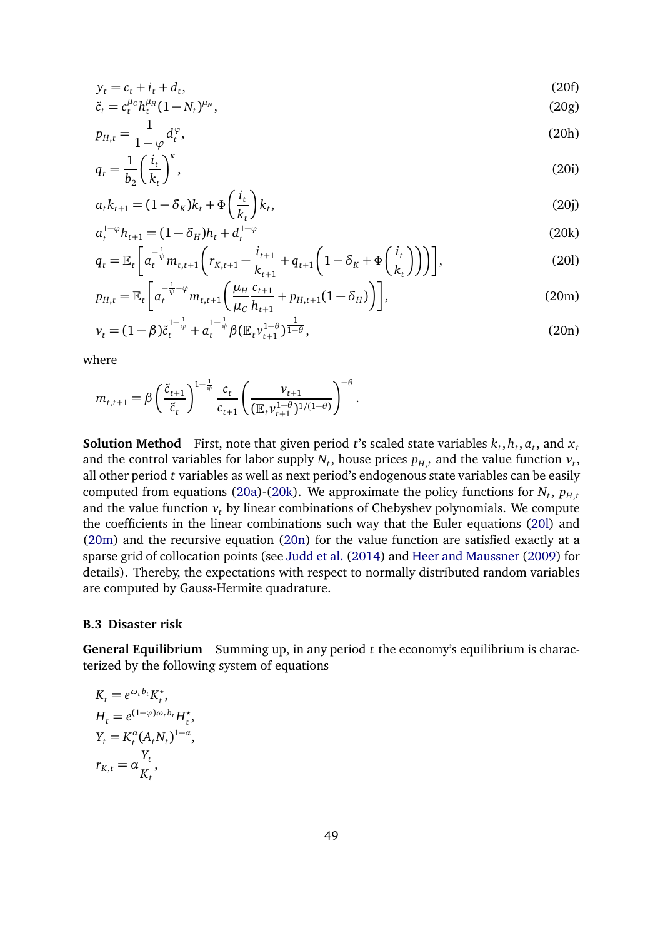$$
y_t = c_t + i_t + d_t,\tag{20f}
$$
\n
$$
\tilde{c} = c^{\mu_c} b^{\mu_H} (1 - M)^{\mu_N} \tag{20g}
$$

$$
\tilde{c}_t = c_t^{\mu_c} h_t^{\mu_H} (1 - N_t)^{\mu_N},\tag{20g}
$$

$$
p_{H,t} = \frac{1}{1 - \varphi} d_t^{\varphi},\tag{20h}
$$

$$
q_t = \frac{1}{b_2} \left(\frac{i_t}{k_t}\right)^{\kappa},\tag{20i}
$$

<span id="page-48-0"></span>
$$
a_t k_{t+1} = (1 - \delta_K)k_t + \Phi\left(\frac{i_t}{k_t}\right)k_t,
$$
\n(20j)

<span id="page-48-1"></span>
$$
a_t^{1-\varphi}h_{t+1} = (1 - \delta_H)h_t + d_t^{1-\varphi}
$$
\n(20k)

$$
q_{t} = \mathbb{E}_{t} \left[ a_{t}^{-\frac{1}{\psi}} m_{t,t+1} \left( r_{K,t+1} - \frac{i_{t+1}}{k_{t+1}} + q_{t+1} \left( 1 - \delta_{K} + \Phi \left( \frac{i_{t}}{k_{t}} \right) \right) \right) \right],
$$
 (201)

<span id="page-48-2"></span>
$$
p_{H,t} = \mathbb{E}_t \left[ a_t^{-\frac{1}{\psi} + \varphi} m_{t,t+1} \left( \frac{\mu_H}{\mu_C} \frac{c_{t+1}}{h_{t+1}} + p_{H,t+1} (1 - \delta_H) \right) \right],
$$
 (20m)

<span id="page-48-3"></span>
$$
v_t = (1 - \beta)\tilde{c}_t^{1 - \frac{1}{\psi}} + a_t^{1 - \frac{1}{\psi}}\beta (\mathbb{E}_t v_{t+1}^{1 - \theta})^{\frac{1}{1 - \theta}},
$$
\n(20n)

where

$$
m_{t,t+1} = \beta \left(\frac{\tilde{c}_{t+1}}{\tilde{c}_t}\right)^{1-\frac{1}{\psi}} \frac{c_t}{c_{t+1}} \left(\frac{\nu_{t+1}}{(\mathbb{E}_t \nu_{t+1}^{1-\theta})^{1/(1-\theta)}}\right)^{-\theta}.
$$

**Solution Method** First, note that given period *t*'s scaled state variables  $k_t$ ,  $h_t$ ,  $a_t$ , and  $x_t$ and the control variables for labor supply  $N_t$ , house prices  $p_{H,t}$  and the value function  $v_t$ , all other period *t* variables as well as next period's endogenous state variables can be easily computed from equations [\(20a\)](#page-47-1)-[\(20k\)](#page-48-0). We approximate the policy functions for  $N_t$ ,  $p_{H,t}$ and the value function  $v_t$  by linear combinations of Chebyshev polynomials. We compute the coefficients in the linear combinations such way that the Euler equations [\(20l\)](#page-48-1) and [\(20m\)](#page-48-2) and the recursive equation [\(20n\)](#page-48-3) for the value function are satisfied exactly at a sparse grid of collocation points (see [Judd et al.](#page-38-12) [\(2014\)](#page-38-12) and [Heer and Maussner](#page-38-13) [\(2009\)](#page-38-13) for details). Thereby, the expectations with respect to normally distributed random variables are computed by Gauss-Hermite quadrature.

#### **B.3 Disaster risk**

**General Equilibrium** Summing up, in any period *t* the economy's equilibrium is characterized by the following system of equations

<span id="page-48-4"></span>
$$
K_t = e^{\omega_t b_t} K_t^*,
$$
  
\n
$$
H_t = e^{(1-\varphi)\omega_t b_t} H_t^*,
$$
  
\n
$$
Y_t = K_t^{\alpha} (A_t N_t)^{1-\alpha},
$$
  
\n
$$
r_{K,t} = \alpha \frac{Y_t}{K_t},
$$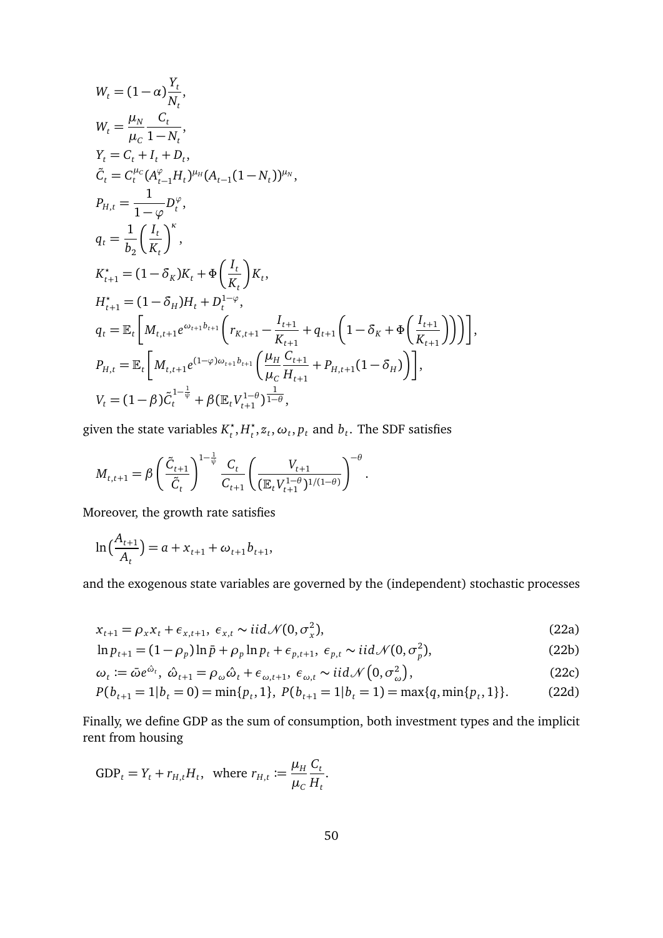$$
W_{t} = (1 - \alpha) \frac{Y_{t}}{N_{t}},
$$
\n
$$
W_{t} = \frac{\mu_{N}}{\mu_{C}} \frac{C_{t}}{1 - N_{t}},
$$
\n
$$
Y_{t} = C_{t} + I_{t} + D_{t},
$$
\n
$$
\tilde{C}_{t} = C_{t}^{\mu_{C}} (A_{t-1}^{\varphi} H_{t})^{\mu_{H}} (A_{t-1} (1 - N_{t}))^{\mu_{N}},
$$
\n
$$
P_{H,t} = \frac{1}{1 - \varphi} D_{t}^{\varphi},
$$
\n
$$
q_{t} = \frac{1}{b_{2}} \left( \frac{I_{t}}{K_{t}} \right)^{\kappa},
$$
\n
$$
K_{t+1}^{*} = (1 - \delta_{K}) K_{t} + \Phi \left( \frac{I_{t}}{K_{t}} \right) K_{t},
$$
\n
$$
H_{t+1}^{*} = (1 - \delta_{H}) H_{t} + D_{t}^{1 - \varphi},
$$
\n
$$
q_{t} = \mathbb{E}_{t} \left[ M_{t, t+1} e^{\omega_{t+1} b_{t+1}} \left( r_{K, t+1} - \frac{I_{t+1}}{K_{t+1}} + q_{t+1} \left( 1 - \delta_{K} + \Phi \left( \frac{I_{t+1}}{K_{t+1}} \right) \right) \right] \right],
$$
\n
$$
P_{H,t} = \mathbb{E}_{t} \left[ M_{t, t+1} e^{(1 - \varphi) \omega_{t+1} b_{t+1}} \left( \frac{\mu_{H}}{\mu_{C}} \frac{C_{t+1}}{H_{t+1}} + P_{H, t+1} (1 - \delta_{H}) \right) \right],
$$
\n
$$
V_{t} = (1 - \beta) \tilde{C}_{t}^{1 - \frac{1}{\psi}} + \beta (\mathbb{E}_{t} V_{t+1}^{1 - \theta})^{\frac{1}{1 - \theta}},
$$

given the state variables  $K_t^*$  $t^*$ ,  $H_t^*$  $t_t^{\star}, z_t, \omega_t, p_t$  and  $b_t$ . The SDF satisfies

$$
M_{t,t+1} = \beta \left( \frac{\tilde{C}_{t+1}}{\tilde{C}_t} \right)^{1-\frac{1}{\psi}} \frac{C_t}{C_{t+1}} \left( \frac{V_{t+1}}{(\mathbb{E}_t V_{t+1}^{1-\theta})^{1/(1-\theta)}} \right)^{-\theta}.
$$

Moreover, the growth rate satisfies

$$
\ln\left(\frac{A_{t+1}}{A_t}\right) = a + x_{t+1} + \omega_{t+1}b_{t+1},
$$

and the exogenous state variables are governed by the (independent) stochastic processes

$$
x_{t+1} = \rho_x x_t + \epsilon_{x,t+1}, \ \epsilon_{x,t} \sim \text{iid } \mathcal{N}(0, \sigma_x^2), \tag{22a}
$$

$$
\ln p_{t+1} = (1 - \rho_p) \ln \bar{p} + \rho_p \ln p_t + \epsilon_{p,t+1}, \ \epsilon_{p,t} \sim \text{iid} \mathcal{N}(0, \sigma_p^2), \tag{22b}
$$

$$
\omega_t := \bar{\omega} e^{\hat{\omega}_t}, \ \hat{\omega}_{t+1} = \rho_\omega \hat{\omega}_t + \epsilon_{\omega, t+1}, \ \epsilon_{\omega, t} \sim \text{iid} \mathcal{N}\left(0, \sigma_\omega^2\right),\tag{22c}
$$

$$
P(b_{t+1} = 1 | b_t = 0) = \min\{p_t, 1\}, \ P(b_{t+1} = 1 | b_t = 1) = \max\{q, \min\{p_t, 1\}\}.
$$
 (22d)

Finally, we define GDP as the sum of consumption, both investment types and the implicit rent from housing

$$
\text{GDP}_t = Y_t + r_{H,t} H_t, \text{ where } r_{H,t} := \frac{\mu_H}{\mu_C} \frac{C_t}{H_t}.
$$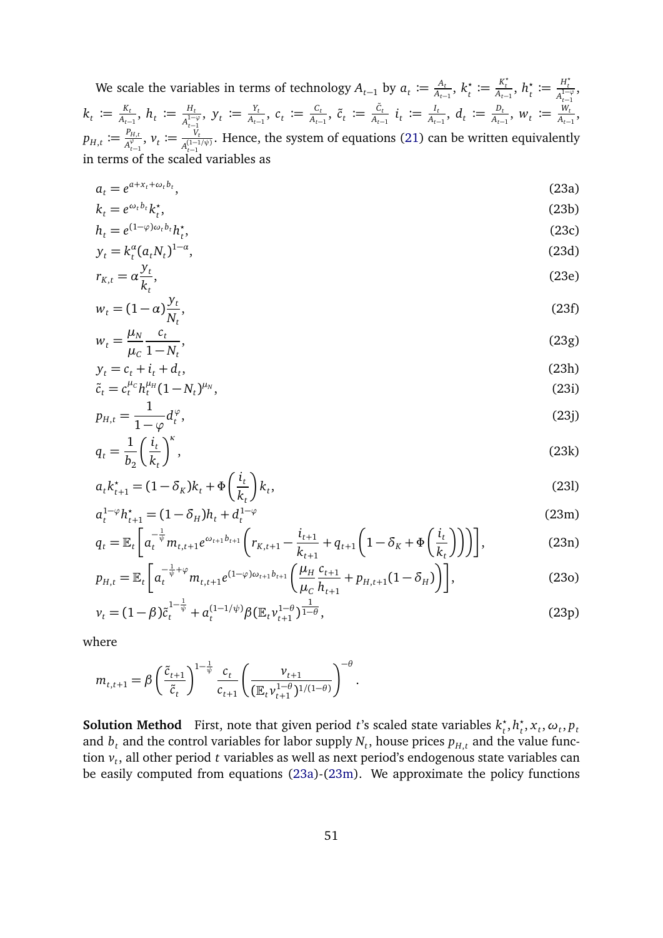We scale the variables in terms of technology  $A_{t-1}$  by  $a_t \coloneqq \frac{A_t}{A_{t-1}}$  $\frac{A_t}{A_{t-1}}, k_t^*$  $\boldsymbol{h}_t^{\star} \coloneqq \frac{K_t^{\star}}{A_{t-1}}, h_t^{\star}$  $t^*$  :=  $\frac{H_t^*}{A_-^{1-}}$  $\frac{H_t}{A_{t-1}^{1-\varphi}}$ ,  $k_t \coloneqq \frac{K_t}{A_{t-1}}$  $\frac{K_t}{A_{t-1}},\ h_t\coloneqq\frac{H_t}{A_{t}^{1-1}}$  $\frac{H_t}{A_{t-1}^{1-\varphi}}, \ y_t \coloneqq \frac{Y_t}{A_{t-1}}$  $\frac{Y_t}{A_{t-1}}$ ,  $c_t := \frac{C_t}{A_{t-1}}$  $\frac{C_t}{A_{t-1}}, \; \tilde{c}_t \; := \frac{\tilde{c}_t}{A_{t-1}} \; i_t \; := \frac{I_t}{A_{t-1}}$  $\frac{I_t}{A_{t-1}}$ ,  $d_t := \frac{D_t}{A_{t-1}}$  $\frac{D_t}{A_{t-1}}$ ,  $w_t := \frac{W_t}{A_{t-1}}$  $\frac{W_t}{A_{t-1}}$ ,  $p_{H,t} \coloneqq \frac{P_{H,t}}{A^{\varphi}}$  $\frac{P_{H,t}}{A_{t-1}^\varphi},\ \mathcal{V}_t\ \coloneqq \frac{V_t}{A_{t-1}^{(1-1)}}$  $\frac{V_t}{A_{t-1}^{(1-1/\psi)}}$ . Hence, the system of equations [\(21\)](#page-48-4) can be written equivalently in terms of the scaled variables as

$$
a_t = e^{a + x_t + \omega_t b_t},\tag{23a}
$$

<span id="page-50-0"></span>
$$
k_t = e^{\omega_t b_t} k_t^*,
$$
  
\n
$$
h_t = e^{(1-\varphi)\omega_t b_t} h_t^*,
$$
\n(23c)

$$
h_t = e^{(1-\varphi)\omega_t b_t} h_t^*,
$$
  
\n
$$
y_t = k_t^a (a_t N_t)^{1-a},
$$
\n(23d)

$$
r_{K,t} = \alpha \frac{y_t}{k_t},\tag{23e}
$$

$$
w_t = (1 - \alpha) \frac{y_t}{N_t},\tag{23f}
$$

$$
w_t = \frac{\mu_N}{\mu_C} \frac{c_t}{1 - N_t},\tag{23g}
$$

$$
y_t = c_t + i_t + d_t,
$$
  
\n
$$
\tilde{c}_t = c_t^{\mu_c} h_t^{\mu_H} (1 - N_t)^{\mu_N},
$$
\n(23h)

$$
p_{H,t} = \frac{1}{1 - \varphi} d_t^{\varphi},\tag{23}
$$

$$
q_t = \frac{1}{b_2} \left(\frac{i_t}{k_t}\right)^{\kappa},\tag{23k}
$$

$$
a_t k_{t+1}^* = (1 - \delta_K)k_t + \Phi\left(\frac{i_t}{k_t}\right)k_t,
$$
\n(23)

$$
a_t^{1-\varphi}h_{t+1}^* = (1 - \delta_H)h_t + d_t^{1-\varphi}
$$
\n
$$
[ -1 \quad (23m)
$$

$$
q_{t} = \mathbb{E}_{t} \left[ a_{t}^{-\frac{1}{\psi}} m_{t,t+1} e^{\omega_{t+1} b_{t+1}} \left( r_{K,t+1} - \frac{i_{t+1}}{k_{t+1}} + q_{t+1} \left( 1 - \delta_{K} + \Phi \left( \frac{i_{t}}{k_{t}} \right) \right) \right) \right],
$$
(23n)

$$
p_{H,t} = \mathbb{E}_t \left[ a_t^{-\frac{1}{\psi} + \varphi} m_{t,t+1} e^{(1-\varphi)\omega_{t+1} b_{t+1}} \left( \frac{\mu_H}{\mu_C} \frac{c_{t+1}}{h_{t+1}} + p_{H,t+1} (1 - \delta_H) \right) \right],
$$
(230)

$$
\nu_t = (1 - \beta)\tilde{c}_t^{1 - \frac{1}{\psi}} + a_t^{(1 - 1/\psi)}\beta (\mathbb{E}_t \nu_{t+1}^{1 - \theta})^{\frac{1}{1 - \theta}},\tag{23p}
$$

<span id="page-50-4"></span><span id="page-50-3"></span><span id="page-50-2"></span><span id="page-50-1"></span>.

where

$$
m_{t,t+1} = \beta \left(\frac{\tilde{c}_{t+1}}{\tilde{c}_t}\right)^{1-\frac{1}{\psi}} \frac{c_t}{c_{t+1}} \left(\frac{\nu_{t+1}}{(\mathbb{E}_t \nu_{t+1}^{1-\theta})^{1/(1-\theta)}}\right)^{-\theta}
$$

**Solution Method** First, note that given period *t*'s scaled state variables *k ?*  $t^*$ ,  $h_t^*$  $t_t^{\star}$ ,  $x_t$ ,  $\omega_t$ ,  $p_t$ and  $b_t$  and the control variables for labor supply  $N_t$ , house prices  $p_{H,t}$  and the value function *v<sup>t</sup>* , all other period *t* variables as well as next period's endogenous state variables can be easily computed from equations [\(23a\)](#page-50-0)-[\(23m\)](#page-50-1). We approximate the policy functions